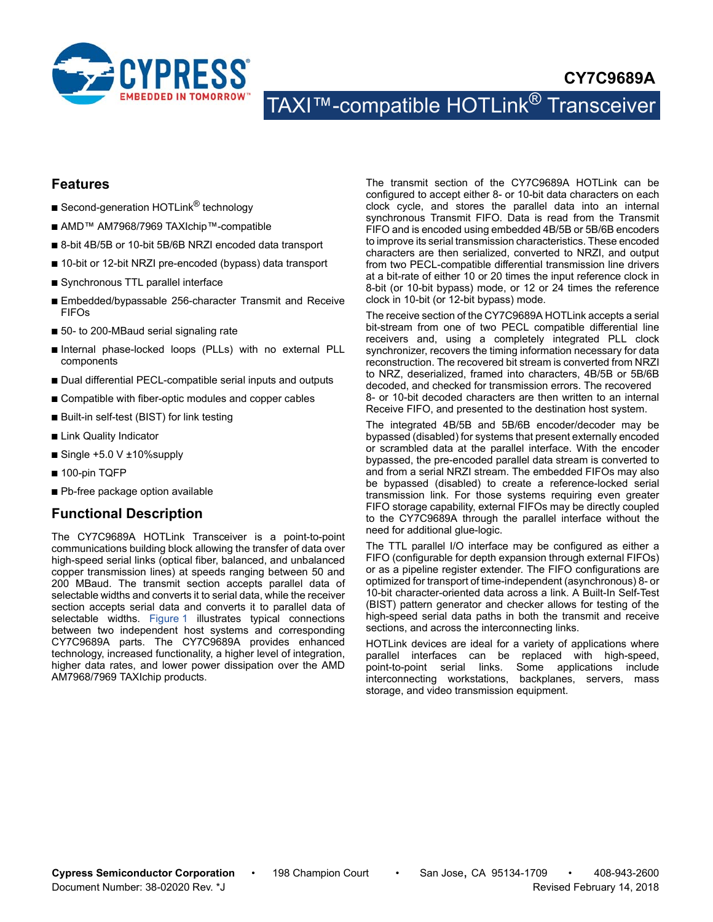

# **CY7C9689A** TAXI™-compatible HOTLink<sup>®</sup> Transceiver

### **Features**

- Second-generation HOTLink<sup>®</sup> technology
- AMD<sup>™</sup> AM7968/7969 TAXIchip™-compatible
- 8-bit 4B/5B or 10-bit 5B/6B NRZI encoded data transport
- 10-bit or 12-bit NRZI pre-encoded (bypass) data transport
- Synchronous TTL parallel interface
- Embedded/bypassable 256-character Transmit and Receive FIFOs
- 50- to 200-MBaud serial signaling rate
- Internal phase-locked loops (PLLs) with no external PLL components
- Dual differential PECL-compatible serial inputs and outputs
- Compatible with fiber-optic modules and copper cables
- Built-in self-test (BIST) for link testing
- Link Quality Indicator
- Single +5.0 V ±10%supply
- 100-pin TQFP
- Pb-free package option available

### **Functional Description**

The CY7C9689A HOTLink Transceiver is a point-to-point communications building block allowing the transfer of data over high-speed serial links (optical fiber, balanced, and unbalanced copper transmission lines) at speeds ranging between 50 and 200 MBaud. The transmit section accepts parallel data of selectable widths and converts it to serial data, while the receiver section accepts serial data and converts it to parallel data of selectable widths. [Figure 1](#page-1-0) illustrates typical connections between two independent host systems and corresponding CY7C9689A parts. The CY7C9689A provides enhanced technology, increased functionality, a higher level of integration, higher data rates, and lower power dissipation over the AMD AM7968/7969 TAXIchip products.

The transmit section of the CY7C9689A HOTLink can be configured to accept either 8- or 10-bit data characters on each clock cycle, and stores the parallel data into an internal synchronous Transmit FIFO. Data is read from the Transmit FIFO and is encoded using embedded 4B/5B or 5B/6B encoders to improve its serial transmission characteristics. These encoded characters are then serialized, converted to NRZI, and output from two PECL-compatible differential transmission line drivers at a bit-rate of either 10 or 20 times the input reference clock in 8-bit (or 10-bit bypass) mode, or 12 or 24 times the reference clock in 10-bit (or 12-bit bypass) mode.

The receive section of the CY7C9689A HOTLink accepts a serial bit-stream from one of two PECL compatible differential line receivers and, using a completely integrated PLL clock synchronizer, recovers the timing information necessary for data reconstruction. The recovered bit stream is converted from NRZI to NRZ, deserialized, framed into characters, 4B/5B or 5B/6B decoded, and checked for transmission errors. The recovered 8- or 10-bit decoded characters are then written to an internal Receive FIFO, and presented to the destination host system.

The integrated 4B/5B and 5B/6B encoder/decoder may be bypassed (disabled) for systems that present externally encoded or scrambled data at the parallel interface. With the encoder bypassed, the pre-encoded parallel data stream is converted to and from a serial NRZI stream. The embedded FIFOs may also be bypassed (disabled) to create a reference-locked serial transmission link. For those systems requiring even greater FIFO storage capability, external FIFOs may be directly coupled to the CY7C9689A through the parallel interface without the need for additional glue-logic.

The TTL parallel I/O interface may be configured as either a FIFO (configurable for depth expansion through external FIFOs) or as a pipeline register extender. The FIFO configurations are optimized for transport of time-independent (asynchronous) 8- or 10-bit character-oriented data across a link. A Built-In Self-Test (BIST) pattern generator and checker allows for testing of the high-speed serial data paths in both the transmit and receive sections, and across the interconnecting links.

HOTLink devices are ideal for a variety of applications where parallel interfaces can be replaced with high-speed, point-to-point serial links. Some applications include interconnecting workstations, backplanes, servers, mass storage, and video transmission equipment.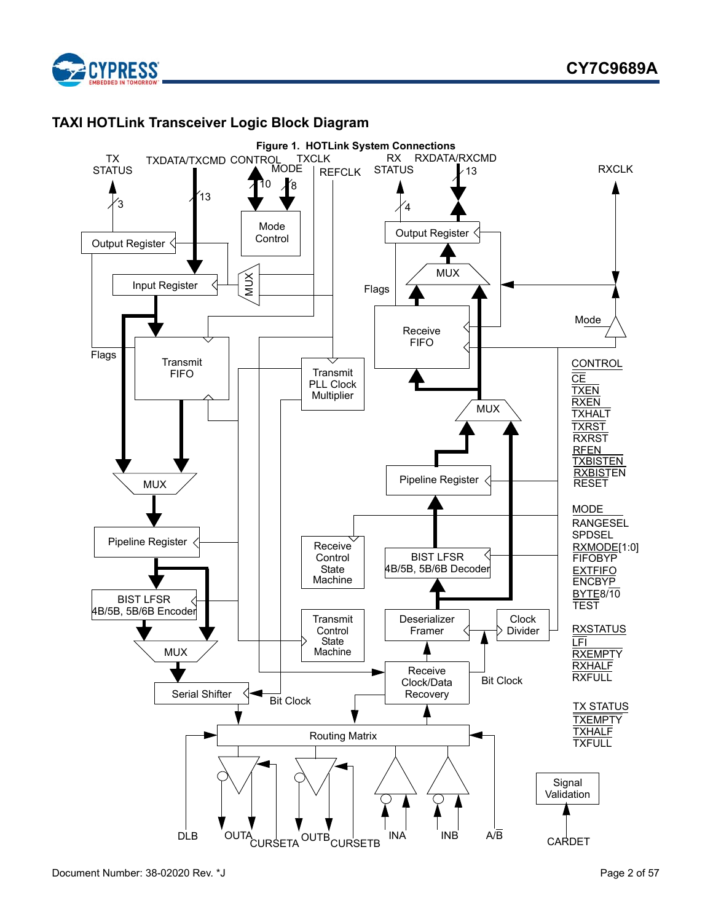

# **TAXI HOTLink Transceiver Logic Block Diagram**

<span id="page-1-0"></span>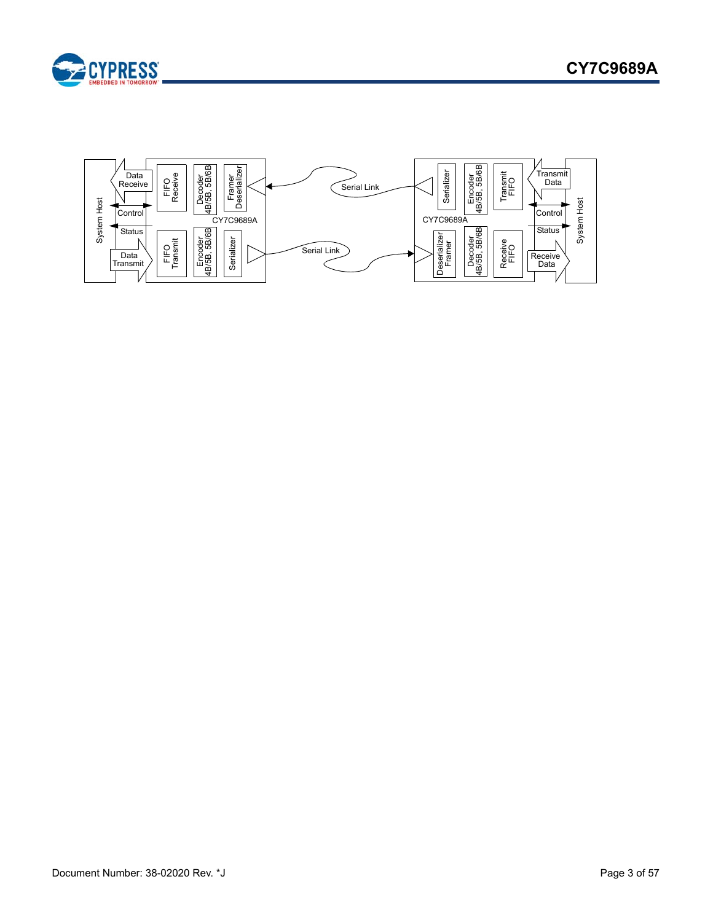

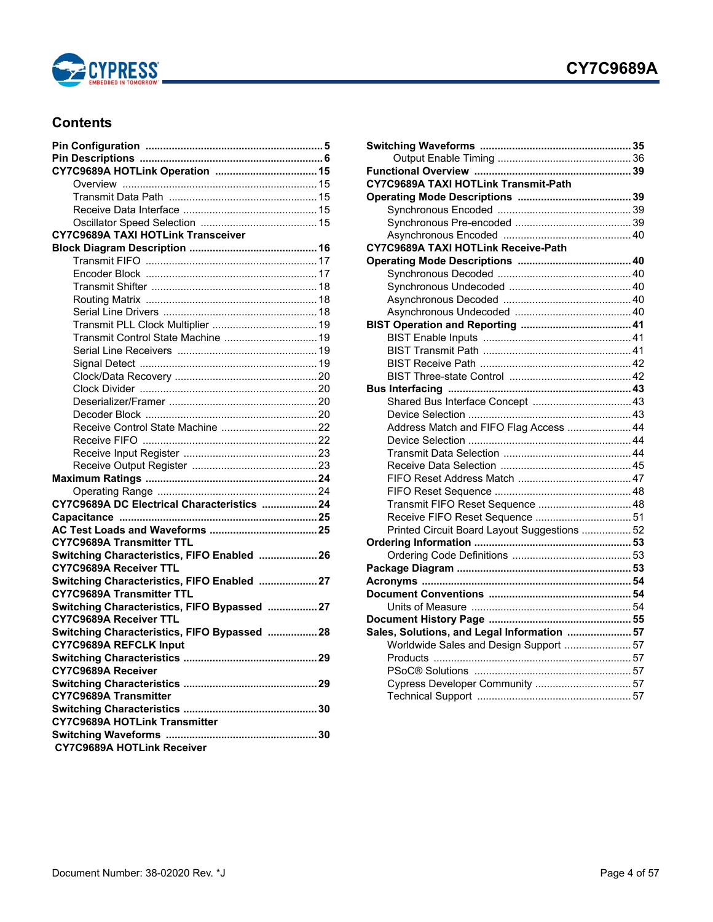

# <span id="page-3-0"></span>**Contents**

| <b>CY7C9689A TAXI HOTLink Transceiver</b>    |  |
|----------------------------------------------|--|
|                                              |  |
|                                              |  |
|                                              |  |
|                                              |  |
|                                              |  |
|                                              |  |
|                                              |  |
| Transmit Control State Machine  19           |  |
|                                              |  |
|                                              |  |
|                                              |  |
|                                              |  |
|                                              |  |
|                                              |  |
|                                              |  |
|                                              |  |
|                                              |  |
|                                              |  |
|                                              |  |
|                                              |  |
| CY7C9689A DC Electrical Characteristics  24  |  |
|                                              |  |
|                                              |  |
| <b>CY7C9689A Transmitter TTL</b>             |  |
| Switching Characteristics, FIFO Enabled  26  |  |
| <b>CY7C9689A Receiver TTL</b>                |  |
| Switching Characteristics, FIFO Enabled  27  |  |
| <b>CY7C9689A Transmitter TTL</b>             |  |
| Switching Characteristics, FIFO Bypassed  27 |  |
| <b>CY7C9689A Receiver TTL</b>                |  |
| Switching Characteristics, FIFO Bypassed  28 |  |
| CY7C9689A REFCLK Input                       |  |
|                                              |  |
| <b>CY7C9689A Receiver</b>                    |  |
|                                              |  |
| <b>CY7C9689A Transmitter</b>                 |  |
|                                              |  |
| <b>CY7C9689A HOTLink Transmitter</b>         |  |
|                                              |  |
| <b>CY7C9689A HOTLink Receiver</b>            |  |

| CY7C9689A TAXI HOTLink Transmit-Path         |  |
|----------------------------------------------|--|
|                                              |  |
|                                              |  |
|                                              |  |
|                                              |  |
| CY7C9689A TAXI HOTLink Receive-Path          |  |
|                                              |  |
|                                              |  |
|                                              |  |
|                                              |  |
|                                              |  |
|                                              |  |
|                                              |  |
|                                              |  |
|                                              |  |
|                                              |  |
|                                              |  |
|                                              |  |
|                                              |  |
| Address Match and FIFO Flag Access  44       |  |
|                                              |  |
|                                              |  |
|                                              |  |
|                                              |  |
|                                              |  |
| Transmit FIFO Reset Sequence  48             |  |
|                                              |  |
| Printed Circuit Board Layout Suggestions  52 |  |
|                                              |  |
|                                              |  |
|                                              |  |
|                                              |  |
|                                              |  |
|                                              |  |
|                                              |  |
| Sales, Solutions, and Legal Information  57  |  |
| Worldwide Sales and Design Support  57       |  |
|                                              |  |
|                                              |  |
| Cypress Developer Community  57              |  |
|                                              |  |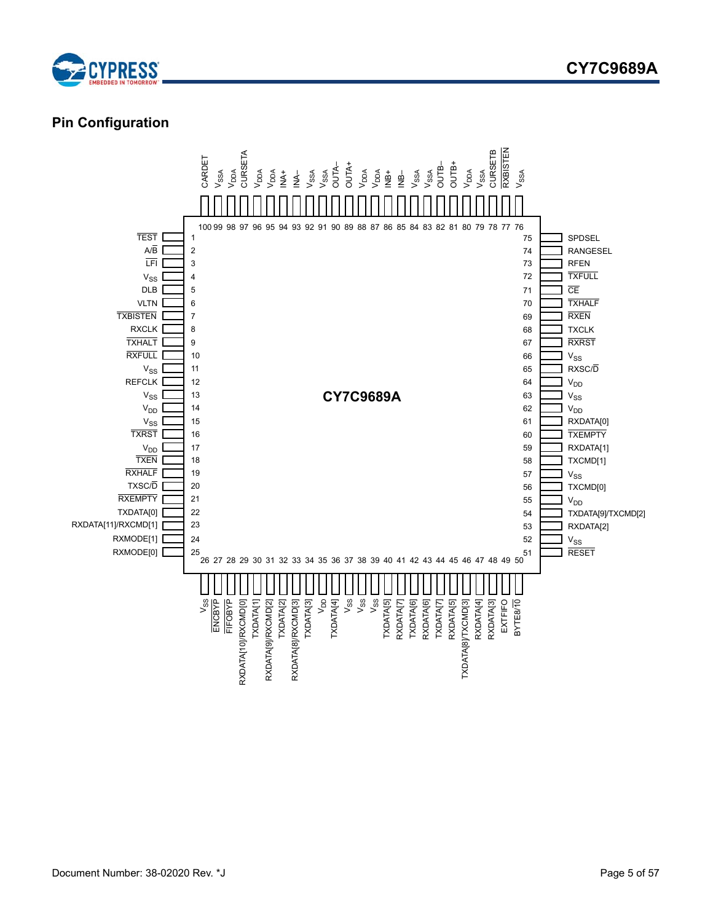

# <span id="page-4-0"></span>**Pin Configuration**

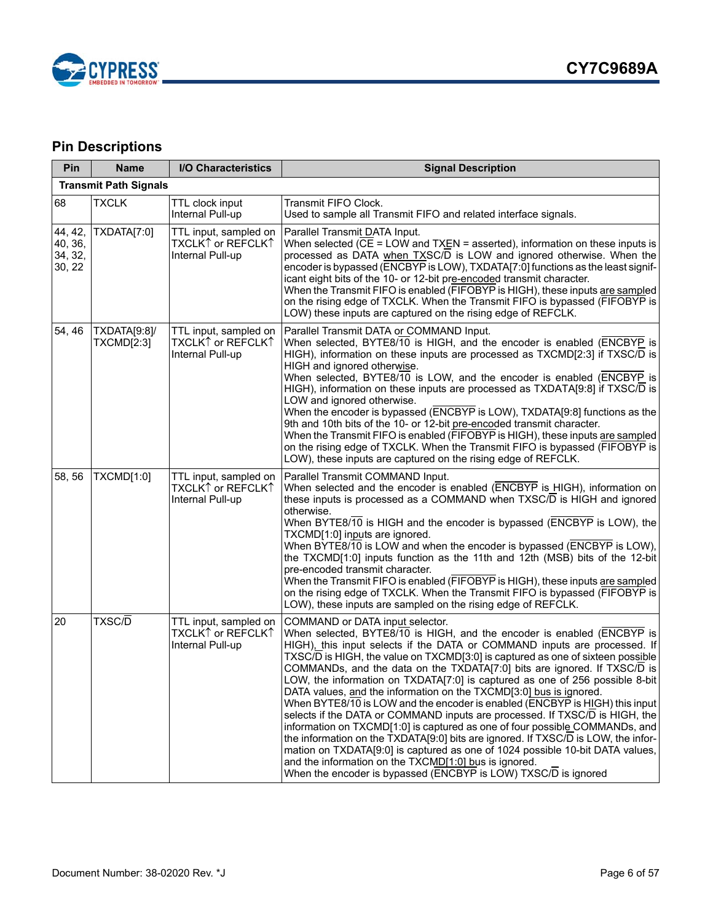

# <span id="page-5-0"></span>**Pin Descriptions**

| Pin                                     | <b>Name</b>                       | <b>I/O Characteristics</b>                                     | <b>Signal Description</b>                                                                                                                                                                                                                                                                                                                                                                                                                                                                                                                                                                                                                                                                                                                                                                                                                                                                                                                                                                                                                                |  |
|-----------------------------------------|-----------------------------------|----------------------------------------------------------------|----------------------------------------------------------------------------------------------------------------------------------------------------------------------------------------------------------------------------------------------------------------------------------------------------------------------------------------------------------------------------------------------------------------------------------------------------------------------------------------------------------------------------------------------------------------------------------------------------------------------------------------------------------------------------------------------------------------------------------------------------------------------------------------------------------------------------------------------------------------------------------------------------------------------------------------------------------------------------------------------------------------------------------------------------------|--|
|                                         | <b>Transmit Path Signals</b>      |                                                                |                                                                                                                                                                                                                                                                                                                                                                                                                                                                                                                                                                                                                                                                                                                                                                                                                                                                                                                                                                                                                                                          |  |
| 68                                      | <b>TXCLK</b>                      | TTL clock input<br>Internal Pull-up                            | Transmit FIFO Clock.<br>Used to sample all Transmit FIFO and related interface signals.                                                                                                                                                                                                                                                                                                                                                                                                                                                                                                                                                                                                                                                                                                                                                                                                                                                                                                                                                                  |  |
| 44, 42,<br>40, 36,<br>34, 32,<br>30, 22 | TXDATA[7:0]                       | TTL input, sampled on<br>TXCLK↑ or REFCLK↑<br>Internal Pull-up | Parallel Transmit DATA Input.<br>When selected $(\overline{CE} = LOW$ and TXEN = asserted), information on these inputs is<br>processed as DATA when TXSC/D is LOW and ignored otherwise. When the<br>encoder is bypassed (ENCBYP is LOW), TXDATA[7:0] functions as the least signif-<br>icant eight bits of the 10- or 12-bit pre-encoded transmit character.<br>When the Transmit FIFO is enabled (FIFOBYP is HIGH), these inputs are sampled<br>on the rising edge of TXCLK. When the Transmit FIFO is bypassed (FIFOBYP is<br>LOW) these inputs are captured on the rising edge of REFCLK.                                                                                                                                                                                                                                                                                                                                                                                                                                                           |  |
| 54, 46                                  | TXDATA[9:8]/<br><b>TXCMD[2:3]</b> | TTL input, sampled on<br>TXCLK↑ or REFCLK↑<br>Internal Pull-up | Parallel Transmit DATA or COMMAND Input.<br>When selected, BYTE8/10 is HIGH, and the encoder is enabled (ENCBYP is<br>HIGH), information on these inputs are processed as TXCMD[2:3] if TXSC/D is<br>HIGH and ignored otherwise.<br>When selected, BYTE8/10 is LOW, and the encoder is enabled (ENCBYP is<br>HIGH), information on these inputs are processed as TXDATA[9:8] if TXSC/D is<br>LOW and ignored otherwise.<br>When the encoder is bypassed (ENCBYP is LOW), TXDATA[9:8] functions as the<br>9th and 10th bits of the 10- or 12-bit pre-encoded transmit character.<br>When the Transmit FIFO is enabled (FIFOBYP is HIGH), these inputs are sampled<br>on the rising edge of TXCLK. When the Transmit FIFO is bypassed (FIFOBYP is<br>LOW), these inputs are captured on the rising edge of REFCLK.                                                                                                                                                                                                                                         |  |
| 58, 56                                  | TXCMD[1:0]                        | TTL input, sampled on<br>TXCLKି↑or REFCLK↑<br>Internal Pull-up | Parallel Transmit COMMAND Input.<br>When selected and the encoder is enabled (ENCBYP is HIGH), information on<br>these inputs is processed as a COMMAND when TXSC/D is HIGH and ignored<br>otherwise.<br>When BYTE8/10 is HIGH and the encoder is bypassed (ENCBYP is LOW), the<br>TXCMD[1:0] inputs are ignored.<br>When BYTE8/10 is LOW and when the encoder is bypassed (ENCBYP is LOW),<br>the TXCMD[1:0] inputs function as the 11th and 12th (MSB) bits of the 12-bit<br>pre-encoded transmit character.<br>When the Transmit FIFO is enabled (FIFOBYP is HIGH), these inputs are sampled<br>on the rising edge of TXCLK. When the Transmit FIFO is bypassed (FIFOBYP is<br>LOW), these inputs are sampled on the rising edge of REFCLK.                                                                                                                                                                                                                                                                                                           |  |
| 20                                      | TXSC/D                            | TTL input, sampled on<br>TXCLK↑ or REFCLK↑<br>Internal Pull-up | COMMAND or DATA input selector.<br>When selected, BYTE8/10 is HIGH, and the encoder is enabled (ENCBYP is<br>HIGH), this input selects if the DATA or COMMAND inputs are processed. If<br>TXSC/D is HIGH, the value on TXCMD[3:0] is captured as one of sixteen possible<br>COMMANDs, and the data on the TXDATA[7:0] bits are ignored. If TXSC/D is<br>LOW, the information on TXDATA[7:0] is captured as one of 256 possible 8-bit<br>DATA values, and the information on the TXCMD[3:0] bus is ignored.<br>When BYTE8/10 is LOW and the encoder is enabled (ENCBYP is HIGH) this input<br>selects if the DATA or COMMAND inputs are processed. If TXSC/D is HIGH, the<br>information on TXCMD[1:0] is captured as one of four possible COMMANDs, and<br>the information on the TXDATA[9:0] bits are ignored. If TXSC/D is LOW, the infor-<br>mation on TXDATA[9:0] is captured as one of 1024 possible 10-bit DATA values,<br>and the information on the TXCMD[1:0] bus is ignored.<br>When the encoder is bypassed (ENCBYP is LOW) TXSC/D is ignored |  |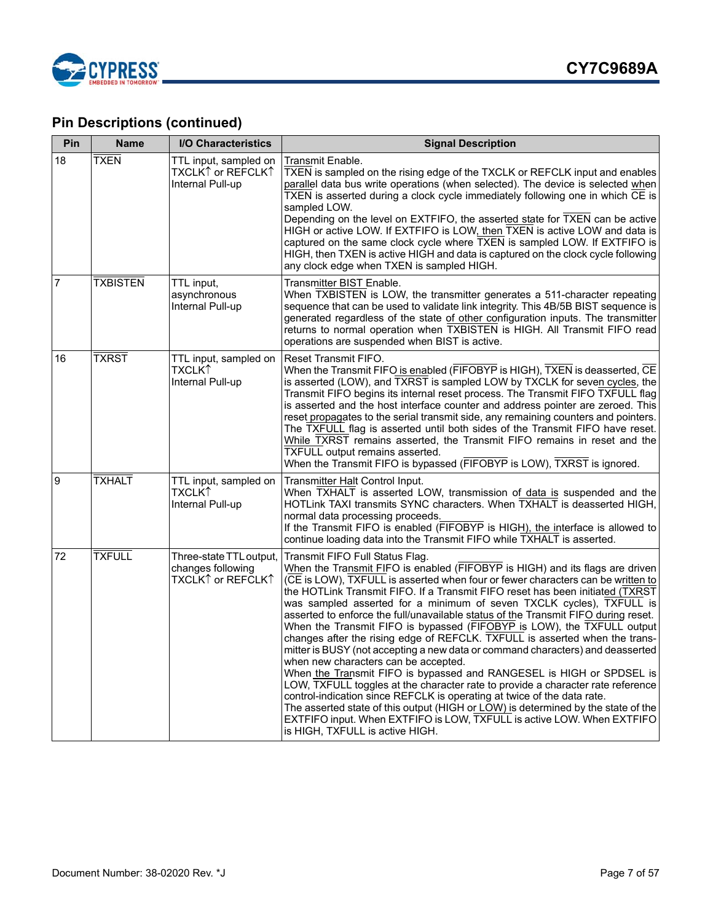

| Pin            | <b>Name</b>     | I/O Characteristics                                               | <b>Signal Description</b>                                                                                                                                                                                                                                                                                                                                                                                                                                                                                                                                                                                                                                                                                                                                                                                                                                                                                                                                                                                                                                                                                                                                                    |
|----------------|-----------------|-------------------------------------------------------------------|------------------------------------------------------------------------------------------------------------------------------------------------------------------------------------------------------------------------------------------------------------------------------------------------------------------------------------------------------------------------------------------------------------------------------------------------------------------------------------------------------------------------------------------------------------------------------------------------------------------------------------------------------------------------------------------------------------------------------------------------------------------------------------------------------------------------------------------------------------------------------------------------------------------------------------------------------------------------------------------------------------------------------------------------------------------------------------------------------------------------------------------------------------------------------|
| 18             | <b>TXEN</b>     | TTL input, sampled on<br>TXCLK↑ or REFCLK↑<br>Internal Pull-up    | Transmit Enable.<br>TXEN is sampled on the rising edge of the TXCLK or REFCLK input and enables<br>parallel data bus write operations (when selected). The device is selected when<br>TXEN is asserted during a clock cycle immediately following one in which CE is<br>sampled LOW.<br>Depending on the level on EXTFIFO, the asserted state for TXEN can be active<br>HIGH or active LOW. If EXTFIFO is LOW, then TXEN is active LOW and data is<br>captured on the same clock cycle where TXEN is sampled LOW. If EXTFIFO is<br>HIGH, then TXEN is active HIGH and data is captured on the clock cycle following<br>any clock edge when TXEN is sampled HIGH.                                                                                                                                                                                                                                                                                                                                                                                                                                                                                                             |
| $\overline{7}$ | <b>TXBISTEN</b> | TTL input,<br>asynchronous<br>Internal Pull-up                    | Transmitter BIST Enable.<br>When TXBISTEN is LOW, the transmitter generates a 511-character repeating<br>sequence that can be used to validate link integrity. This 4B/5B BIST sequence is<br>generated regardless of the state of other configuration inputs. The transmitter<br>returns to normal operation when TXBISTEN is HIGH. All Transmit FIFO read<br>operations are suspended when BIST is active.                                                                                                                                                                                                                                                                                                                                                                                                                                                                                                                                                                                                                                                                                                                                                                 |
| 16             | <b>TXRST</b>    | TTL input, sampled on<br>TXCLK↑<br>Internal Pull-up               | Reset Transmit FIFO.<br>When the Transmit FIFO is enabled (FIFOBYP is HIGH), TXEN is deasserted, CE<br>is asserted (LOW), and TXRST is sampled LOW by TXCLK for seven cycles, the<br>Transmit FIFO begins its internal reset process. The Transmit FIFO TXFULL flag<br>is asserted and the host interface counter and address pointer are zeroed. This<br>reset propagates to the serial transmit side, any remaining counters and pointers.<br>The TXFULL flag is asserted until both sides of the Transmit FIFO have reset.<br>While TXRST remains asserted, the Transmit FIFO remains in reset and the<br>TXFULL output remains asserted.<br>When the Transmit FIFO is bypassed (FIFOBYP is LOW), TXRST is ignored.                                                                                                                                                                                                                                                                                                                                                                                                                                                       |
| 9              | <b>TXHALT</b>   | TTL input, sampled on<br>TXCLK↑<br>Internal Pull-up               | Transmitter Halt Control Input.<br>When TXHALT is asserted LOW, transmission of data is suspended and the<br>HOTLink TAXI transmits SYNC characters. When TXHALT is deasserted HIGH,<br>normal data processing proceeds.<br>If the Transmit FIFO is enabled (FIFOBYP is HIGH), the interface is allowed to<br>continue loading data into the Transmit FIFO while TXHALT is asserted.                                                                                                                                                                                                                                                                                                                                                                                                                                                                                                                                                                                                                                                                                                                                                                                         |
| 72             | <b>TXFULL</b>   | Three-state TTL output,<br>changes following<br>TXCLK↑ or REFCLK↑ | Transmit FIFO Full Status Flag.<br>When the Transmit FIFO is enabled (FIFOBYP is HIGH) and its flags are driven<br>(CE is LOW), TXFULL is asserted when four or fewer characters can be written to<br>the HOTLink Transmit FIFO. If a Transmit FIFO reset has been initiated (TXRST<br>was sampled asserted for a minimum of seven TXCLK cycles), TXFULL is<br>asserted to enforce the full/unavailable status of the Transmit FIFO during reset.<br>When the Transmit FIFO is bypassed (FIFOBYP is LOW), the TXFULL output<br>changes after the rising edge of REFCLK. TXFULL is asserted when the trans-<br>mitter is BUSY (not accepting a new data or command characters) and deasserted<br>when new characters can be accepted.<br>When the Transmit FIFO is bypassed and RANGESEL is HIGH or SPDSEL is<br>LOW, TXFULL toggles at the character rate to provide a character rate reference<br>control-indication since REFCLK is operating at twice of the data rate.<br>The asserted state of this output (HIGH or LOW) is determined by the state of the<br>EXTFIFO input. When EXTFIFO is LOW, TXFULL is active LOW. When EXTFIFO<br>is HIGH, TXFULL is active HIGH. |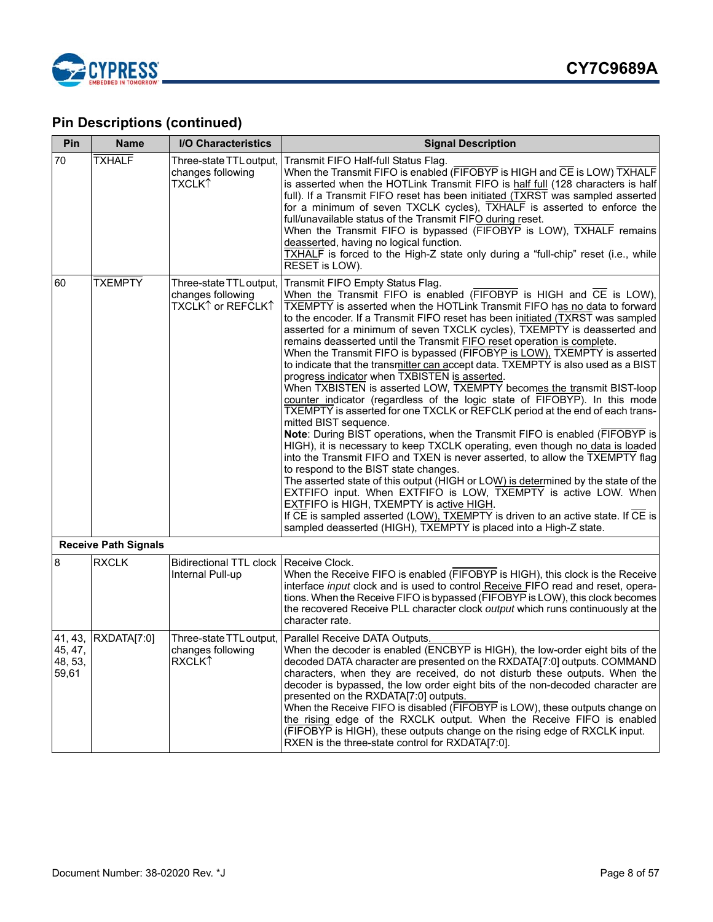

| Pin                                    | <b>Name</b>                 | I/O Characteristics                                                       | <b>Signal Description</b>                                                                                                                                                                                                                                                                                                                                                                                                                                                                                                                                                                                                                                                                                                                                                                                                                                                                                                                                                                                                                                                                                                                                                                                                                                                                                                                                                                                                                                                                                                                                          |
|----------------------------------------|-----------------------------|---------------------------------------------------------------------------|--------------------------------------------------------------------------------------------------------------------------------------------------------------------------------------------------------------------------------------------------------------------------------------------------------------------------------------------------------------------------------------------------------------------------------------------------------------------------------------------------------------------------------------------------------------------------------------------------------------------------------------------------------------------------------------------------------------------------------------------------------------------------------------------------------------------------------------------------------------------------------------------------------------------------------------------------------------------------------------------------------------------------------------------------------------------------------------------------------------------------------------------------------------------------------------------------------------------------------------------------------------------------------------------------------------------------------------------------------------------------------------------------------------------------------------------------------------------------------------------------------------------------------------------------------------------|
| 70                                     | <b>TXHALF</b>               | Three-state TTL output,<br>changes following<br>TXCLK↑                    | Transmit FIFO Half-full Status Flag.<br>When the Transmit FIFO is enabled (FIFOBYP is HIGH and CE is LOW) TXHALF<br>is asserted when the HOTLink Transmit FIFO is half full (128 characters is half<br>full). If a Transmit FIFO reset has been initiated (TXRST was sampled asserted<br>for a minimum of seven TXCLK cycles), TXHALF is asserted to enforce the<br>full/unavailable status of the Transmit FIFO during reset.<br>When the Transmit FIFO is bypassed (FIFOBYP is LOW), TXHALF remains<br>deasserted, having no logical function.<br>TXHALF is forced to the High-Z state only during a "full-chip" reset (i.e., while<br>RESET is LOW).                                                                                                                                                                                                                                                                                                                                                                                                                                                                                                                                                                                                                                                                                                                                                                                                                                                                                                            |
| 60                                     | <b>TXEMPTY</b>              | Three-state TTL output,<br>changes following<br>TXCLK↑ or REFCLK↑         | Transmit FIFO Empty Status Flag.<br>When the Transmit FIFO is enabled (FIFOBYP is HIGH and CE is LOW),<br>TXEMPTY is asserted when the HOTLink Transmit FIFO has no data to forward<br>to the encoder. If a Transmit FIFO reset has been initiated (TXRST was sampled<br>asserted for a minimum of seven TXCLK cycles), TXEMPTY is deasserted and<br>remains deasserted until the Transmit FIFO reset operation is complete.<br>When the Transmit FIFO is bypassed (FIFOBYP is LOW), TXEMPTY is asserted<br>to indicate that the transmitter can accept data. TXEMPTY is also used as a BIST<br>progress indicator when TXBISTEN is asserted.<br>When TXBISTEN is asserted LOW, TXEMPTY becomes the transmit BIST-loop<br>counter indicator (regardless of the logic state of FIFOBYP). In this mode<br>TXEMPTY is asserted for one TXCLK or REFCLK period at the end of each trans-<br>mitted BIST sequence.<br>Note: During BIST operations, when the Transmit FIFO is enabled (FIFOBYP is<br>HIGH), it is necessary to keep TXCLK operating, even though no data is loaded<br>into the Transmit FIFO and TXEN is never asserted, to allow the TXEMPTY flag<br>to respond to the BIST state changes.<br>The asserted state of this output (HIGH or LOW) is determined by the state of the<br>EXTFIFO input. When EXTFIFO is LOW, TXEMPTY is active LOW. When<br>EXTFIFO is HIGH, TXEMPTY is active HIGH.<br>If CE is sampled asserted (LOW), TXEMPTY is driven to an active state. If CE is<br>sampled deasserted (HIGH), TXEMPTY is placed into a High-Z state. |
|                                        | <b>Receive Path Signals</b> |                                                                           |                                                                                                                                                                                                                                                                                                                                                                                                                                                                                                                                                                                                                                                                                                                                                                                                                                                                                                                                                                                                                                                                                                                                                                                                                                                                                                                                                                                                                                                                                                                                                                    |
| $\bf 8$                                | <b>RXCLK</b>                | <b>Bidirectional TTL clock</b><br>Internal Pull-up                        | Receive Clock.<br>When the Receive FIFO is enabled (FIFOBYP is HIGH), this clock is the Receive<br>interface input clock and is used to control Receive FIFO read and reset, opera-<br>tions. When the Receive FIFO is bypassed (FIFOBYP is LOW), this clock becomes<br>the recovered Receive PLL character clock output which runs continuously at the<br>character rate.                                                                                                                                                                                                                                                                                                                                                                                                                                                                                                                                                                                                                                                                                                                                                                                                                                                                                                                                                                                                                                                                                                                                                                                         |
| 41, 43,<br>45, 47,<br>48, 53,<br>59,61 | RXDATA[7:0]                 | Three-state TTL output,<br>changes following<br><b>RXCLK</b> <sup>1</sup> | Parallel Receive DATA Outputs.<br>When the decoder is enabled (ENCBYP is HIGH), the low-order eight bits of the<br>decoded DATA character are presented on the RXDATA[7:0] outputs. COMMAND<br>characters, when they are received, do not disturb these outputs. When the<br>decoder is bypassed, the low order eight bits of the non-decoded character are<br>presented on the RXDATA[7:0] outputs.<br>When the Receive FIFO is disabled (FIFOBYP is LOW), these outputs change on<br>the rising edge of the RXCLK output. When the Receive FIFO is enabled<br>(FIFOBYP is HIGH), these outputs change on the rising edge of RXCLK input.<br>RXEN is the three-state control for RXDATA[7:0].                                                                                                                                                                                                                                                                                                                                                                                                                                                                                                                                                                                                                                                                                                                                                                                                                                                                     |

<u> 1999 - Johann Barnett, f</u>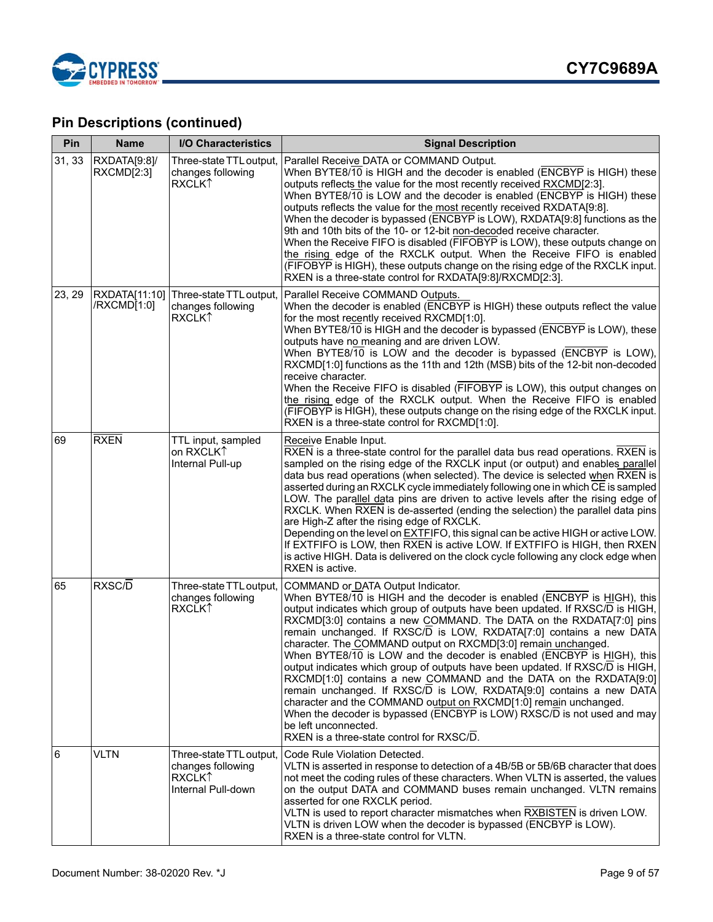

| Pin    | <b>Name</b>                  | I/O Characteristics                                                                             | <b>Signal Description</b>                                                                                                                                                                                                                                                                                                                                                                                                                                                                                                                                                                                                                                                                                                                                                                                                                                                                                                               |
|--------|------------------------------|-------------------------------------------------------------------------------------------------|-----------------------------------------------------------------------------------------------------------------------------------------------------------------------------------------------------------------------------------------------------------------------------------------------------------------------------------------------------------------------------------------------------------------------------------------------------------------------------------------------------------------------------------------------------------------------------------------------------------------------------------------------------------------------------------------------------------------------------------------------------------------------------------------------------------------------------------------------------------------------------------------------------------------------------------------|
| 31, 33 | RXDATA[9:8]/<br>RXCMD[2:3]   | Three-state TTL output,<br>changes following<br>RXCLK↑                                          | Parallel Receive DATA or COMMAND Output.<br>When BYTE8/10 is HIGH and the decoder is enabled (ENCBYP is HIGH) these<br>outputs reflects the value for the most recently received RXCMD[2:3].<br>When BYTE8/10 is LOW and the decoder is enabled (ENCBYP is HIGH) these<br>outputs reflects the value for the most recently received RXDATA[9:8].<br>When the decoder is bypassed (ENCBYP is LOW), RXDATA[9:8] functions as the<br>9th and 10th bits of the 10- or 12-bit non-decoded receive character.<br>When the Receive FIFO is disabled (FIFOBYP is LOW), these outputs change on<br>the rising edge of the RXCLK output. When the Receive FIFO is enabled<br>(FIFOBYP is HIGH), these outputs change on the rising edge of the RXCLK input.<br>RXEN is a three-state control for RXDATA[9:8]/RXCMD[2:3].                                                                                                                          |
| 23, 29 | RXDATA[11:10]<br>/RXCMD[1:0] | Three-state TTL output,<br>changes following<br><b>RXCLKT</b>                                   | Parallel Receive COMMAND Outputs.<br>When the decoder is enabled (ENCBYP is HIGH) these outputs reflect the value<br>for the most recently received RXCMD[1:0].<br>When BYTE8/10 is HIGH and the decoder is bypassed (ENCBYP is LOW), these<br>outputs have no meaning and are driven LOW.<br>When BYTE8/10 is LOW and the decoder is bypassed (ENCBYP is LOW),<br>RXCMD[1:0] functions as the 11th and 12th (MSB) bits of the 12-bit non-decoded<br>receive character.<br>When the Receive FIFO is disabled (FIFOBYP is LOW), this output changes on<br>the rising edge of the RXCLK output. When the Receive FIFO is enabled<br>(FIFOBYP is HIGH), these outputs change on the rising edge of the RXCLK input.<br>RXEN is a three-state control for RXCMD[1:0].                                                                                                                                                                       |
| 69     | <b>RXEN</b>                  | TTL input, sampled<br>on RXCLK1<br>Internal Pull-up                                             | Receive Enable Input.<br>RXEN is a three-state control for the parallel data bus read operations. RXEN is<br>sampled on the rising edge of the RXCLK input (or output) and enables parallel<br>data bus read operations (when selected). The device is selected when RXEN is<br>asserted during an RXCLK cycle immediately following one in which CE is sampled<br>LOW. The parallel data pins are driven to active levels after the rising edge of<br>RXCLK. When RXEN is de-asserted (ending the selection) the parallel data pins<br>are High-Z after the rising edge of RXCLK.<br>Depending on the level on EXTFIFO, this signal can be active HIGH or active LOW.<br>If EXTFIFO is LOW, then RXEN is active LOW. If EXTFIFO is HIGH, then RXEN<br>is active HIGH. Data is delivered on the clock cycle following any clock edge when<br>RXEN is active.                                                                            |
| 65     | RXSC/D                       | Three-state TTL output,<br>changes following<br>RXCLK <sup>1</sup>                              | COMMAND or DATA Output Indicator.<br>When BYTE8/10 is HIGH and the decoder is enabled (ENCBYP is HIGH), this<br>output indicates which group of outputs have been updated. If RXSC/D is HIGH,<br>RXCMD[3:0] contains a new COMMAND. The DATA on the RXDATA[7:0] pins<br>remain unchanged. If RXSC/D is LOW, RXDATA[7:0] contains a new DATA<br>character. The COMMAND output on RXCMD[3:0] remain unchanged.<br>When BYTE8/10 is LOW and the decoder is enabled (ENCBYP is HIGH), this<br>output indicates which group of outputs have been updated. If RXSC/D is HIGH,<br>RXCMD[1:0] contains a new COMMAND and the DATA on the RXDATA[9:0]<br>remain unchanged. If RXSC/D is LOW, RXDATA[9:0] contains a new DATA<br>character and the COMMAND output on RXCMD[1:0] remain unchanged.<br>When the decoder is bypassed (ENCBYP is LOW) RXSC/D is not used and may<br>be left unconnected.<br>RXEN is a three-state control for RXSC/D. |
| 6      | <b>VLTN</b>                  | Three-state TTL output,<br>changes following<br><b>RXCLK</b> <sup>1</sup><br>Internal Pull-down | Code Rule Violation Detected.<br>VLTN is asserted in response to detection of a 4B/5B or 5B/6B character that does<br>not meet the coding rules of these characters. When VLTN is asserted, the values<br>on the output DATA and COMMAND buses remain unchanged. VLTN remains<br>asserted for one RXCLK period.<br>VLTN is used to report character mismatches when RXBISTEN is driven LOW.<br>VLTN is driven LOW when the decoder is bypassed (ENCBYP is LOW).<br>RXEN is a three-state control for VLTN.                                                                                                                                                                                                                                                                                                                                                                                                                              |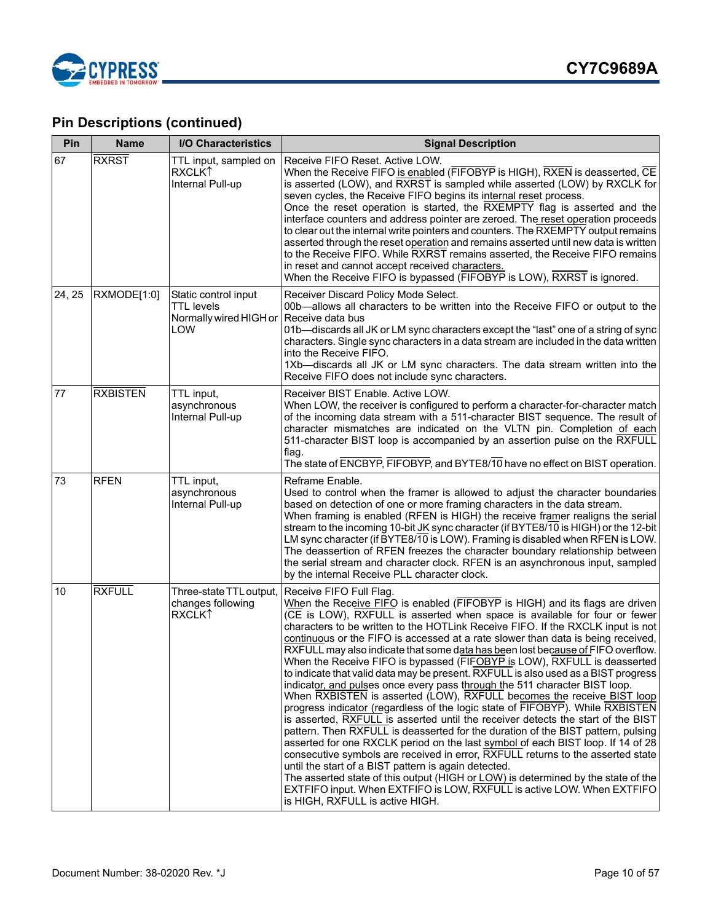

| Pin    | <b>Name</b>     | <b>I/O Characteristics</b>                                                 | <b>Signal Description</b>                                                                                                                                                                                                                                                                                                                                                                                                                                                                                                                                                                                                                                                                                                                                                                                                                                                                                                                                                                                                                                                                                                                                                                                                                                                                                                                                                                                                                                       |
|--------|-----------------|----------------------------------------------------------------------------|-----------------------------------------------------------------------------------------------------------------------------------------------------------------------------------------------------------------------------------------------------------------------------------------------------------------------------------------------------------------------------------------------------------------------------------------------------------------------------------------------------------------------------------------------------------------------------------------------------------------------------------------------------------------------------------------------------------------------------------------------------------------------------------------------------------------------------------------------------------------------------------------------------------------------------------------------------------------------------------------------------------------------------------------------------------------------------------------------------------------------------------------------------------------------------------------------------------------------------------------------------------------------------------------------------------------------------------------------------------------------------------------------------------------------------------------------------------------|
| 67     | <b>RXRST</b>    | TTL input, sampled on<br><b>RXCLKT</b><br>Internal Pull-up                 | Receive FIFO Reset. Active LOW.<br>When the Receive FIFO is enabled (FIFOBYP is HIGH), RXEN is deasserted, CE<br>is asserted (LOW), and RXRST is sampled while asserted (LOW) by RXCLK for<br>seven cycles, the Receive FIFO begins its internal reset process.<br>Once the reset operation is started, the RXEMPTY flag is asserted and the<br>interface counters and address pointer are zeroed. The reset operation proceeds<br>to clear out the internal write pointers and counters. The RXEMPTY output remains<br>asserted through the reset operation and remains asserted until new data is written<br>to the Receive FIFO. While RXRST remains asserted, the Receive FIFO remains<br>in reset and cannot accept received characters.<br>When the Receive FIFO is bypassed (FIFOBYP is LOW), RXRST is ignored.                                                                                                                                                                                                                                                                                                                                                                                                                                                                                                                                                                                                                                          |
| 24, 25 | RXMODE[1:0]     | Static control input<br><b>TTL</b> levels<br>Normally wired HIGH or<br>LOW | Receiver Discard Policy Mode Select.<br>00b-allows all characters to be written into the Receive FIFO or output to the<br>Receive data bus<br>01b-discards all JK or LM sync characters except the "last" one of a string of sync<br>characters. Single sync characters in a data stream are included in the data written<br>into the Receive FIFO.<br>1Xb-discards all JK or LM sync characters. The data stream written into the<br>Receive FIFO does not include sync characters.                                                                                                                                                                                                                                                                                                                                                                                                                                                                                                                                                                                                                                                                                                                                                                                                                                                                                                                                                                            |
| 77     | <b>RXBISTEN</b> | TTL input,<br>asynchronous<br>Internal Pull-up                             | Receiver BIST Enable. Active LOW.<br>When LOW, the receiver is configured to perform a character-for-character match<br>of the incoming data stream with a 511-character BIST sequence. The result of<br>character mismatches are indicated on the VLTN pin. Completion of each<br>511-character BIST loop is accompanied by an assertion pulse on the RXFULL<br>flag.<br>The state of ENCBYP, FIFOBYP, and BYTE8/10 have no effect on BIST operation.                                                                                                                                                                                                                                                                                                                                                                                                                                                                                                                                                                                                                                                                                                                                                                                                                                                                                                                                                                                                          |
| 73     | <b>RFEN</b>     | TTL input,<br>asynchronous<br>Internal Pull-up                             | Reframe Enable.<br>Used to control when the framer is allowed to adjust the character boundaries<br>based on detection of one or more framing characters in the data stream.<br>When framing is enabled (RFEN is HIGH) the receive framer realigns the serial<br>stream to the incoming 10-bit JK sync character (if BYTE8/10 is HIGH) or the 12-bit<br>LM sync character (if BYTE8/10 is LOW). Framing is disabled when RFEN is LOW.<br>The deassertion of RFEN freezes the character boundary relationship between<br>the serial stream and character clock. RFEN is an asynchronous input, sampled<br>by the internal Receive PLL character clock.                                                                                                                                                                                                                                                                                                                                                                                                                                                                                                                                                                                                                                                                                                                                                                                                           |
| 10     | <b>RXFULL</b>   | Three-state TTL output,<br>changes following<br><b>RXCLK1</b>              | Receive FIFO Full Flag.<br>When the Receive FIFO is enabled (FIFOBYP is HIGH) and its flags are driven<br>(CE is LOW), RXFULL is asserted when space is available for four or fewer<br>characters to be written to the HOTLink Receive FIFO. If the RXCLK input is not<br>continuous or the FIFO is accessed at a rate slower than data is being received,<br>RXFULL may also indicate that some data has been lost because of FIFO overflow.<br>When the Receive FIFO is bypassed (FIFOBYP is LOW), RXFULL is deasserted<br>to indicate that valid data may be present. RXFULL is also used as a BIST progress<br>indicator, and pulses once every pass through the 511 character BIST loop.<br>When RXBISTEN is asserted (LOW), RXFULL becomes the receive BIST loop<br>progress indicator (regardless of the logic state of FIFOBYP). While RXBISTEN<br>is asserted, RXFULL is asserted until the receiver detects the start of the BIST<br>pattern. Then RXFULL is deasserted for the duration of the BIST pattern, pulsing<br>asserted for one RXCLK period on the last symbol of each BIST loop. If 14 of 28<br>consecutive symbols are received in error, RXFULL returns to the asserted state<br>until the start of a BIST pattern is again detected.<br>The asserted state of this output (HIGH or LOW) is determined by the state of the<br>EXTFIFO input. When EXTFIFO is LOW, RXFULL is active LOW. When EXTFIFO<br>is HIGH, RXFULL is active HIGH. |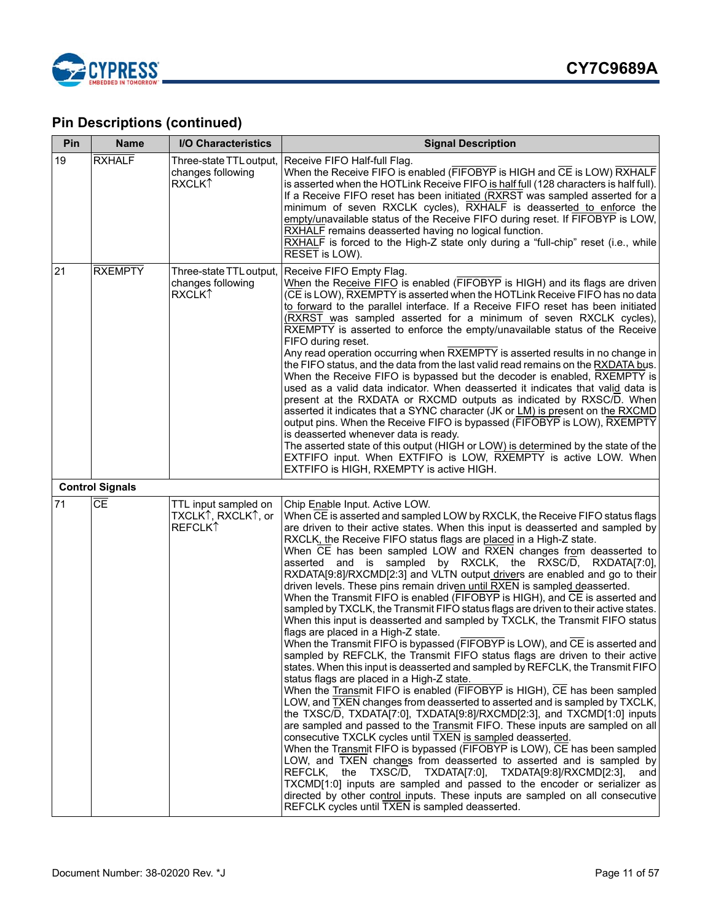

| Pin | <b>Name</b>                       | <b>I/O Characteristics</b>                                         | <b>Signal Description</b>                                                                                                                                                                                                                                                                                                                                                                                                                                                                                                                                                                                                                                                                                                                                                                                                                                                                                                                                                                                                                                                                                                                                                                                                                                                                                                                                                                                                                                                                                                                                                                                                                                                                                                                                                                                                                                                                                                                                                                  |
|-----|-----------------------------------|--------------------------------------------------------------------|--------------------------------------------------------------------------------------------------------------------------------------------------------------------------------------------------------------------------------------------------------------------------------------------------------------------------------------------------------------------------------------------------------------------------------------------------------------------------------------------------------------------------------------------------------------------------------------------------------------------------------------------------------------------------------------------------------------------------------------------------------------------------------------------------------------------------------------------------------------------------------------------------------------------------------------------------------------------------------------------------------------------------------------------------------------------------------------------------------------------------------------------------------------------------------------------------------------------------------------------------------------------------------------------------------------------------------------------------------------------------------------------------------------------------------------------------------------------------------------------------------------------------------------------------------------------------------------------------------------------------------------------------------------------------------------------------------------------------------------------------------------------------------------------------------------------------------------------------------------------------------------------------------------------------------------------------------------------------------------------|
| 19  | <b>RXHALF</b>                     | Three-state TTL output,<br>changes following<br><b>RXCLKT</b>      | Receive FIFO Half-full Flag.<br>When the Receive FIFO is enabled (FIFOBYP is HIGH and CE is LOW) RXHALF<br>is asserted when the HOTLink Receive FIFO is half full (128 characters is half full).<br>If a Receive FIFO reset has been initiated (RXRST was sampled asserted for a<br>minimum of seven RXCLK cycles), RXHALF is deasserted to enforce the<br>empty/unavailable status of the Receive FIFO during reset. If FIFOBYP is LOW,<br>RXHALF remains deasserted having no logical function.<br>RXHALF is forced to the High-Z state only during a "full-chip" reset (i.e., while<br>RESET is LOW).                                                                                                                                                                                                                                                                                                                                                                                                                                                                                                                                                                                                                                                                                                                                                                                                                                                                                                                                                                                                                                                                                                                                                                                                                                                                                                                                                                                   |
| 21  | <b>RXEMPTY</b>                    | Three-state TTL output,<br>changes following<br>RXCLK <sup>1</sup> | Receive FIFO Empty Flag.<br>When the Receive FIFO is enabled (FIFOBYP is HIGH) and its flags are driven<br>(CE is LOW), RXEMPTY is asserted when the HOTLink Receive FIFO has no data<br>to forward to the parallel interface. If a Receive FIFO reset has been initiated<br>(RXRST was sampled asserted for a minimum of seven RXCLK cycles),<br>RXEMPTY is asserted to enforce the empty/unavailable status of the Receive<br>FIFO during reset.<br>Any read operation occurring when RXEMPTY is asserted results in no change in<br>the FIFO status, and the data from the last valid read remains on the RXDATA bus.<br>When the Receive FIFO is bypassed but the decoder is enabled, RXEMPTY is<br>used as a valid data indicator. When deasserted it indicates that valid data is<br>present at the RXDATA or RXCMD outputs as indicated by RXSC/D. When<br>asserted it indicates that a SYNC character (JK or LM) is present on the RXCMD<br>output pins. When the Receive FIFO is bypassed (FIFOBYP is LOW), RXEMPTY<br>is deasserted whenever data is ready.<br>The asserted state of this output (HIGH or LOW) is determined by the state of the<br>EXTFIFO input. When EXTFIFO is LOW, RXEMPTY is active LOW. When<br>EXTFIFO is HIGH, RXEMPTY is active HIGH.                                                                                                                                                                                                                                                                                                                                                                                                                                                                                                                                                                                                                                                                                                                  |
|     | <b>Control Signals</b>            |                                                                    |                                                                                                                                                                                                                                                                                                                                                                                                                                                                                                                                                                                                                                                                                                                                                                                                                                                                                                                                                                                                                                                                                                                                                                                                                                                                                                                                                                                                                                                                                                                                                                                                                                                                                                                                                                                                                                                                                                                                                                                            |
| 71  | $\overline{\overline{\text{CE}}}$ | TTL input sampled on<br>TXCLK↑, RXCLK↑, or<br><b>REFCLK1</b>       | Chip Enable Input. Active LOW.<br>When CE is asserted and sampled LOW by RXCLK, the Receive FIFO status flags<br>are driven to their active states. When this input is deasserted and sampled by<br>RXCLK, the Receive FIFO status flags are placed in a High-Z state.<br>When CE has been sampled LOW and RXEN changes from deasserted to<br>asserted and is sampled by RXCLK, the RXSC/D, RXDATA[7:0],<br>RXDATA[9:8]/RXCMD[2:3] and VLTN output drivers are enabled and go to their<br>driven levels. These pins remain driven until RXEN is sampled deasserted.<br>When the Transmit FIFO is enabled (FIFOBYP is HIGH), and CE is asserted and<br>sampled by TXCLK, the Transmit FIFO status flags are driven to their active states.<br>When this input is deasserted and sampled by TXCLK, the Transmit FIFO status<br>flags are placed in a High-Z state.<br>When the Transmit FIFO is bypassed (FIFOBYP is LOW), and CE is asserted and<br>sampled by REFCLK, the Transmit FIFO status flags are driven to their active<br>states. When this input is deasserted and sampled by REFCLK, the Transmit FIFO<br>status flags are placed in a High-Z state.<br>When the Transmit FIFO is enabled (FIFOBYP is HIGH), CE has been sampled<br>LOW, and TXEN changes from deasserted to asserted and is sampled by TXCLK,<br>the TXSC/D, TXDATA[7:0], TXDATA[9:8]/RXCMD[2:3], and TXCMD[1:0] inputs<br>are sampled and passed to the Transmit FIFO. These inputs are sampled on all<br>consecutive TXCLK cycles until TXEN is sampled deasserted.<br>When the Transmit FIFO is bypassed (FIFOBYP is LOW), CE has been sampled<br>LOW, and TXEN changes from deasserted to asserted and is sampled by<br>REFCLK, the<br>TXSC/D, TXDATA[7:0], TXDATA[9:8]/RXCMD[2:3],<br>and<br>TXCMD[1:0] inputs are sampled and passed to the encoder or serializer as<br>directed by other control inputs. These inputs are sampled on all consecutive<br>REFCLK cycles until TXEN is sampled deasserted. |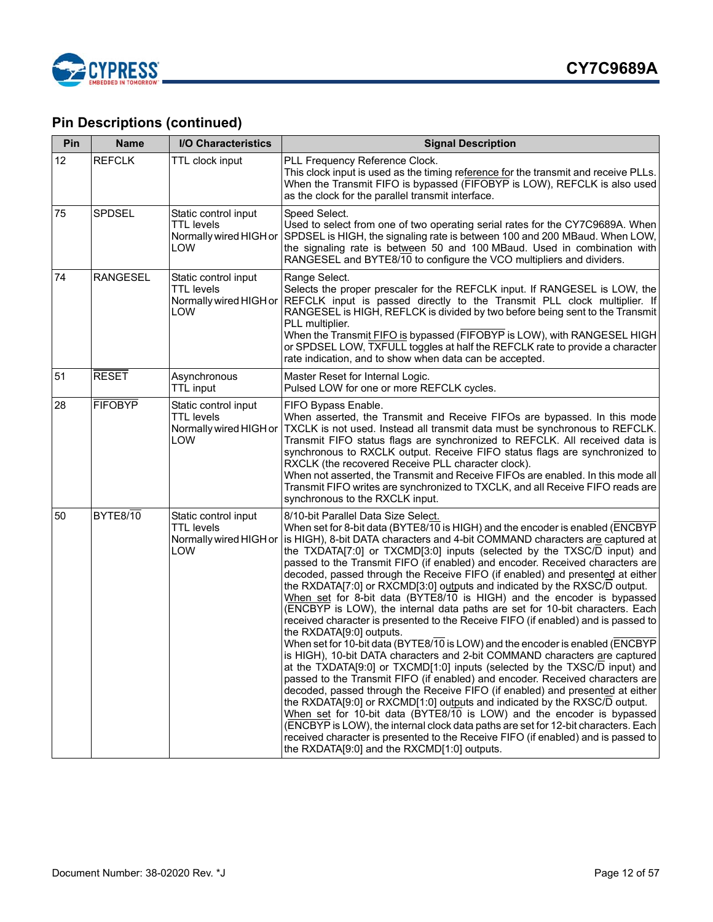

| Pin | <b>Name</b>     | <b>I/O Characteristics</b>                                                 | <b>Signal Description</b>                                                                                                                                                                                                                                                                                                                                                                                                                                                                                                                                                                                                                                                                                                                                                                                                                                                                                                                                                                                                                                                                                                                                                                                                                                                                                                                                                                                                                                                                                                                                                                                 |  |
|-----|-----------------|----------------------------------------------------------------------------|-----------------------------------------------------------------------------------------------------------------------------------------------------------------------------------------------------------------------------------------------------------------------------------------------------------------------------------------------------------------------------------------------------------------------------------------------------------------------------------------------------------------------------------------------------------------------------------------------------------------------------------------------------------------------------------------------------------------------------------------------------------------------------------------------------------------------------------------------------------------------------------------------------------------------------------------------------------------------------------------------------------------------------------------------------------------------------------------------------------------------------------------------------------------------------------------------------------------------------------------------------------------------------------------------------------------------------------------------------------------------------------------------------------------------------------------------------------------------------------------------------------------------------------------------------------------------------------------------------------|--|
| 12  | <b>REFCLK</b>   | TTL clock input                                                            | PLL Frequency Reference Clock.<br>This clock input is used as the timing reference for the transmit and receive PLLs.<br>When the Transmit FIFO is bypassed (FIFOBYP is LOW), REFCLK is also used<br>as the clock for the parallel transmit interface.                                                                                                                                                                                                                                                                                                                                                                                                                                                                                                                                                                                                                                                                                                                                                                                                                                                                                                                                                                                                                                                                                                                                                                                                                                                                                                                                                    |  |
| 75  | <b>SPDSEL</b>   | Static control input<br><b>TTL</b> levels<br>Normally wired HIGH or<br>LOW | Speed Select.<br>Used to select from one of two operating serial rates for the CY7C9689A. When<br>SPDSEL is HIGH, the signaling rate is between 100 and 200 MBaud. When LOW,<br>the signaling rate is between 50 and 100 MBaud. Used in combination with<br>RANGESEL and BYTE8/10 to configure the VCO multipliers and dividers.                                                                                                                                                                                                                                                                                                                                                                                                                                                                                                                                                                                                                                                                                                                                                                                                                                                                                                                                                                                                                                                                                                                                                                                                                                                                          |  |
| 74  | <b>RANGESEL</b> | Static control input<br><b>TTL</b> levels<br>Normally wired HIGH or<br>LOW | Range Select.<br>Selects the proper prescaler for the REFCLK input. If RANGESEL is LOW, the<br>REFCLK input is passed directly to the Transmit PLL clock multiplier. If<br>RANGESEL is HIGH, REFLCK is divided by two before being sent to the Transmit<br>PLL multiplier.<br>When the Transmit FIFO is bypassed (FIFOBYP is LOW), with RANGESEL HIGH<br>or SPDSEL LOW, TXFULL toggles at half the REFCLK rate to provide a character<br>rate indication, and to show when data can be accepted.                                                                                                                                                                                                                                                                                                                                                                                                                                                                                                                                                                                                                                                                                                                                                                                                                                                                                                                                                                                                                                                                                                          |  |
| 51  | <b>RESET</b>    | Asynchronous<br><b>TTL</b> input                                           | Master Reset for Internal Logic.<br>Pulsed LOW for one or more REFCLK cycles.                                                                                                                                                                                                                                                                                                                                                                                                                                                                                                                                                                                                                                                                                                                                                                                                                                                                                                                                                                                                                                                                                                                                                                                                                                                                                                                                                                                                                                                                                                                             |  |
| 28  | <b>FIFOBYP</b>  | Static control input<br><b>TTL</b> levels<br>Normally wired HIGH or<br>LOW | FIFO Bypass Enable.<br>When asserted, the Transmit and Receive FIFOs are bypassed. In this mode<br>TXCLK is not used. Instead all transmit data must be synchronous to REFCLK.<br>Transmit FIFO status flags are synchronized to REFCLK. All received data is<br>synchronous to RXCLK output. Receive FIFO status flags are synchronized to<br>RXCLK (the recovered Receive PLL character clock).<br>When not asserted, the Transmit and Receive FIFOs are enabled. In this mode all<br>Transmit FIFO writes are synchronized to TXCLK, and all Receive FIFO reads are<br>synchronous to the RXCLK input.                                                                                                                                                                                                                                                                                                                                                                                                                                                                                                                                                                                                                                                                                                                                                                                                                                                                                                                                                                                                 |  |
| 50  | <b>BYTE8/10</b> | Static control input<br><b>TTL</b> levels<br>Normally wired HIGH or<br>LOW | 8/10-bit Parallel Data Size Select.<br>When set for 8-bit data (BYTE8/10 is HIGH) and the encoder is enabled (ENCBYP<br>is HIGH), 8-bit DATA characters and 4-bit COMMAND characters are captured at<br>the TXDATA[7:0] or TXCMD[3:0] inputs (selected by the TXSC/D input) and<br>passed to the Transmit FIFO (if enabled) and encoder. Received characters are<br>decoded, passed through the Receive FIFO (if enabled) and presented at either<br>the RXDATA[7:0] or RXCMD[3:0] outputs and indicated by the RXSC/D output.<br>When set for 8-bit data (BYTE8/10 is HIGH) and the encoder is bypassed<br>(ENCBYP is LOW), the internal data paths are set for 10-bit characters. Each<br>received character is presented to the Receive FIFO (if enabled) and is passed to<br>the RXDATA[9:0] outputs.<br>When set for 10-bit data (BYTE8/10 is LOW) and the encoder is enabled (ENCBYP<br>is HIGH), 10-bit DATA characters and 2-bit COMMAND characters are captured<br>at the TXDATA[9:0] or TXCMD[1:0] inputs (selected by the TXSC/D input) and<br>passed to the Transmit FIFO (if enabled) and encoder. Received characters are<br>decoded, passed through the Receive FIFO (if enabled) and presented at either<br>the RXDATA[9:0] or RXCMD[1:0] outputs and indicated by the RXSC/D output.<br>When set for 10-bit data (BYTE8/10 is LOW) and the encoder is bypassed<br>(ENCBYP is LOW), the internal clock data paths are set for 12-bit characters. Each<br>received character is presented to the Receive FIFO (if enabled) and is passed to<br>the RXDATA[9:0] and the RXCMD[1:0] outputs. |  |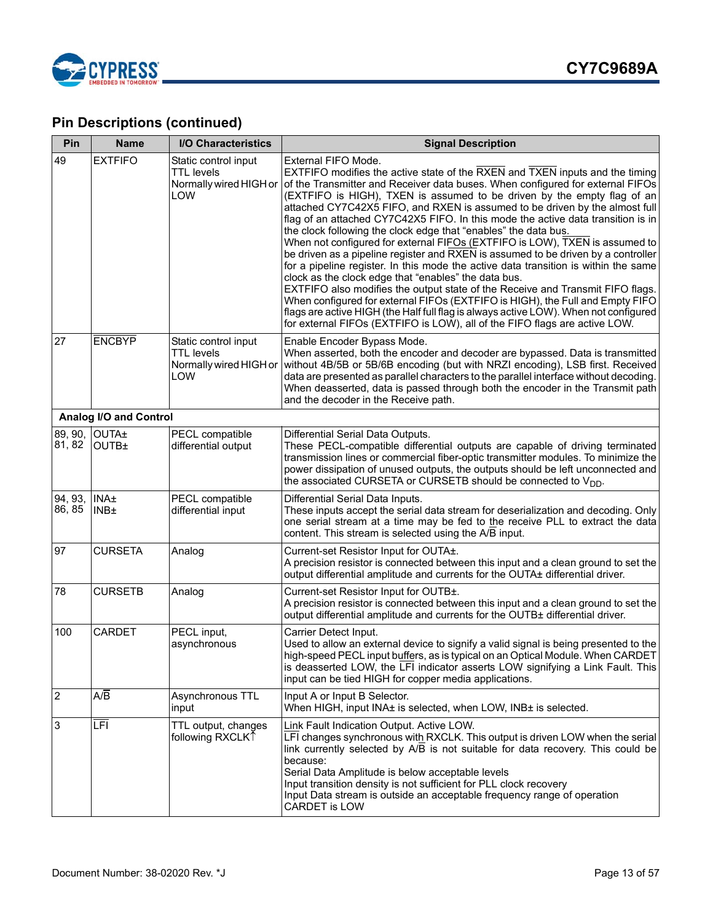

| Pin               | <b>Name</b>                             | <b>I/O Characteristics</b>                                                 | <b>Signal Description</b>                                                                                                                                                                                                                                                                                                                                                                                                                                                                                                                                                                                                                                                                                                                                                                                                                                                                                                                                                                                                                                                                                                                                          |
|-------------------|-----------------------------------------|----------------------------------------------------------------------------|--------------------------------------------------------------------------------------------------------------------------------------------------------------------------------------------------------------------------------------------------------------------------------------------------------------------------------------------------------------------------------------------------------------------------------------------------------------------------------------------------------------------------------------------------------------------------------------------------------------------------------------------------------------------------------------------------------------------------------------------------------------------------------------------------------------------------------------------------------------------------------------------------------------------------------------------------------------------------------------------------------------------------------------------------------------------------------------------------------------------------------------------------------------------|
| 49                | <b>EXTFIFO</b>                          | Static control input<br><b>TTL</b> levels<br>Normally wired HIGH or<br>LOW | External FIFO Mode.<br>EXTFIFO modifies the active state of the RXEN and TXEN inputs and the timing<br>of the Transmitter and Receiver data buses. When configured for external FIFOs<br>(EXTFIFO is HIGH), TXEN is assumed to be driven by the empty flag of an<br>attached CY7C42X5 FIFO, and RXEN is assumed to be driven by the almost full<br>flag of an attached CY7C42X5 FIFO. In this mode the active data transition is in<br>the clock following the clock edge that "enables" the data bus.<br>When not configured for external FIFOs (EXTFIFO is LOW), TXEN is assumed to<br>be driven as a pipeline register and RXEN is assumed to be driven by a controller<br>for a pipeline register. In this mode the active data transition is within the same<br>clock as the clock edge that "enables" the data bus.<br>EXTFIFO also modifies the output state of the Receive and Transmit FIFO flags.<br>When configured for external FIFOs (EXTFIFO is HIGH), the Full and Empty FIFO<br>flags are active HIGH (the Half full flag is always active LOW). When not configured<br>for external FIFOs (EXTFIFO is LOW), all of the FIFO flags are active LOW. |
| 27                | <b>ENCBYP</b>                           | Static control input<br><b>TTL</b> levels<br>Normally wired HIGH or<br>LOW | Enable Encoder Bypass Mode.<br>When asserted, both the encoder and decoder are bypassed. Data is transmitted<br>without 4B/5B or 5B/6B encoding (but with NRZI encoding), LSB first. Received<br>data are presented as parallel characters to the parallel interface without decoding.<br>When deasserted, data is passed through both the encoder in the Transmit path<br>and the decoder in the Receive path.                                                                                                                                                                                                                                                                                                                                                                                                                                                                                                                                                                                                                                                                                                                                                    |
|                   | Analog I/O and Control                  |                                                                            |                                                                                                                                                                                                                                                                                                                                                                                                                                                                                                                                                                                                                                                                                                                                                                                                                                                                                                                                                                                                                                                                                                                                                                    |
| 81, 82            | 89, 90, OUTA±<br><b>OUTB</b>            | PECL compatible<br>differential output                                     | Differential Serial Data Outputs.<br>These PECL-compatible differential outputs are capable of driving terminated<br>transmission lines or commercial fiber-optic transmitter modules. To minimize the<br>power dissipation of unused outputs, the outputs should be left unconnected and<br>the associated CURSETA or CURSETB should be connected to V <sub>DD</sub> .                                                                                                                                                                                                                                                                                                                                                                                                                                                                                                                                                                                                                                                                                                                                                                                            |
| 94, 93,<br>86, 85 | <b>INA</b> ±<br><b>INB</b> <sup>±</sup> | PECL compatible<br>differential input                                      | Differential Serial Data Inputs.<br>These inputs accept the serial data stream for deserialization and decoding. Only<br>one serial stream at a time may be fed to the receive PLL to extract the data<br>content. This stream is selected using the A/B input.                                                                                                                                                                                                                                                                                                                                                                                                                                                                                                                                                                                                                                                                                                                                                                                                                                                                                                    |
| 97                | <b>CURSETA</b>                          | Analog                                                                     | Current-set Resistor Input for OUTA+.<br>A precision resistor is connected between this input and a clean ground to set the<br>output differential amplitude and currents for the OUTA± differential driver.                                                                                                                                                                                                                                                                                                                                                                                                                                                                                                                                                                                                                                                                                                                                                                                                                                                                                                                                                       |
| 78                | <b>CURSETB</b>                          | Analog                                                                     | Current-set Resistor Input for OUTB+.<br>A precision resistor is connected between this input and a clean ground to set the<br>output differential amplitude and currents for the OUTB± differential driver.                                                                                                                                                                                                                                                                                                                                                                                                                                                                                                                                                                                                                                                                                                                                                                                                                                                                                                                                                       |
| 100               | <b>CARDET</b>                           | PECL input,<br>asynchronous                                                | Carrier Detect Input.<br>Used to allow an external device to signify a valid signal is being presented to the<br>high-speed PECL input buffers, as is typical on an Optical Module. When CARDET<br>is deasserted LOW, the LFI indicator asserts LOW signifying a Link Fault. This<br>input can be tied HIGH for copper media applications.                                                                                                                                                                                                                                                                                                                                                                                                                                                                                                                                                                                                                                                                                                                                                                                                                         |
| $\overline{2}$    | A/B                                     | Asynchronous TTL<br>input                                                  | Input A or Input B Selector.<br>When HIGH, input INA± is selected, when LOW, INB± is selected.                                                                                                                                                                                                                                                                                                                                                                                                                                                                                                                                                                                                                                                                                                                                                                                                                                                                                                                                                                                                                                                                     |
| 3                 | $\overline{\text{LFI}}$                 | TTL output, changes<br>following RXCLK↑                                    | Link Fault Indication Output. Active LOW.<br>LFI changes synchronous with RXCLK. This output is driven LOW when the serial<br>link currently selected by A/B is not suitable for data recovery. This could be<br>because:<br>Serial Data Amplitude is below acceptable levels<br>Input transition density is not sufficient for PLL clock recovery<br>Input Data stream is outside an acceptable frequency range of operation<br>CARDET is LOW                                                                                                                                                                                                                                                                                                                                                                                                                                                                                                                                                                                                                                                                                                                     |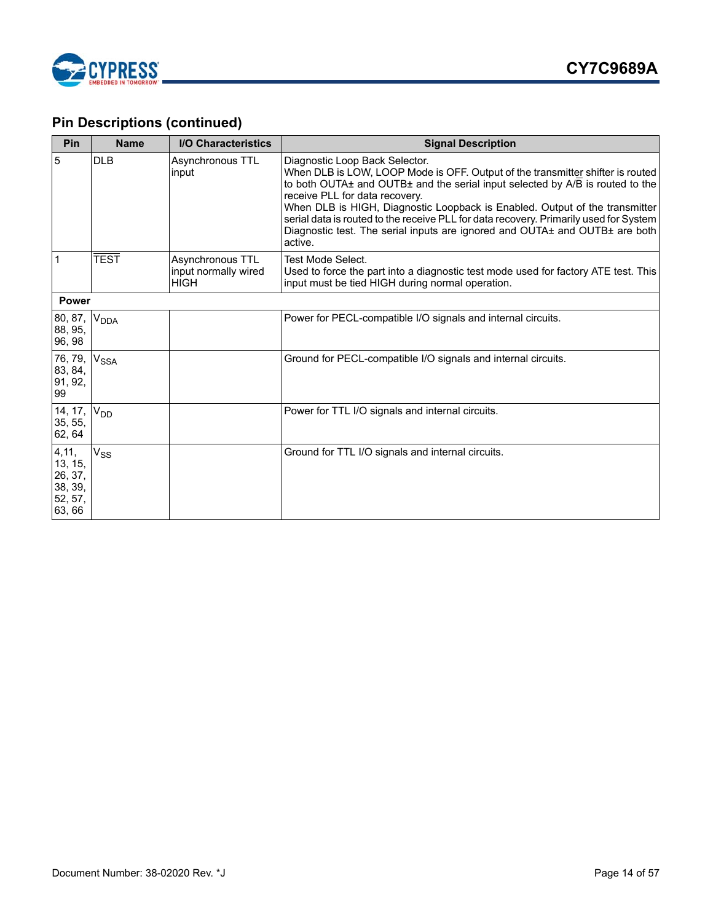

| Pin                                                        | <b>Name</b>           | <b>I/O Characteristics</b>                              | <b>Signal Description</b>                                                                                                                                                                                                                                                                                                                                                                                                                                                                                       |
|------------------------------------------------------------|-----------------------|---------------------------------------------------------|-----------------------------------------------------------------------------------------------------------------------------------------------------------------------------------------------------------------------------------------------------------------------------------------------------------------------------------------------------------------------------------------------------------------------------------------------------------------------------------------------------------------|
| $\overline{5}$                                             | <b>DLB</b>            | Asynchronous TTL<br>input                               | Diagnostic Loop Back Selector.<br>When DLB is LOW, LOOP Mode is OFF. Output of the transmitter shifter is routed<br>to both OUTA $\pm$ and OUTB $\pm$ and the serial input selected by A/B is routed to the<br>receive PLL for data recovery.<br>When DLB is HIGH, Diagnostic Loopback is Enabled. Output of the transmitter<br>serial data is routed to the receive PLL for data recovery. Primarily used for System<br>Diagnostic test. The serial inputs are ignored and OUTA± and OUTB± are both<br>active. |
| 1                                                          | <b>TEST</b>           | Asynchronous TTL<br>input normally wired<br><b>HIGH</b> | Test Mode Select.<br>Used to force the part into a diagnostic test mode used for factory ATE test. This<br>input must be tied HIGH during normal operation.                                                                                                                                                                                                                                                                                                                                                     |
| <b>Power</b>                                               |                       |                                                         |                                                                                                                                                                                                                                                                                                                                                                                                                                                                                                                 |
| 80, 87,<br>88, 95,<br>96, 98                               | V <sub>DDA</sub>      |                                                         | Power for PECL-compatible I/O signals and internal circuits.                                                                                                                                                                                                                                                                                                                                                                                                                                                    |
| 76, 79,<br>83, 84,<br>91, 92,<br>99                        | V <sub>SSA</sub>      |                                                         | Ground for PECL-compatible I/O signals and internal circuits.                                                                                                                                                                                                                                                                                                                                                                                                                                                   |
| 14, 17,<br>35, 55,<br>62, 64                               | <b>V<sub>DD</sub></b> |                                                         | Power for TTL I/O signals and internal circuits.                                                                                                                                                                                                                                                                                                                                                                                                                                                                |
| 4,11,<br>13, 15,<br>26, 37,<br>38, 39,<br>52, 57,<br>63,66 | $V_{SS}$              |                                                         | Ground for TTL I/O signals and internal circuits.                                                                                                                                                                                                                                                                                                                                                                                                                                                               |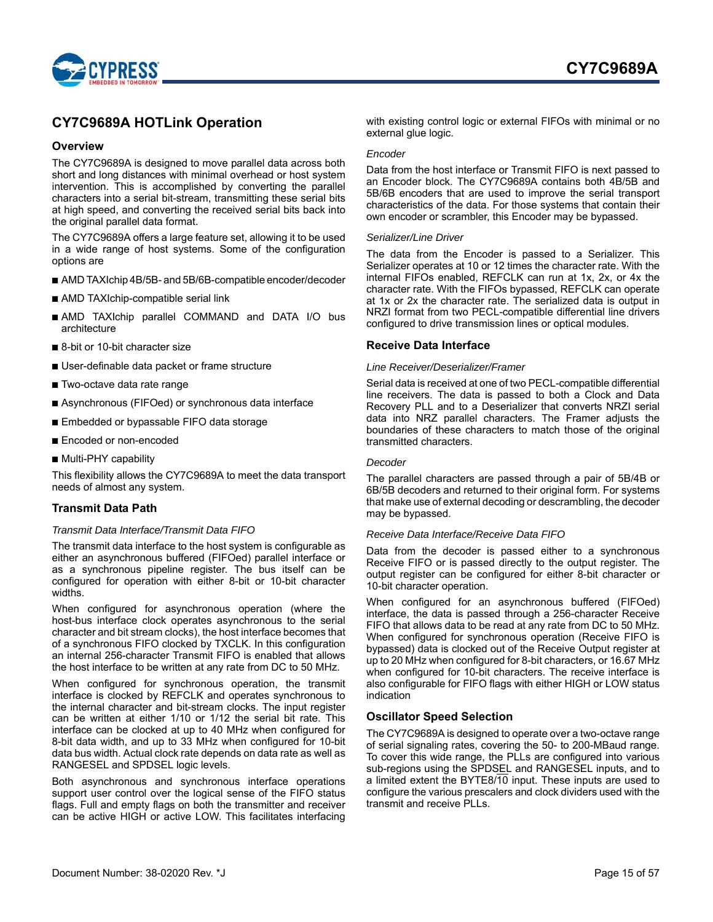

### <span id="page-14-0"></span>**CY7C9689A HOTLink Operation**

### <span id="page-14-1"></span>**Overview**

The CY7C9689A is designed to move parallel data across both short and long distances with minimal overhead or host system intervention. This is accomplished by converting the parallel characters into a serial bit-stream, transmitting these serial bits at high speed, and converting the received serial bits back into the original parallel data format.

The CY7C9689A offers a large feature set, allowing it to be used in a wide range of host systems. Some of the configuration options are

- AMD TAXIchip 4B/5B- and 5B/6B-compatible encoder/decoder
- AMD TAXIchip-compatible serial link
- AMD TAXIchip parallel COMMAND and DATA I/O bus architecture
- 8-bit or 10-bit character size
- User-definable data packet or frame structure
- Two-octave data rate range
- Asynchronous (FIFOed) or synchronous data interface
- Embedded or bypassable FIFO data storage
- Encoded or non-encoded
- Multi-PHY capability

This flexibility allows the CY7C9689A to meet the data transport needs of almost any system.

### <span id="page-14-2"></span>**Transmit Data Path**

#### *Transmit Data Interface/Transmit Data FIFO*

The transmit data interface to the host system is configurable as either an asynchronous buffered (FIFOed) parallel interface or as a synchronous pipeline register. The bus itself can be configured for operation with either 8-bit or 10-bit character widths.

When configured for asynchronous operation (where the host-bus interface clock operates asynchronous to the serial character and bit stream clocks), the host interface becomes that of a synchronous FIFO clocked by TXCLK. In this configuration an internal 256-character Transmit FIFO is enabled that allows the host interface to be written at any rate from DC to 50 MHz.

When configured for synchronous operation, the transmit interface is clocked by REFCLK and operates synchronous to the internal character and bit-stream clocks. The input register can be written at either 1/10 or 1/12 the serial bit rate. This interface can be clocked at up to 40 MHz when configured for 8-bit data width, and up to 33 MHz when configured for 10-bit data bus width. Actual clock rate depends on data rate as well as RANGESEL and SPDSEL logic levels.

Both asynchronous and synchronous interface operations support user control over the logical sense of the FIFO status flags. Full and empty flags on both the transmitter and receiver can be active HIGH or active LOW. This facilitates interfacing

with existing control logic or external FIFOs with minimal or no external glue logic.

#### *Encoder*

Data from the host interface or Transmit FIFO is next passed to an Encoder block. The CY7C9689A contains both 4B/5B and 5B/6B encoders that are used to improve the serial transport characteristics of the data. For those systems that contain their own encoder or scrambler, this Encoder may be bypassed.

#### *Serializer/Line Driver*

The data from the Encoder is passed to a Serializer. This Serializer operates at 10 or 12 times the character rate. With the internal FIFOs enabled, REFCLK can run at 1x, 2x, or 4x the character rate. With the FIFOs bypassed, REFCLK can operate at 1x or 2x the character rate. The serialized data is output in NRZI format from two PECL-compatible differential line drivers configured to drive transmission lines or optical modules.

### <span id="page-14-3"></span>**Receive Data Interface**

#### *Line Receiver/Deserializer/Framer*

Serial data is received at one of two PECL-compatible differential line receivers. The data is passed to both a Clock and Data Recovery PLL and to a Deserializer that converts NRZI serial data into NRZ parallel characters. The Framer adjusts the boundaries of these characters to match those of the original transmitted characters.

#### *Decoder*

The parallel characters are passed through a pair of 5B/4B or 6B/5B decoders and returned to their original form. For systems that make use of external decoding or descrambling, the decoder may be bypassed.

#### *Receive Data Interface/Receive Data FIFO*

Data from the decoder is passed either to a synchronous Receive FIFO or is passed directly to the output register. The output register can be configured for either 8-bit character or 10-bit character operation.

When configured for an asynchronous buffered (FIFOed) interface, the data is passed through a 256-character Receive FIFO that allows data to be read at any rate from DC to 50 MHz. When configured for synchronous operation (Receive FIFO is bypassed) data is clocked out of the Receive Output register at up to 20 MHz when configured for 8-bit characters, or 16.67 MHz when configured for 10-bit characters. The receive interface is also configurable for FIFO flags with either HIGH or LOW status indication

### <span id="page-14-4"></span>**Oscillator Speed Selection**

The CY7C9689A is designed to operate over a two-octave range of serial signaling rates, covering the 50- to 200-MBaud range. To cover this wide range, the PLLs are configured into various sub-regions using the SPDSEL and RANGESEL inputs, and to a limited extent the BYTE8/10 input. These inputs are used to configure the various prescalers and clock dividers used with the transmit and receive PLLs.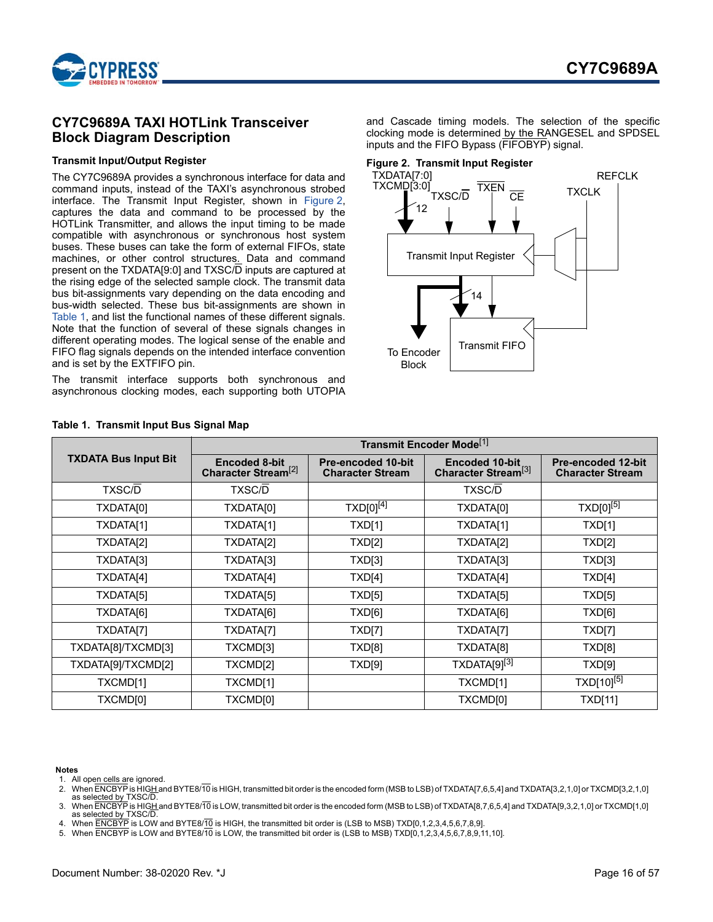

### <span id="page-15-0"></span>**CY7C9689A TAXI HOTLink Transceiver Block Diagram Description**

### **Transmit Input/Output Register**

The CY7C9689A provides a synchronous interface for data and command inputs, instead of the TAXI's asynchronous strobed interface. The Transmit Input Register, shown in [Figure 2](#page-15-6), captures the data and command to be processed by the HOTLink Transmitter, and allows the input timing to be made compatible with asynchronous or synchronous host system buses. These buses can take the form of external FIFOs, state machines, or other control structures. Data and command present on the TXDATA[9:0] and TXSC/D inputs are captured at the rising edge of the selected sample clock. The transmit data bus bit-assignments vary depending on the data encoding and bus-width selected. These bus bit-assignments are shown in [Table 1,](#page-15-7) and list the functional names of these different signals. Note that the function of several of these signals changes in different operating modes. The logical sense of the enable and FIFO flag signals depends on the intended interface convention and is set by the EXTFIFO pin.

The transmit interface supports both synchronous and asynchronous clocking modes, each supporting both UTOPIA

and Cascade timing models. The selection of the specific clocking mode is determined by the RANGESEL and SPDSEL inputs and the FIFO Bypass (FIFOBYP) signal.

### <span id="page-15-6"></span>**Figure 2. Transmit Input Register**



|                             | Transmit Encoder Mode <sup>[1]</sup>             |                                                      |                                                    |                                                      |
|-----------------------------|--------------------------------------------------|------------------------------------------------------|----------------------------------------------------|------------------------------------------------------|
| <b>TXDATA Bus Input Bit</b> | Encoded 8-bit<br>Character Stream <sup>[2]</sup> | <b>Pre-encoded 10-bit</b><br><b>Character Stream</b> | Encoded 10-bit.<br>Character Stream <sup>[3]</sup> | <b>Pre-encoded 12-bit</b><br><b>Character Stream</b> |
| <b>TXSC/D</b>               | <b>TXSC/D</b>                                    |                                                      | <b>TXSC/D</b>                                      |                                                      |
| TXDATA[0]                   | TXDATA[0]                                        | TXD[0] <sup>[4]</sup>                                | TXDATA[0]                                          | $TXD[0]^{[5]}$                                       |
| TXDATA[1]                   | TXDATA[1]                                        | <b>TXD[1]</b>                                        | TXDATA[1]                                          | TXD[1]                                               |
| TXDATA[2]                   | TXDATA[2]                                        | <b>TXD[2]</b>                                        | TXDATA[2]                                          | TXD[2]                                               |
| TXDATA[3]                   | TXDATA[3]                                        | TXD[3]                                               | TXDATA[3]                                          | TXD[3]                                               |
| TXDATA[4]                   | TXDATA[4]                                        | TXD[4]                                               | TXDATA[4]                                          | TXD[4]                                               |
| TXDATA[5]                   | TXDATA[5]                                        | TXD[5]                                               | TXDATA[5]                                          | TXD[5]                                               |
| TXDATA[6]                   | TXDATA[6]                                        | TXD[6]                                               | TXDATA[6]                                          | TXD[6]                                               |
| TXDATA[7]                   | TXDATA[7]                                        | TXD[7]                                               | TXDATA[7]                                          | TXD[7]                                               |
| TXDATA[8]/TXCMD[3]          | TXCMD[3]                                         | TXD[8]                                               | TXDATA[8]                                          | TXD[8]                                               |
| TXDATA[9]/TXCMD[2]          | TXCMD[2]                                         | TXD[9]                                               | TXDATA[9][3]                                       | TXD[9]                                               |
| TXCMD[1]                    | TXCMD[1]                                         |                                                      | TXCMD[1]                                           | TXD[10] <sup>[5]</sup>                               |
| TXCMD[0]                    | TXCMD[0]                                         |                                                      | <b>TXCMD[0]</b>                                    | <b>TXD[11]</b>                                       |

### <span id="page-15-7"></span>**Table 1. Transmit Input Bus Signal Map**

#### **Notes**

<span id="page-15-1"></span>1. All open cells are ignored.

<span id="page-15-4"></span>4. When ENCBYP is LOW and BYTE8/10 is HIGH, the transmitted bit order is (LSB to MSB) TXD[0,1,2,3,4,5,6,7,8,9].

<span id="page-15-5"></span>5. When ENCBYP is LOW and BYTE8/10 is LOW, the transmitted bit order is (LSB to MSB) TXD[0,1,2,3,4,5,6,7,8,9,11,10].

<span id="page-15-2"></span><sup>2.</sup> When ENCBYP is HIGH and BYTE8/10 is HIGH, transmitted bit order is the encoded form (MSB to LSB) of TXDATA[7,6,5,4] and TXDATA[3,2,1,0] or TXCMD[3,2,1,0] as selected by TXSC/D.

<span id="page-15-3"></span><sup>3.</sup> When ENCBYP is HIGH and BYTE8/10 is LOW, transmitted bit order is the encoded form (MSB to LSB) of TXDATA[8,7,6,5,4] and TXDATA[9,3,2,1,0] or TXCMD[1,0] as selected by TXSC/D.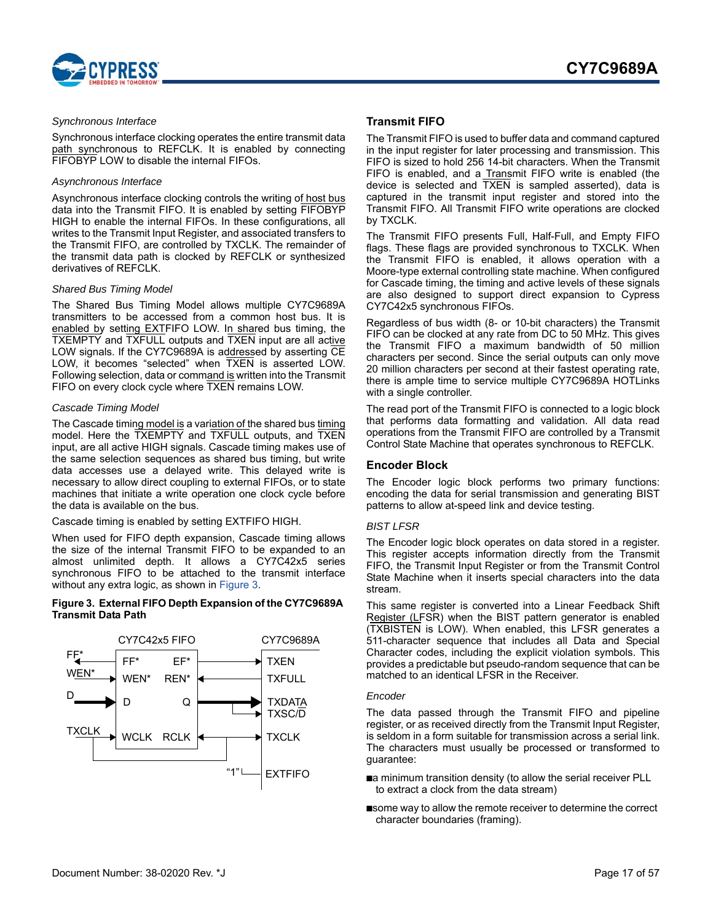

#### *Synchronous Interface*

Synchronous interface clocking operates the entire transmit data path synchronous to REFCLK. It is enabled by connecting FIFOBYP LOW to disable the internal FIFOs.

### *Asynchronous Interface*

Asynchronous interface clocking controls the writing of host bus data into the Transmit FIFO. It is enabled by setting FIFOBYP HIGH to enable the internal FIFOs. In these configurations, all writes to the Transmit Input Register, and associated transfers to the Transmit FIFO, are controlled by TXCLK. The remainder of the transmit data path is clocked by REFCLK or synthesized derivatives of REFCLK.

#### *Shared Bus Timing Model*

The Shared Bus Timing Model allows multiple CY7C9689A transmitters to be accessed from a common host bus. It is enabled by setting EXTFIFO LOW. In shared bus timing, the TXEMPTY and TXFULL outputs and TXEN input are all active LOW signals. If the CY7C9689A is addressed by asserting CE LOW, it becomes "selected" when TXEN is asserted LOW. Following selection, data or command is written into the Transmit FIFO on every clock cycle where TXEN remains LOW.

#### *Cascade Timing Model*

The Cascade timing model is a variation of the shared bus timing model. Here the TXEMPTY and TXFULL outputs, and TXEN input, are all active HIGH signals. Cascade timing makes use of the same selection sequences as shared bus timing, but write data accesses use a delayed write. This delayed write is necessary to allow direct coupling to external FIFOs, or to state machines that initiate a write operation one clock cycle before the data is available on the bus.

### Cascade timing is enabled by setting EXTFIFO HIGH.

When used for FIFO depth expansion, Cascade timing allows the size of the internal Transmit FIFO to be expanded to an almost unlimited depth. It allows a CY7C42x5 series synchronous FIFO to be attached to the transmit interface without any extra logic, as shown in [Figure 3.](#page-16-2)

#### <span id="page-16-2"></span>**Figure 3. External FIFO Depth Expansion of the CY7C9689A Transmit Data Path**



### <span id="page-16-0"></span>**Transmit FIFO**

The Transmit FIFO is used to buffer data and command captured in the input register for later processing and transmission. This FIFO is sized to hold 256 14-bit characters. When the Transmit FIFO is enabled, and a Transmit FIFO write is enabled (the device is selected and TXEN is sampled asserted), data is captured in the transmit input register and stored into the Transmit FIFO. All Transmit FIFO write operations are clocked by TXCLK.

The Transmit FIFO presents Full, Half-Full, and Empty FIFO flags. These flags are provided synchronous to TXCLK. When the Transmit FIFO is enabled, it allows operation with a Moore-type external controlling state machine. When configured for Cascade timing, the timing and active levels of these signals are also designed to support direct expansion to Cypress CY7C42x5 synchronous FIFOs.

Regardless of bus width (8- or 10-bit characters) the Transmit FIFO can be clocked at any rate from DC to 50 MHz. This gives the Transmit FIFO a maximum bandwidth of 50 million characters per second. Since the serial outputs can only move 20 million characters per second at their fastest operating rate, there is ample time to service multiple CY7C9689A HOTLinks with a single controller.

The read port of the Transmit FIFO is connected to a logic block that performs data formatting and validation. All data read operations from the Transmit FIFO are controlled by a Transmit Control State Machine that operates synchronous to REFCLK.

### <span id="page-16-1"></span>**Encoder Block**

The Encoder logic block performs two primary functions: encoding the data for serial transmission and generating BIST patterns to allow at-speed link and device testing.

### *BIST LFSR*

The Encoder logic block operates on data stored in a register. This register accepts information directly from the Transmit FIFO, the Transmit Input Register or from the Transmit Control State Machine when it inserts special characters into the data stream.

This same register is converted into a Linear Feedback Shift Register (LFSR) when the BIST pattern generator is enabled (TXBISTEN is LOW). When enabled, this LFSR generates a 511-character sequence that includes all Data and Special Character codes, including the explicit violation symbols. This provides a predictable but pseudo-random sequence that can be matched to an identical LFSR in the Receiver.

#### *Encoder*

The data passed through the Transmit FIFO and pipeline register, or as received directly from the Transmit Input Register, is seldom in a form suitable for transmission across a serial link. The characters must usually be processed or transformed to guarantee:

- ■a minimum transition density (to allow the serial receiver PLL to extract a clock from the data stream)
- ■some way to allow the remote receiver to determine the correct character boundaries (framing).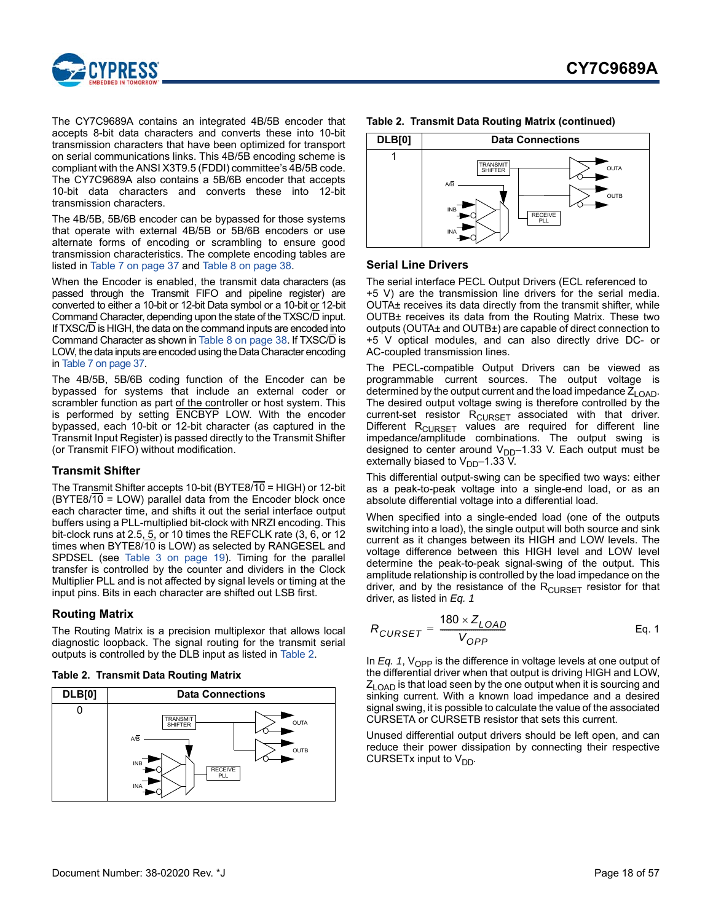

The CY7C9689A contains an integrated 4B/5B encoder that accepts 8-bit data characters and converts these into 10-bit transmission characters that have been optimized for transport on serial communications links. This 4B/5B encoding scheme is compliant with the ANSI X3T9.5 (FDDI) committee's 4B/5B code. The CY7C9689A also contains a 5B/6B encoder that accepts 10-bit data characters and converts these into 12-bit transmission characters.

The 4B/5B, 5B/6B encoder can be bypassed for those systems that operate with external 4B/5B or 5B/6B encoders or use alternate forms of encoding or scrambling to ensure good transmission characteristics. The complete encoding tables are listed in [Table 7 on page 37](#page-36-0) and [Table 8 on page 38](#page-37-0).

When the Encoder is enabled, the transmit data characters (as passed through the Transmit FIFO and pipeline register) are converted to either a 10-bit or 12-bit Data symbol or a 10-bit or 12-bit Command Character, depending upon the state of the TXSC/D input. If TXSC/D is HIGH, the data on the command inputs are encoded into Command Character as shown in [Table 8 on page 38.](#page-37-0) If TXSC/D is LOW, the data inputs are encoded using the Data Character encoding in [Table 7 on page 37.](#page-36-0)

The 4B/5B, 5B/6B coding function of the Encoder can be bypassed for systems that include an external coder or scrambler function as part of the controller or host system. This is performed by setting ENCBYP LOW. With the encoder bypassed, each 10-bit or 12-bit character (as captured in the Transmit Input Register) is passed directly to the Transmit Shifter (or Transmit FIFO) without modification.

### <span id="page-17-0"></span>**Transmit Shifter**

The Transmit Shifter accepts 10-bit (BYTE8/10 = HIGH) or 12-bit (BYTE8/10 = LOW) parallel data from the Encoder block once each character time, and shifts it out the serial interface output buffers using a PLL-multiplied bit-clock with NRZI encoding. This bit-clock runs at 2.5,  $5$ , or 10 times the REFCLK rate  $(3, 6,$  or 12 times when BYTE8/10 is LOW) as selected by RANGESEL and SPDSEL (see [Table 3 on page 19](#page-18-4)). Timing for the parallel transfer is controlled by the counter and dividers in the Clock Multiplier PLL and is not affected by signal levels or timing at the input pins. Bits in each character are shifted out LSB first.

### <span id="page-17-1"></span>**Routing Matrix**

The Routing Matrix is a precision multiplexor that allows local diagnostic loopback. The signal routing for the transmit serial outputs is controlled by the DLB input as listed in [Table 2.](#page-17-3)

<span id="page-17-3"></span>

|  | Table 2. Transmit Data Routing Matrix |  |  |  |
|--|---------------------------------------|--|--|--|
|--|---------------------------------------|--|--|--|







### <span id="page-17-2"></span>**Serial Line Drivers**

The serial interface PECL Output Drivers (ECL referenced to +5 V) are the transmission line drivers for the serial media. OUTA± receives its data directly from the transmit shifter, while OUTB± receives its data from the Routing Matrix. These two outputs (OUTA± and OUTB±) are capable of direct connection to +5 V optical modules, and can also directly drive DC- or AC-coupled transmission lines.

The PECL-compatible Output Drivers can be viewed as programmable current sources. The output voltage is determined by the output current and the load impedance  $\vec{Z}_{\text{LOAD}}$ . The desired output voltage swing is therefore controlled by the current-set resistor  $R_{\text{CURSET}}$  associated with that driver. Different  $R_{\text{CURSET}}$  values are required for different line impedance/amplitude combinations. The output swing is designed to center around  $V_{DD}$ -1.33 V. Each output must be externally biased to  $V_{DD}$ –1.33 V.

This differential output-swing can be specified two ways: either as a peak-to-peak voltage into a single-end load, or as an absolute differential voltage into a differential load.

When specified into a single-ended load (one of the outputs switching into a load), the single output will both source and sink current as it changes between its HIGH and LOW levels. The voltage difference between this HIGH level and LOW level determine the peak-to-peak signal-swing of the output. This amplitude relationship is controlled by the load impedance on the driver, and by the resistance of the  $R<sub>CURSET</sub>$  resistor for that driver, as listed in *[Eq. 1](#page-17-4)*

<span id="page-17-4"></span>
$$
R_{CURSET} = \frac{180 \times Z_{LOAD}}{V_{OPP}}
$$
 Eq. 1

In *[Eq. 1](#page-17-4)*, V<sub>OPP</sub> is the difference in voltage levels at one output of the differential driver when that output is driving HIGH and LOW,  $Z_{\text{LOAD}}$  is that load seen by the one output when it is sourcing and sinking current. With a known load impedance and a desired signal swing, it is possible to calculate the value of the associated CURSETA or CURSETB resistor that sets this current.

Unused differential output drivers should be left open, and can reduce their power dissipation by connecting their respective CURSETx input to  $V_{DD}$ .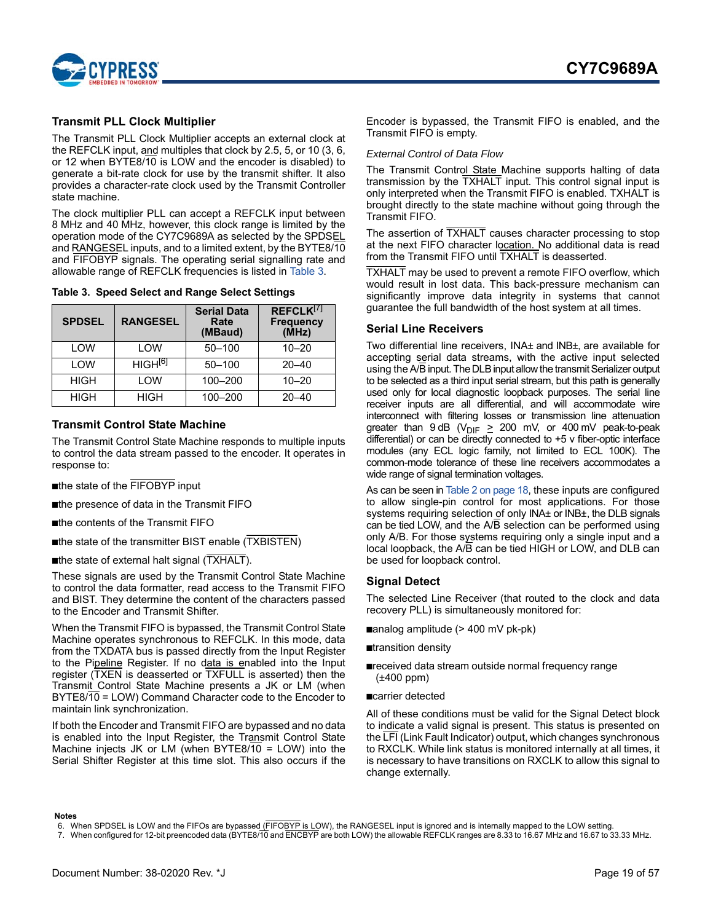

### <span id="page-18-0"></span>**Transmit PLL Clock Multiplier**

The Transmit PLL Clock Multiplier accepts an external clock at the REFCLK input, and multiples that clock by 2.5, 5, or 10 (3, 6, or 12 when BYTE8/10 is LOW and the encoder is disabled) to generate a bit-rate clock for use by the transmit shifter. It also provides a character-rate clock used by the Transmit Controller state machine.

The clock multiplier PLL can accept a REFCLK input between 8 MHz and 40 MHz, however, this clock range is limited by the operation mode of the CY7C9689A as selected by the SPDSEL and RANGESEL inputs, and to a limited extent, by the BYTE8/10 and FIFOBYP signals. The operating serial signalling rate and allowable range of REFCLK frequencies is listed in [Table 3.](#page-18-4)

<span id="page-18-4"></span>**Table 3. Speed Select and Range Select Settings**

| <b>SPDSEL</b> | <b>RANGESEL</b> | <b>Serial Data</b><br>Rate<br>(MBaud) | REFCLK <sup>[7]</sup><br><b>Frequency</b><br>(MHz) |
|---------------|-----------------|---------------------------------------|----------------------------------------------------|
| LOW           | LOW             | $50 - 100$                            | $10 - 20$                                          |
| LOW           | $HIGH^{[6]}$    | $50 - 100$                            | $20 - 40$                                          |
| <b>HIGH</b>   | LOW             | 100-200                               | $10 - 20$                                          |
| <b>HIGH</b>   | HIGH            | 100-200                               | $20 - 40$                                          |

### <span id="page-18-1"></span>**Transmit Control State Machine**

The Transmit Control State Machine responds to multiple inputs to control the data stream passed to the encoder. It operates in response to:

- ■the state of the FIFOBYP input
- ■the presence of data in the Transmit FIFO
- ■the contents of the Transmit FIFO
- ■the state of the transmitter BIST enable (TXBISTEN)
- ■the state of external halt signal (TXHALT).

These signals are used by the Transmit Control State Machine to control the data formatter, read access to the Transmit FIFO and BIST. They determine the content of the characters passed to the Encoder and Transmit Shifter.

When the Transmit FIFO is bypassed, the Transmit Control State Machine operates synchronous to REFCLK. In this mode, data from the TXDATA bus is passed directly from the Input Register to the Pipeline Register. If no data is enabled into the Input register (TXEN is deasserted or TXFULL is asserted) then the Transmit Control State Machine presents a JK or LM (when BYTE8/10 = LOW) Command Character code to the Encoder to maintain link synchronization.

If both the Encoder and Transmit FIFO are bypassed and no data is enabled into the Input Register, the Transmit Control State Machine injects JK or LM (when BYTE8/10 = LOW) into the Serial Shifter Register at this time slot. This also occurs if the

Encoder is bypassed, the Transmit FIFO is enabled, and the Transmit FIFO is empty.

#### *External Control of Data Flow*

The Transmit Control State Machine supports halting of data transmission by the TXHALT input. This control signal input is only interpreted when the Transmit FIFO is enabled. TXHALT is brought directly to the state machine without going through the Transmit FIFO.

The assertion of TXHALT causes character processing to stop at the next FIFO character location. No additional data is read from the Transmit FIFO until TXHALT is deasserted.

TXHALT may be used to prevent a remote FIFO overflow, which would result in lost data. This back-pressure mechanism can significantly improve data integrity in systems that cannot guarantee the full bandwidth of the host system at all times.

### <span id="page-18-2"></span>**Serial Line Receivers**

Two differential line receivers, INA± and INB±, are available for accepting serial data streams, with the active input selected using the A/B input. The DLB input allow the transmit Serializer output to be selected as a third input serial stream, but this path is generally used only for local diagnostic loopback purposes. The serial line receiver inputs are all differential, and will accommodate wire interconnect with filtering losses or transmission line attenuation greater than 9 dB ( $V_{\text{DIF}} \ge 200$  mV, or 400 mV peak-to-peak differential) or can be directly connected to +5 v fiber-optic interface modules (any ECL logic family, not limited to ECL 100K). The common-mode tolerance of these line receivers accommodates a wide range of signal termination voltages.

As can be seen in [Table 2 on page 18,](#page-17-3) these inputs are configured to allow single-pin control for most applications. For those systems requiring selection of only INA± or INB±, the DLB signals can be tied LOW, and the A/B selection can be performed using only A/B. For those systems requiring only a single input and a local loopback, the A/B can be tied HIGH or LOW, and DLB can be used for loopback control.

### <span id="page-18-3"></span>**Signal Detect**

The selected Line Receiver (that routed to the clock and data recovery PLL) is simultaneously monitored for:

- ■analog amplitude (> 400 mV pk-pk)
- ■transition density
- ■received data stream outside normal frequency range (±400 ppm)
- ■carrier detected

All of these conditions must be valid for the Signal Detect block to indicate a valid signal is present. This status is presented on the LFI (Link Fault Indicator) output, which changes synchronous to RXCLK. While link status is monitored internally at all times, it is necessary to have transitions on RXCLK to allow this signal to change externally.

#### **Notes**

<span id="page-18-6"></span><sup>6.</sup> When SPDSEL is LOW and the FIFOs are bypassed (FIFOBYP is LOW), the RANGESEL input is ignored and is internally mapped to the LOW setting.

<span id="page-18-5"></span><sup>7.</sup> When configured for 12-bit preencoded data (BYTE8/10 and ENCBYP are both LOW) the allowable REFCLK ranges are 8.33 to 16.67 MHz and 16.67 to 33.33 MHz.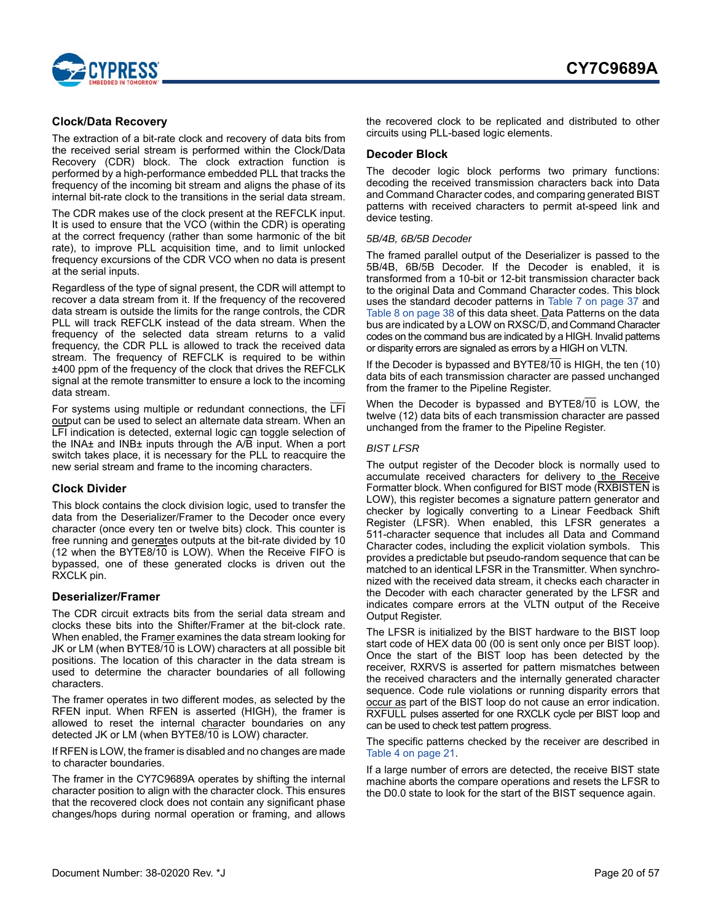

### <span id="page-19-0"></span>**Clock/Data Recovery**

The extraction of a bit-rate clock and recovery of data bits from the received serial stream is performed within the Clock/Data Recovery (CDR) block. The clock extraction function is performed by a high-performance embedded PLL that tracks the frequency of the incoming bit stream and aligns the phase of its internal bit-rate clock to the transitions in the serial data stream.

The CDR makes use of the clock present at the REFCLK input. It is used to ensure that the VCO (within the CDR) is operating at the correct frequency (rather than some harmonic of the bit rate), to improve PLL acquisition time, and to limit unlocked frequency excursions of the CDR VCO when no data is present at the serial inputs.

Regardless of the type of signal present, the CDR will attempt to recover a data stream from it. If the frequency of the recovered data stream is outside the limits for the range controls, the CDR PLL will track REFCLK instead of the data stream. When the frequency of the selected data stream returns to a valid frequency, the CDR PLL is allowed to track the received data stream. The frequency of REFCLK is required to be within ±400 ppm of the frequency of the clock that drives the REFCLK signal at the remote transmitter to ensure a lock to the incoming data stream.

For systems using multiple or redundant connections, the LFI output can be used to select an alternate data stream. When an LFI indication is detected, external logic can toggle selection of the INA± and INB± inputs through the A/B input. When a port switch takes place, it is necessary for the PLL to reacquire the new serial stream and frame to the incoming characters.

### <span id="page-19-1"></span>**Clock Divider**

This block contains the clock division logic, used to transfer the data from the Deserializer/Framer to the Decoder once every character (once every ten or twelve bits) clock. This counter is free running and generates outputs at the bit-rate divided by 10 (12 when the BYTE8/10 is LOW). When the Receive FIFO is bypassed, one of these generated clocks is driven out the RXCLK pin.

### <span id="page-19-2"></span>**Deserializer/Framer**

The CDR circuit extracts bits from the serial data stream and clocks these bits into the Shifter/Framer at the bit-clock rate. When enabled, the Framer examines the data stream looking for JK or LM (when BYTE8/10 is LOW) characters at all possible bit positions. The location of this character in the data stream is used to determine the character boundaries of all following characters.

The framer operates in two different modes, as selected by the RFEN input. When RFEN is asserted (HIGH), the framer is allowed to reset the internal character boundaries on any detected JK or LM (when BYTE8/10 is LOW) character.

If RFEN is LOW, the framer is disabled and no changes are made to character boundaries.

The framer in the CY7C9689A operates by shifting the internal character position to align with the character clock. This ensures that the recovered clock does not contain any significant phase changes/hops during normal operation or framing, and allows the recovered clock to be replicated and distributed to other circuits using PLL-based logic elements.

### <span id="page-19-3"></span>**Decoder Block**

The decoder logic block performs two primary functions: decoding the received transmission characters back into Data and Command Character codes, and comparing generated BIST patterns with received characters to permit at-speed link and device testing.

#### *5B/4B, 6B/5B Decoder*

The framed parallel output of the Deserializer is passed to the 5B/4B, 6B/5B Decoder. If the Decoder is enabled, it is transformed from a 10-bit or 12-bit transmission character back to the original Data and Command Character codes. This block uses the standard decoder patterns in [Table 7 on page 37](#page-36-0) and [Table 8 on page 38](#page-37-0) of this data sheet. Data Patterns on the data bus are indicated by a LOW on RXSC/D, and Command Character codes on the command bus are indicated by a HIGH. Invalid patterns or disparity errors are signaled as errors by a HIGH on VLTN.

If the Decoder is bypassed and BYTE8/10 is HIGH, the ten (10) data bits of each transmission character are passed unchanged from the framer to the Pipeline Register.

When the Decoder is bypassed and BYTE8/10 is LOW, the twelve (12) data bits of each transmission character are passed unchanged from the framer to the Pipeline Register.

### *BIST LFSR*

The output register of the Decoder block is normally used to accumulate received characters for delivery to the Receive Formatter block. When configured for BIST mode (RXBISTEN is LOW), this register becomes a signature pattern generator and checker by logically converting to a Linear Feedback Shift Register (LFSR). When enabled, this LFSR generates a 511-character sequence that includes all Data and Command Character codes, including the explicit violation symbols. This provides a predictable but pseudo-random sequence that can be matched to an identical LFSR in the Transmitter. When synchronized with the received data stream, it checks each character in the Decoder with each character generated by the LFSR and indicates compare errors at the VLTN output of the Receive Output Register.

The LFSR is initialized by the BIST hardware to the BIST loop start code of HEX data 00 (00 is sent only once per BIST loop). Once the start of the BIST loop has been detected by the receiver, RXRVS is asserted for pattern mismatches between the received characters and the internally generated character sequence. Code rule violations or running disparity errors that occur as part of the BIST loop do not cause an error indication. RXFULL pulses asserted for one RXCLK cycle per BIST loop and can be used to check test pattern progress.

The specific patterns checked by the receiver are described in [Table 4 on page 21](#page-20-0).

If a large number of errors are detected, the receive BIST state machine aborts the compare operations and resets the LFSR to the D0.0 state to look for the start of the BIST sequence again.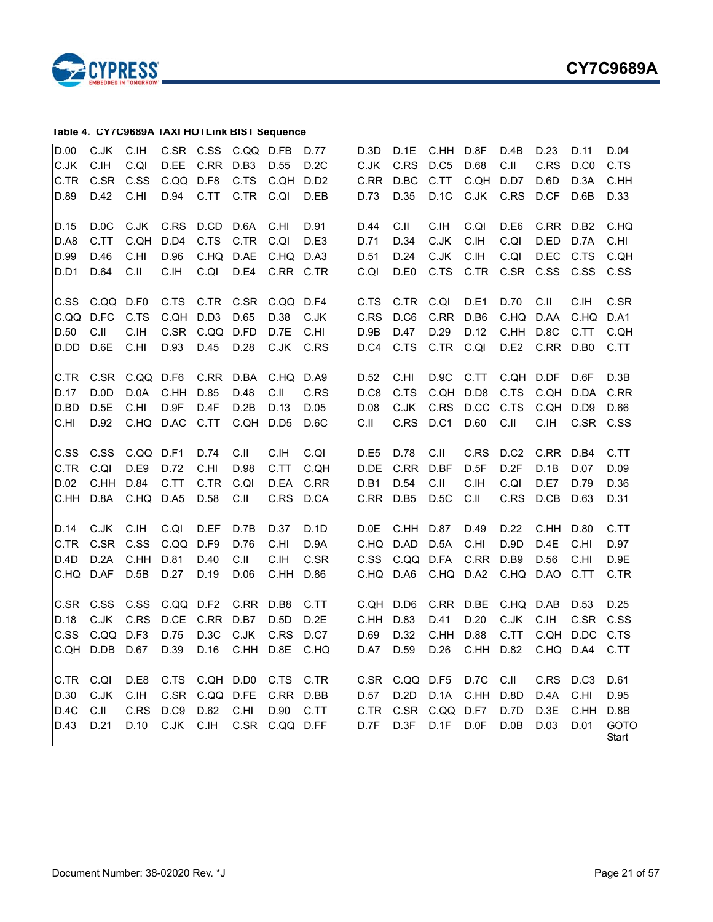

### <span id="page-20-0"></span>**Table 4. CY7C9689A TAXI HOTLink BIST Sequence**

| C.JK<br>C.IH<br>C.SR<br>C.QI<br>C.IH<br>D.EE<br>C.SR<br>C.SS<br>D.42<br>C.HI<br>D.94<br>C.JK<br>C.RS<br>D.0C |                                   |                                   | C.QQ                              | C.SS<br>C.RR<br>D.F <sub>8</sub><br>C.TT<br>D.CD | C.QQ<br>D.B3<br>C.TS<br>C.TR<br>D.6A | D.FB<br>D.55<br>C.QH<br>C.QI<br>C.HI | D.77<br>D.2C<br>D.D <sub>2</sub><br>D.EB<br>D.91 | D.3D<br>C.JK<br>C.RR<br>D.73<br>D.44 | D.1E<br>C.RS<br>D.BC<br>D.35<br>C.II | C.HH<br>D.C5<br>C.TT<br>D.1C<br>C.IH | D.8F<br>D.68<br>C.QH<br>C.JK<br>C.QI | D.4B<br>C.II<br>D.D7<br>C.RS<br>D.E <sub>6</sub> | D.23<br>C.RS<br>D.6D<br>D.CF<br>C.RR | D.11<br>D.C0<br>D.3A<br>D.6B<br>D.B2 | D.04<br>C.TS<br>C.HH<br>D.33<br>C.HQ  |
|--------------------------------------------------------------------------------------------------------------|-----------------------------------|-----------------------------------|-----------------------------------|--------------------------------------------------|--------------------------------------|--------------------------------------|--------------------------------------------------|--------------------------------------|--------------------------------------|--------------------------------------|--------------------------------------|--------------------------------------------------|--------------------------------------|--------------------------------------|---------------------------------------|
| D.A8<br>D.99<br>D.D1                                                                                         | C.TT<br>D.46<br>D.64              | C.QH<br>C.HI<br>C.II              | D.D4<br>D.96<br>C.IH              | C.TS<br>C.HQ<br>C.QI                             | C.TR<br>D.AE<br>D.E4                 | C.QI<br>C.HQ D.A3<br>C.RR C.TR       | D.E3                                             | D.71<br>D.51<br>C.QI                 | D.34<br>D.24<br>D.E0                 | C.JK<br>C.JK<br>C.TS                 | C.IH<br>C.IH<br>C.TR                 | C.QI<br>C.QI<br>C.SR                             | D.ED<br>D.EC<br>C.SS                 | D.7A<br>C.TS<br>C.SS                 | C.HI<br>C.QH<br>C.SS                  |
| C.SS<br>C.QQ<br>D.50<br>D.DD                                                                                 | C.QQ D.F0<br>D.FC<br>C.II<br>D.6E | C.TS<br>C.IH<br>C.HI              | C.TS<br>C.QH<br>C.SR<br>D.93      | C.TR<br>D.D <sub>3</sub><br>C.QQ D.FD<br>D.45    | C.SR<br>D.65<br>D.28                 | C.QQ D.F4<br>D.38<br>D.7E<br>C.JK    | C.JK<br>C.HI<br>C.RS                             | C.TS<br>C.RS<br>D.9B<br>D.C4         | C.TR<br>D.C6<br>D.47<br>C.TS         | C.QI<br>C.RR<br>D.29<br>C.TR         | D.E1<br>D.B6<br>D.12<br>C.QI         | D.70<br>C.HQ<br>C.HH<br>D.E2                     | C.II<br>D.AA<br>D.8C<br>C.RR         | C.IH<br>C.HQ<br>C.TT<br>D.B0         | C.SR<br>D.A1<br>C.QH<br>C.TT          |
| C.TR<br>D.17<br>D.BD<br>C.HI                                                                                 | C.SR<br>D.0D<br>D.5E<br>D.92      | C.QQ<br>D.0A<br>C.HI<br>C.HQ D.AC | D.F <sub>6</sub><br>C.HH<br>D.9F  | C.RR<br>D.85<br>D.4F<br>C.TT                     | D.BA<br>D.48<br>D.2B<br>C.QH         | C.HQ<br>C.II<br>D.13<br>D.D5         | D.A9<br>C.RS<br>D.05<br>D.6C                     | D.52<br>D.C8<br>D.08<br>C.II         | C.HI<br>C.TS<br>C.JK<br>C.RS         | D.9C<br>C.QH<br>C.RS<br>D.C1         | C.TT<br>D.D8<br>D.CC<br>D.60         | C.QH<br>C.TS<br>C.TS<br>C.II                     | D.DF<br>C.QH<br>C.QH<br>C.IH         | D.6F<br>D.DA<br>D.D9<br>C.SR         | D.3B<br>C.RR<br>D.66<br>C.SS          |
| C.SS<br>C.TR<br>D.02<br>C.HH                                                                                 | C.SS<br>C.QI<br>C.HH<br>D.8A      | C.QQ<br>D.E9<br>D.84<br>C.HQ D.A5 | D.F1<br>D.72<br>C.TT              | D.74<br>C.HI<br>C.TR<br>D.58                     | C.II<br>D.98<br>C.QI<br>C.II         | C.IH<br>C.TT<br>D.EA<br>C.RS         | C.QI<br>C.QH<br>C.RR<br>D.CA                     | D.E5<br>D.DE<br>D.B1<br>C.RR         | D.78<br>C.RR<br>D.54<br>D.B5         | C.II<br>D.BF<br>C.II<br>D.5C         | C.RS<br>D.5F<br>C.IH<br>C.II         | D.C <sub>2</sub><br>D.2F<br>C.QI<br>C.RS         | C.RR<br>D.1B<br>D.E7<br>D.CB         | D.B4<br>D.07<br>D.79<br>D.63         | C.TT<br>D.09<br>D.36<br>D.31          |
| D.14<br>C.TR<br>D.4D<br>C.HQ                                                                                 | C.JK<br>C.SR<br>D.2A<br>D.AF      | C.IH<br>C.SS<br>C.HH<br>D.5B      | C.QI<br>C.QQ<br>D.81<br>D.27      | D.EF<br>D.F9<br>D.40<br>D.19                     | D.7B<br>D.76<br>C.II<br>D.06         | D.37<br>C.HI<br>C.IH<br>C.HH         | D.1D<br>D.9A<br>C.SR<br>D.86                     | D.0E<br>C.HQ<br>C.SS<br>C.HQ         | C.HH<br>D.AD<br>C.QQ D.FA<br>D.A6    | D.87<br>D.5A<br>C.HQ D.A2            | D.49<br>C.HI<br>C.RR                 | D.22<br>D.9D<br>D.B9<br>C.HQ                     | C.HH<br>D.4E<br>D.56<br>D.AO         | D.80<br>C.HI<br>C.HI<br>C.TT         | C.TT<br>D.97<br>D.9E<br>C.TR          |
| C.SR<br>D.18<br>C.SS<br>C.QH                                                                                 | C.SS<br>C.JK<br>C.QQ D.F3<br>D.DB | C.SS<br>C.RS<br>D.67              | C.QQ D.F2<br>D.CE<br>D.75<br>D.39 | C.RR<br>D.3C<br>D.16                             | C.RR<br>D.B7<br>C.JK<br>C.HH         | D.B8<br>D.5D<br>C.RS<br>D.8E         | C.TT<br>D.2E<br>D.C7<br>C.HQ                     | C.QH<br>C.HH<br>D.69<br>D.A7         | D.D6<br>D.83<br>D.32<br>D.59         | C.RR D.BE<br>D.41<br>C.HH<br>D.26    | D.20<br>D.88<br>C.HH                 | C.HQ<br>C.JK<br>C.TT<br>D.82                     | D.AB<br>C.IH<br>C.QH<br>C.HQ         | D.53<br>C.SR<br>D.DC<br>D.A4         | D.25<br>C.SS<br>C.TS<br>C.TT          |
| C.TR<br>D.30<br>D.4C<br>D.43                                                                                 | C.QI<br>C.JK<br>C.II<br>D.21      | D.E8<br>C.IH<br>C.RS<br>D.10      | C.TS<br>C.SR<br>D.C9<br>C.JK      | C.QH D.D0<br>C.QQ D.FE<br>D.62<br>C.IH           | C.HI<br>C.SR                         | C.TS<br>C.RR<br>D.90<br>C.QQ D.FF    | C.TR<br>D.BB<br>C.TT                             | C.SR<br>D.57<br>C.TR<br>D.7F         | C.QQ D.F5<br>D.2D<br>C.SR<br>D.3F    | D.1A<br>C.QQ<br>D.1F                 | <b>D.7C</b><br>C.HH<br>D.F7<br>D.0F  | C.II<br>D.8D<br>D.7D<br>D.0B                     | C.RS<br>D.4A<br>D.3E<br>D.03         | D.C3<br>C.HI<br>C.HH<br>D.01         | D.61<br>D.95<br>D.8B<br>GOTO<br>Start |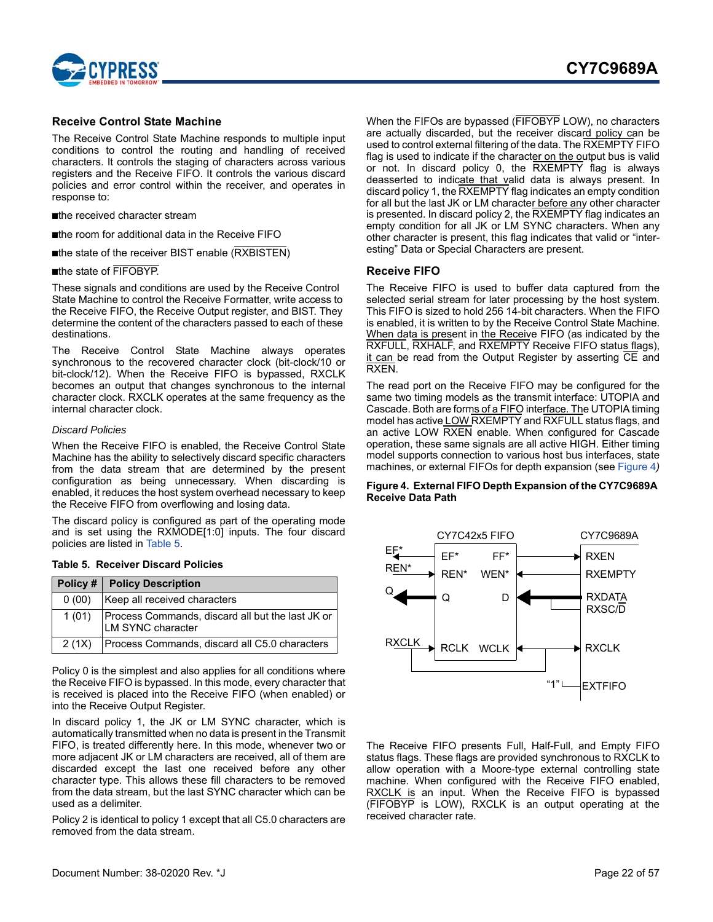

### <span id="page-21-0"></span>**Receive Control State Machine**

The Receive Control State Machine responds to multiple input conditions to control the routing and handling of received characters. It controls the staging of characters across various registers and the Receive FIFO. It controls the various discard policies and error control within the receiver, and operates in response to:

■the received character stream

■the room for additional data in the Receive FIFO

■the state of the receiver BIST enable (RXBISTEN)

#### ■the state of FIFOBYP.

These signals and conditions are used by the Receive Control State Machine to control the Receive Formatter, write access to the Receive FIFO, the Receive Output register, and BIST. They determine the content of the characters passed to each of these destinations.

The Receive Control State Machine always operates synchronous to the recovered character clock (bit-clock/10 or bit-clock/12). When the Receive FIFO is bypassed, RXCLK becomes an output that changes synchronous to the internal character clock. RXCLK operates at the same frequency as the internal character clock.

#### *Discard Policies*

When the Receive FIFO is enabled, the Receive Control State Machine has the ability to selectively discard specific characters from the data stream that are determined by the present configuration as being unnecessary. When discarding is enabled, it reduces the host system overhead necessary to keep the Receive FIFO from overflowing and losing data.

The discard policy is configured as part of the operating mode and is set using the RXMODE[1:0] inputs. The four discard policies are listed in [Table 5.](#page-21-2)

#### <span id="page-21-2"></span>**Table 5. Receiver Discard Policies**

|       | Policy #   Policy Description                                         |
|-------|-----------------------------------------------------------------------|
| 0(00) | Keep all received characters                                          |
| 1(01) | Process Commands, discard all but the last JK or<br>LM SYNC character |
| 2(1X) | Process Commands, discard all C5.0 characters                         |

Policy 0 is the simplest and also applies for all conditions where the Receive FIFO is bypassed. In this mode, every character that is received is placed into the Receive FIFO (when enabled) or into the Receive Output Register.

In discard policy 1, the JK or LM SYNC character, which is automatically transmitted when no data is present in the Transmit FIFO, is treated differently here. In this mode, whenever two or more adjacent JK or LM characters are received, all of them are discarded except the last one received before any other character type. This allows these fill characters to be removed from the data stream, but the last SYNC character which can be used as a delimiter.

Policy 2 is identical to policy 1 except that all C5.0 characters are removed from the data stream.

When the FIFOs are bypassed (FIFOBYP LOW), no characters are actually discarded, but the receiver discard policy can be used to control external filtering of the data. The RXEMPTY FIFO flag is used to indicate if the character on the output bus is valid or not. In discard policy 0, the RXEMPTY flag is always deasserted to indicate that valid data is always present. In discard policy 1, the RXEMPTY flag indicates an empty condition for all but the last JK or LM character before any other character is presented. In discard policy 2, the RXEMPTY flag indicates an empty condition for all JK or LM SYNC characters. When any other character is present, this flag indicates that valid or "interesting" Data or Special Characters are present.

#### <span id="page-21-1"></span>**Receive FIFO**

The Receive FIFO is used to buffer data captured from the selected serial stream for later processing by the host system. This FIFO is sized to hold 256 14-bit characters. When the FIFO is enabled, it is written to by the Receive Control State Machine. When data is present in the Receive FIFO (as indicated by the RXFULL, RXHALF, and RXEMPTY Receive FIFO status flags), it can be read from the Output Register by asserting CE and RXEN.

The read port on the Receive FIFO may be configured for the same two timing models as the transmit interface: UTOPIA and Cascade. Both are forms of a FIFO interface. The UTOPIA timing model has active LOW RXEMPTY and RXFULL status flags, and an active LOW RXEN enable. When configured for Cascade operation, these same signals are all active HIGH. Either timing model supports connection to various host bus interfaces, state machines, or external FIFOs for depth expansion (see [Figure 4](#page-21-3)*)*

#### <span id="page-21-3"></span>**Figure 4. External FIFO Depth Expansion of the CY7C9689A Receive Data Path**



The Receive FIFO presents Full, Half-Full, and Empty FIFO status flags. These flags are provided synchronous to RXCLK to allow operation with a Moore-type external controlling state machine. When configured with the Receive FIFO enabled, RXCLK is an input. When the Receive FIFO is bypassed (FIFOBYP is LOW), RXCLK is an output operating at the received character rate.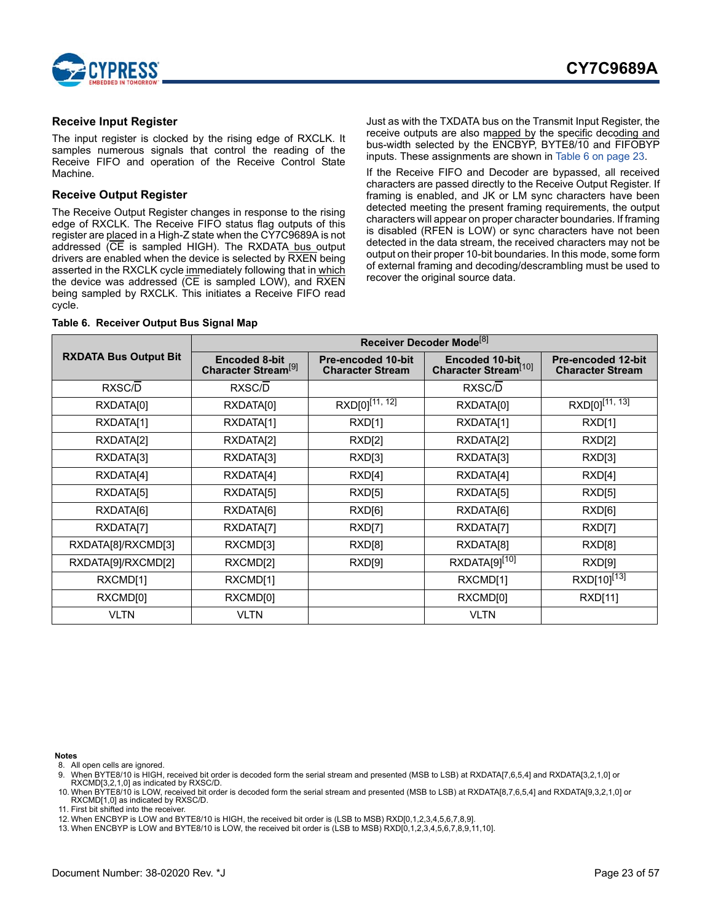

### <span id="page-22-0"></span>**Receive Input Register**

The input register is clocked by the rising edge of RXCLK. It samples numerous signals that control the reading of the Receive FIFO and operation of the Receive Control State Machine.

### <span id="page-22-1"></span>**Receive Output Register**

The Receive Output Register changes in response to the rising edge of RXCLK. The Receive FIFO status flag outputs of this register are placed in a High-Z state when the CY7C9689A is not addressed (CE is sampled HIGH). The RXDATA bus output drivers are enabled when the device is selected by RXEN being asserted in the RXCLK cycle immediately following that in which the device was addressed (CE is sampled LOW), and RXEN being sampled by RXCLK. This initiates a Receive FIFO read cycle.

#### <span id="page-22-8"></span>**Table 6. Receiver Output Bus Signal Map**

Just as with the TXDATA bus on the Transmit Input Register, the receive outputs are also mapped by the specific decoding and bus-width selected by the ENCBYP, BYTE8/10 and FIFOBYP inputs. These assignments are shown in [Table 6 on page 23.](#page-22-8)

If the Receive FIFO and Decoder are bypassed, all received characters are passed directly to the Receive Output Register. If framing is enabled, and JK or LM sync characters have been detected meeting the present framing requirements, the output characters will appear on proper character boundaries. If framing is disabled (RFEN is LOW) or sync characters have not been detected in the data stream, the received characters may not be output on their proper 10-bit boundaries. In this mode, some form of external framing and decoding/descrambling must be used to recover the original source data.

|                              | Receiver Decoder Mode <sup>[8]</sup>                    |                                                      |                                                           |                                                      |  |
|------------------------------|---------------------------------------------------------|------------------------------------------------------|-----------------------------------------------------------|------------------------------------------------------|--|
| <b>RXDATA Bus Output Bit</b> | <b>Encoded 8-bit</b><br>Character Stream <sup>[9]</sup> | <b>Pre-encoded 10-bit</b><br><b>Character Stream</b> | <b>Encoded 10-bit</b><br>Character Stream <sup>[10]</sup> | <b>Pre-encoded 12-bit</b><br><b>Character Stream</b> |  |
| RXSC/D                       | RXSC/D                                                  |                                                      | RXSC/D                                                    |                                                      |  |
| RXDATA[0]                    | RXDATA[0]                                               | $RXD[0]^{[1\overline{1, 12}]}$                       | RXDATA[0]                                                 | $RXD[0]^{[1\overline{1, 13}]}$                       |  |
| RXDATA[1]                    | RXDATA[1]                                               | RXD[1]                                               | RXDATA[1]                                                 | RXD[1]                                               |  |
| RXDATA[2]                    | RXDATA[2]                                               | RXD[2]                                               | RXDATA[2]                                                 | RXD[2]                                               |  |
| RXDATA[3]                    | RXDATA[3]                                               | RXD[3]                                               | RXDATA[3]                                                 | RXD[3]                                               |  |
| RXDATA[4]                    | RXDATA[4]                                               | RXD[4]                                               | RXDATA[4]                                                 | RXD[4]                                               |  |
| RXDATA[5]                    | RXDATA[5]                                               | RXD[5]                                               | RXDATA[5]                                                 | RXD[5]                                               |  |
| RXDATA[6]                    | RXDATA[6]                                               | RXD[6]                                               | RXDATA[6]                                                 | RXD[6]                                               |  |
| RXDATA[7]                    | RXDATA[7]                                               | RXD[7]                                               | RXDATA[7]                                                 | RXD[7]                                               |  |
| RXDATA[8]/RXCMD[3]           | RXCMD[3]                                                | RXD[8]                                               | RXDATA[8]                                                 | RXD[8]                                               |  |
| RXDATA[9]/RXCMD[2]           | RXCMD[2]                                                | RXD[9]                                               | RXDATA[9][10]                                             | RXD[9]                                               |  |
| RXCMD[1]                     | RXCMD[1]                                                |                                                      | RXCMD[1]                                                  | RXD[10] <sup>[13]</sup>                              |  |
| RXCMD[0]                     | RXCMD[0]                                                |                                                      | RXCMD[0]                                                  | <b>RXD[11]</b>                                       |  |
| <b>VLTN</b>                  | <b>VLTN</b>                                             |                                                      | <b>VLTN</b>                                               |                                                      |  |

**Notes**

<span id="page-22-2"></span>8. All open cells are ignored.

<span id="page-22-3"></span>9. When BYTE8/10 is HIGH, received bit order is decoded form the serial stream and presented (MSB to LSB) at RXDATA[7,6,5,4] and RXDATA[3,2,1,0] or RXCMD[3,2,1,0] as indicated by RXSC/D.

<span id="page-22-4"></span>10. When BYTE8/10 is LOW, received bit order is decoded form the serial stream and presented (MSB to LSB) at RXDATA[8,7,6,5,4] and RXDATA[9,3,2,1,0] or RXCMD[1,0] as indicated by RXSC/D.

<span id="page-22-5"></span>11. First bit shifted into the receiver.

<span id="page-22-6"></span>12. When ENCBYP is LOW and BYTE8/10 is HIGH, the received bit order is (LSB to MSB) RXD[0,1,2,3,4,5,6,7,8,9].

<span id="page-22-7"></span>13. When ENCBYP is LOW and BYTE8/10 is LOW, the received bit order is (LSB to MSB) RXD[0,1,2,3,4,5,6,7,8,9,11,10].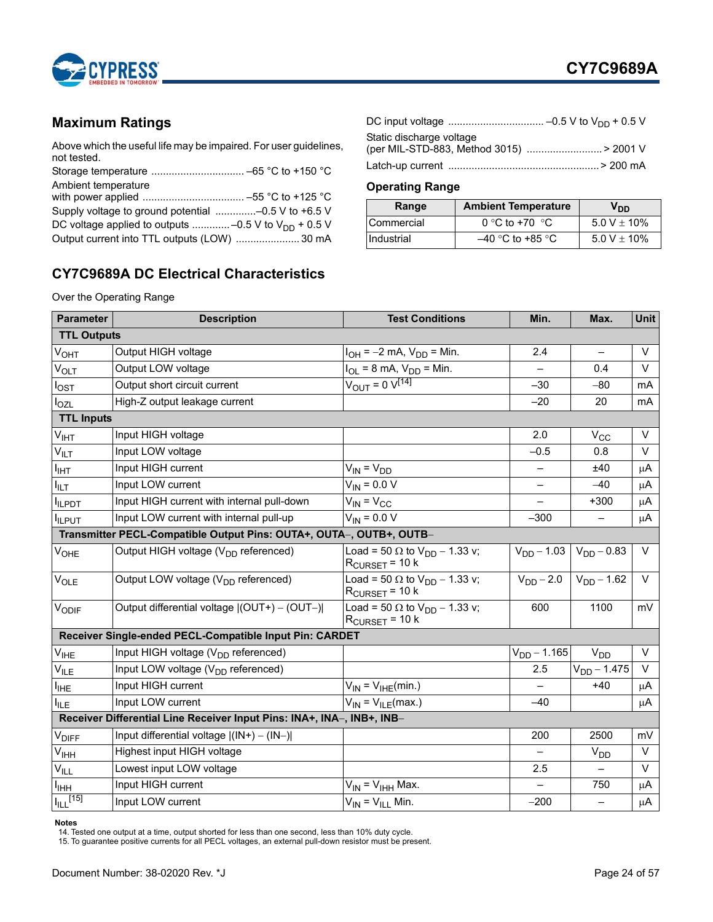

# <span id="page-23-0"></span>**Maximum Ratings**

Above which the useful life may be impaired. For user guidelines, not tested.

| Ambient temperature                                      |  |
|----------------------------------------------------------|--|
|                                                          |  |
|                                                          |  |
| DC voltage applied to outputs -0.5 V to $V_{DD}$ + 0.5 V |  |
| Output current into TTL outputs (LOW)  30 mA             |  |

# <span id="page-23-2"></span>**CY7C9689A DC Electrical Characteristics**

Over the Operating Range

| Static discharge voltage                 |  |
|------------------------------------------|--|
| (per MIL-STD-883, Method 3015)  > 2001 V |  |
|                                          |  |

### <span id="page-23-1"></span>**Operating Range**

| Range             | <b>Ambient Temperature</b> | V <sub>DD</sub> |
|-------------------|----------------------------|-----------------|
| <b>Commercial</b> | 0 °C to +70 $\degree$ C    | 5.0 V $\pm$ 10% |
| <b>Industrial</b> | $-40$ °C to +85 °C         | 5.0 V $\pm$ 10% |

| <b>Parameter</b>            | <b>Description</b>                                                     | <b>Test Conditions</b>                                                         | Min.                     | Max.                             | <b>Unit</b> |
|-----------------------------|------------------------------------------------------------------------|--------------------------------------------------------------------------------|--------------------------|----------------------------------|-------------|
| <b>TTL Outputs</b>          |                                                                        |                                                                                |                          |                                  |             |
| $V_{\text{OHT}}$            | Output HIGH voltage                                                    | $I_{OH} = -2$ mA, $V_{DD} =$ Min.                                              | 2.4                      | $\qquad \qquad -$                | V           |
| V <sub>OLT</sub>            | Output LOW voltage                                                     | $I_{OL} = 8$ mA, $V_{DD} =$ Min.                                               |                          | 0.4                              | $\vee$      |
| lost                        | Output short circuit current                                           | $V_{OUT} = 0 V^{[14]}$                                                         | $-30$                    | $-80$                            | mA          |
| l <sub>OZL</sub>            | High-Z output leakage current                                          |                                                                                | $-20$                    | 20                               | mA          |
| <b>TTL Inputs</b>           |                                                                        |                                                                                |                          |                                  |             |
| $V_{IHT}$                   | Input HIGH voltage                                                     |                                                                                | 2.0                      | $V_{CC}$                         | $\vee$      |
| $\mathsf{V}_{\mathsf{ILT}}$ | Input LOW voltage                                                      |                                                                                | $-0.5$                   | 0.8                              | $\vee$      |
| I <sub>IНТ</sub>            | Input HIGH current                                                     | $V_{IN} = V_{DD}$                                                              |                          | ±40                              | μA          |
| יד∟ו <sup>ן</sup>           | Input LOW current                                                      | $V_{IN} = 0.0 V$                                                               | $\overline{\phantom{0}}$ | $-40$                            | $\mu$ A     |
| <b>ILPDT</b>                | Input HIGH current with internal pull-down                             | $V_{IN} = V_{CC}$                                                              |                          | $+300$                           | μA          |
| <b>I</b> ILPUT              | Input LOW current with internal pull-up                                | $V_{IN} = 0.0 V$                                                               | $-300$                   | $\qquad \qquad -$                | μA          |
|                             | Transmitter PECL-Compatible Output Pins: OUTA+, OUTA-, OUTB+, OUTB-    |                                                                                |                          |                                  |             |
| $V_{OHE}$                   | Output HIGH voltage (V <sub>DD</sub> referenced)                       | Load = 50 $\Omega$ to $V_{DD}$ – 1.33 v;<br>$RCURSET = 10 k$                   | $V_{DD} - 1.03$          | $V_{DD} - 0.83$                  | $\vee$      |
| $V_{OLE}$                   | Output LOW voltage (V <sub>DD</sub> referenced)                        | Load = 50 $\Omega$ to $V_{DD}$ – 1.33 v;<br>$R_{\text{CURSET}} = 10 \text{ k}$ |                          | $V_{DD} - 2.0$   $V_{DD} - 1.62$ | $\vee$      |
| VODIF                       | Output differential voltage $ (OUT+) - (OUT-) $                        | Load = 50 $\Omega$ to $V_{DD}$ – 1.33 v;<br>$R_{\text{CURSET}}$ = 10 k         | 600                      | 1100                             | mV          |
|                             | Receiver Single-ended PECL-Compatible Input Pin: CARDET                |                                                                                |                          |                                  |             |
| $\mathsf{V}_{\mathsf{IHE}}$ | Input HIGH voltage (V <sub>DD</sub> referenced)                        |                                                                                | $V_{DD} - 1.165$         | $V_{DD}$                         | $\vee$      |
| $V_{ILE}$                   | Input LOW voltage (V <sub>DD</sub> referenced)                         |                                                                                | 2.5                      | $V_{DD} - 1.475$                 | $\vee$      |
| <sup>I</sup> IHE            | Input HIGH current                                                     | $V_{IN} = V_{IHE}(min.)$                                                       |                          | $+40$                            | μA          |
| I <sub>ILE</sub>            | Input LOW current                                                      | $\overline{V_{IN}}$ = $V_{ILE}$ (max.)                                         | $-40$                    |                                  | μA          |
|                             | Receiver Differential Line Receiver Input Pins: INA+, INA-, INB+, INB- |                                                                                |                          |                                  |             |
| $V_{\mathsf{DIFF}}$         | Input differential voltage $ (IN+) - (IN-) $                           |                                                                                | 200                      | 2500                             | mV          |
| V <sub>IHH</sub>            | Highest input HIGH voltage                                             |                                                                                | $\overline{\phantom{0}}$ | V <sub>DD</sub>                  | $\vee$      |
| $V_{\parallel L}$           | Lowest input LOW voltage                                               |                                                                                | 2.5                      |                                  | $\vee$      |
| I <sub>ІНН</sub>            | Input HIGH current                                                     | $V_{IN} = V_{IHH}$ Max.                                                        |                          | 750                              | μA          |
| $I_{ILL}$ [15]              | Input LOW current                                                      | $V_{IN} = V_{ILL}$ Min.                                                        | $-200$                   | $\overline{\phantom{0}}$         | μA          |

**Notes**

<span id="page-23-3"></span>

<span id="page-23-4"></span>14. Tested one output at a time, output shorted for less than one second, less than 10% duty cycle. 15. To guarantee positive currents for all PECL voltages, an external pull-down resistor must be present.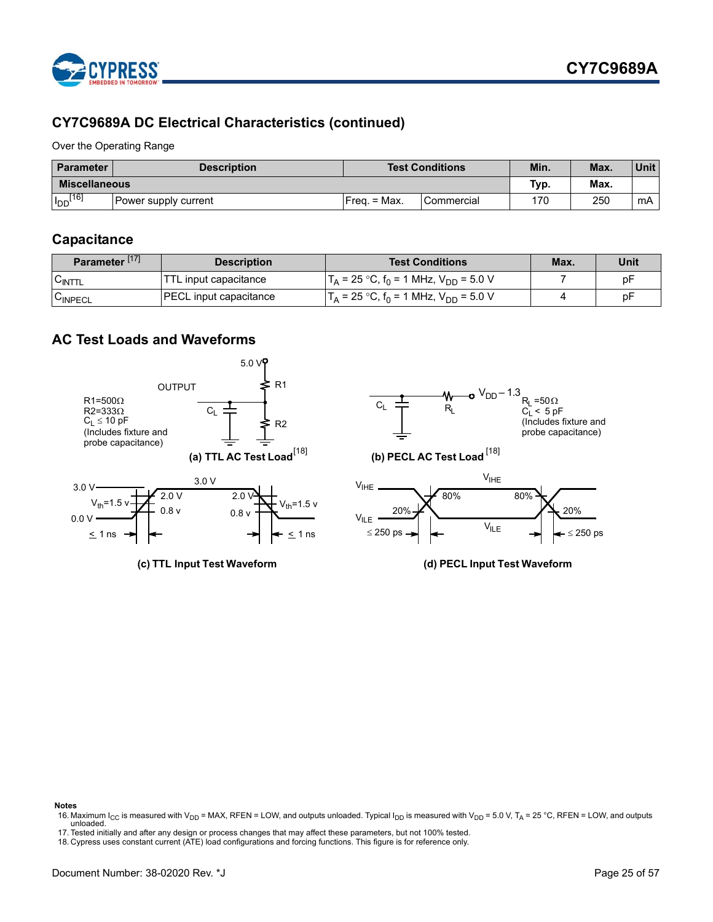

# **CY7C9689A DC Electrical Characteristics (continued)**

Over the Operating Range

| <b>Parameter</b>     | <b>Description</b>   |               | <b>Test Conditions</b> | Min. | Max. | Unit |
|----------------------|----------------------|---------------|------------------------|------|------|------|
| <b>Miscellaneous</b> |                      |               |                        | Typ. | Max. |      |
| $I_{DD}$ [16]        | Power supply current | $Frea = Max.$ | Commercial             | 170  | 250  | mA   |

# <span id="page-24-0"></span>**Capacitance**

| Parameter <sup>[17]</sup> | <b>Description</b>            | <b>Test Conditions</b>                                         | Max. | Unit |
|---------------------------|-------------------------------|----------------------------------------------------------------|------|------|
| UINTTL                    | TTL input capacitance         | $T_A$ = 25 °C, f <sub>0</sub> = 1 MHz, V <sub>DD</sub> = 5.0 V |      | рF   |
| <b>UINPECL</b>            | <b>PECL</b> input capacitance | $T_A$ = 25 °C, f <sub>0</sub> = 1 MHz, V <sub>DD</sub> = 5.0 V |      | рF   |

# <span id="page-24-1"></span>**AC Test Loads and Waveforms**



#### **Notes**

<span id="page-24-2"></span>16. Maximum I<sub>CC</sub> is measured with V<sub>DD</sub> = MAX, RFEN = LOW, and outputs unloaded. Typical I<sub>DD</sub> is measured with V<sub>DD</sub> = 5.0 V, T<sub>A</sub> = 25 °C, RFEN = LOW, and outputs unloaded.

<span id="page-24-3"></span>17. Tested initially and after any design or process changes that may affect these parameters, but not 100% tested.

<span id="page-24-4"></span><sup>18.</sup> Cypress uses constant current (ATE) load configurations and forcing functions. This figure is for reference only.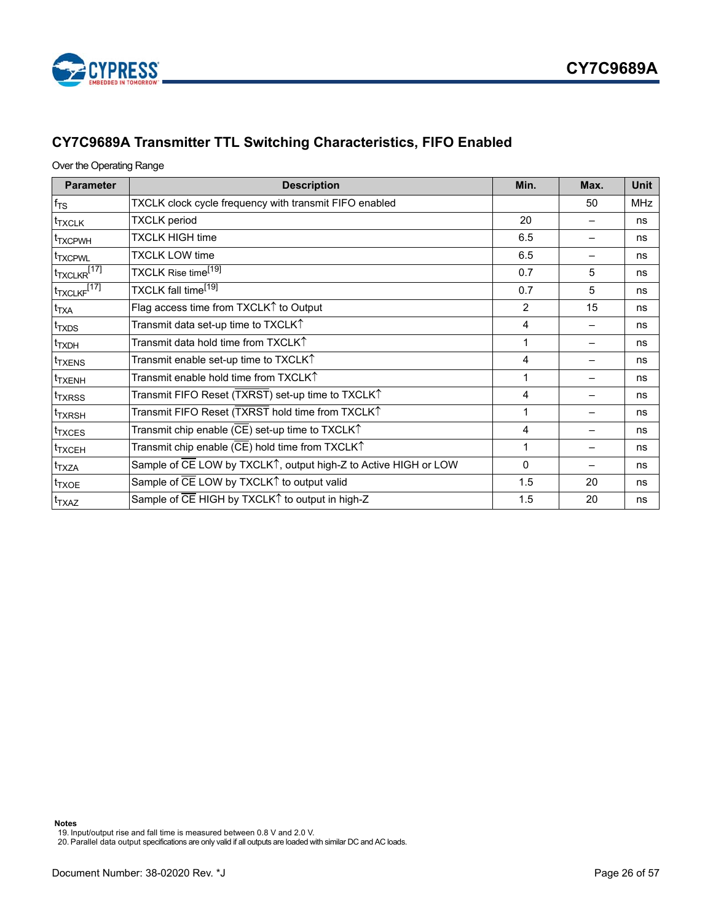

# <span id="page-25-0"></span>**CY7C9689A Transmitter TTL Switching Characteristics, FIFO Enabled**

### Over the Operating Range

| <b>Parameter</b>                     | <b>Description</b>                                                                          | Min.           | Max. | <b>Unit</b> |
|--------------------------------------|---------------------------------------------------------------------------------------------|----------------|------|-------------|
| $f_{TS}$                             | TXCLK clock cycle frequency with transmit FIFO enabled                                      |                | 50   | <b>MHz</b>  |
| <sup>t</sup> TXCLK                   | <b>TXCLK</b> period                                                                         | 20             |      | ns          |
| <sup>I</sup> TXCPWH                  | <b>TXCLK HIGH time</b>                                                                      | 6.5            |      | ns          |
| <b>TXCPWL</b>                        | <b>TXCLK LOW time</b>                                                                       | 6.5            |      | ns          |
| $t_{\text{TXCLKR}}$ <sup>[17]</sup>  | TXCLK Rise time <sup>[19]</sup>                                                             | 0.7            | 5    | ns          |
| t <sub>T</sub> XCLKF <sup>[17]</sup> | TXCLK fall time <sup>[19]</sup>                                                             | 0.7            | 5    | ns          |
| $t_{\mathsf{TXA}}$                   | Flag access time from TXCLK1 to Output                                                      | $\mathfrak{p}$ | 15   | ns          |
| <sup>t</sup> TXDS                    | Transmit data set-up time to TXCLK $\uparrow$                                               | 4              |      | ns          |
| <sup>t</sup> TXDH                    | Transmit data hold time from $\mathsf{T}\mathsf{X}\mathsf{CL}\mathsf{K}\mathsf{\hat{\top}}$ | 1              |      | ns          |
| <sup>t</sup> TXENS                   | Transmit enable set-up time to TXCLK $\uparrow$                                             | 4              |      | ns          |
| <sup>I</sup> TXENH                   | Transmit enable hold time from TXCLK $\uparrow$                                             | 1              |      | ns          |
| <sup>I</sup> TXRSS                   | Transmit FIFO Reset (TXRST) set-up time to TXCLK↑                                           | 4              |      | ns          |
| <sup>t</sup> TXRSH                   | Transmit FIFO Reset (TXRST hold time from TXCLK↑                                            | 1              |      | ns          |
| <sup>t</sup> TXCES                   | Transmit chip enable (CE) set-up time to TXCLK $\uparrow$                                   | 4              |      | ns          |
| <sup>t</sup> TXCEH                   | Transmit chip enable (CE) hold time from TXCLK $\uparrow$                                   | 1              |      | ns          |
| t <sub>TXZA</sub>                    | Sample of CE LOW by TXCLK <sup>1</sup> , output high-Z to Active HIGH or LOW                | $\Omega$       |      | ns          |
| <sup>t</sup> TXOE                    | Sample of CE LOW by TXCLK↑ to output valid                                                  | 1.5            | 20   | ns          |
| t <sub>TXAZ</sub>                    | Sample of CE HIGH by TXCLK↑ to output in high-Z                                             | 1.5            | 20   | ns          |

**Notes**

<span id="page-25-1"></span>19. Input/output rise and fall time is measured between 0.8 V and 2.0 V.

20. Parallel data output specifications are only valid if all outputs are loaded with similar DC and AC loads.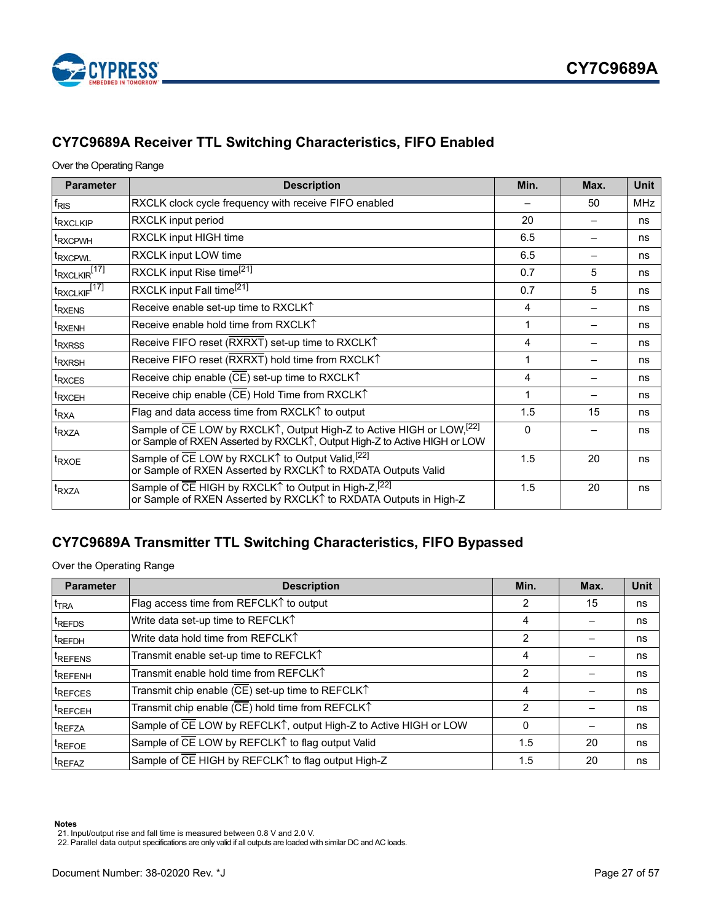



# <span id="page-26-0"></span>**CY7C9689A Receiver TTL Switching Characteristics, FIFO Enabled**

### Over the Operating Range

| <b>Parameter</b>                     | <b>Description</b>                                                                                                                                 | Min.     | Max. | <b>Unit</b> |
|--------------------------------------|----------------------------------------------------------------------------------------------------------------------------------------------------|----------|------|-------------|
| <sup>f</sup> <sub>RIS</sub>          | RXCLK clock cycle frequency with receive FIFO enabled                                                                                              |          | 50   | <b>MHz</b>  |
| <sup>t</sup> RXCLKIP                 | RXCLK input period                                                                                                                                 | 20       |      | ns          |
| <sup>t</sup> RXCPWH                  | RXCLK input HIGH time                                                                                                                              | 6.5      |      | ns          |
| <sup>t</sup> RXCPWL                  | RXCLK input LOW time                                                                                                                               | 6.5      |      | ns          |
| $t_{\sf RXCLKIR}$ [17]               | RXCLK input Rise time <sup>[21]</sup>                                                                                                              | 0.7      | 5    | ns          |
| t <sub>RXCLKIF</sub> <sup>[17]</sup> | RXCLK input Fall time <sup>[21]</sup>                                                                                                              | 0.7      | 5    | ns          |
| <sup>t</sup> RXENS                   | Receive enable set-up time to RXCLK1                                                                                                               | 4        |      | ns          |
| <sup>t</sup> RXENH                   | Receive enable hold time from RXCLKT                                                                                                               | 1        |      | ns          |
| t <sub>RXRSS</sub>                   | Receive FIFO reset (RXRXT) set-up time to RXCLK <sup>1</sup>                                                                                       | 4        |      | ns          |
| <sup>t</sup> RXRSH                   | Receive FIFO reset (RXRXT) hold time from RXCLK <sup>1</sup>                                                                                       | 1        |      | ns          |
| <sup>t</sup> RXCES                   | Receive chip enable (CE) set-up time to RXCLK <sup>1</sup>                                                                                         | 4        |      | ns          |
| <sup>t</sup> RXCEH                   | Receive chip enable (CE) Hold Time from RXCLK <sup>1</sup>                                                                                         | 1        |      | ns          |
| <sup>t</sup> RXA                     | Flag and data access time from RXCLK↑ to output                                                                                                    | 1.5      | 15   | ns          |
| <sup>t</sup> RXZA                    | Sample of CE LOW by RXCLK1, Output High-Z to Active HIGH or LOW, [22]<br>or Sample of RXEN Asserted by RXCLK1, Output High-Z to Active HIGH or LOW | $\Omega$ |      | ns          |
| <sup>t</sup> RXOE                    | Sample of CE LOW by RXCLK <sup>1</sup> to Output Valid, <sup>[22]</sup><br>or Sample of RXEN Asserted by RXCLK↑ to RXDATA Outputs Valid            | 1.5      | 20   | ns          |
| <sup>I</sup> RXZA                    | Sample of CE HIGH by RXCLK↑ to Output in High-Z, [22]<br>or Sample of RXEN Asserted by RXCLK1 to RXDATA Outputs in High-Z                          | 1.5      | 20   | ns          |

# <span id="page-26-1"></span>**CY7C9689A Transmitter TTL Switching Characteristics, FIFO Bypassed**

Over the Operating Range

| <b>Parameter</b>    | <b>Description</b>                                                               | Min. | Max. | <b>Unit</b> |
|---------------------|----------------------------------------------------------------------------------|------|------|-------------|
| $t_{\text{TRA}}$    | Flag access time from REFCLK <sup><math>\uparrow</math></sup> to output          | 2    | 15   | ns          |
| <sup>t</sup> REFDS  | Write data set-up time to REFCLK1                                                | 4    |      | ns          |
| <sup>t</sup> REFDH  | Write data hold time from REFCLKT                                                | 2    |      | ns          |
| <sup>t</sup> REFENS | Transmit enable set-up time to REFCLK1                                           | 4    |      | ns          |
| <sup>t</sup> REFENH | Transmit enable hold time from REFCLKT                                           | 2    |      | ns          |
| <sup>t</sup> REFCES | Transmit chip enable ( $\overline{\text{CE}}$ ) set-up time to REFCLK $\uparrow$ | 4    |      | ns          |
| <sup>I</sup> REFCEH | Transmit chip enable (CE) hold time from REFCLK <sup>1</sup>                     | 2    |      | ns          |
| <sup>t</sup> REFZA  | Sample of CE LOW by REFCLK1, output High-Z to Active HIGH or LOW                 | 0    |      | ns          |
| <sup>t</sup> REFOE  | Sample of CE LOW by REFCLK↑ to flag output Valid                                 | 1.5  | 20   | ns          |
| <sup>t</sup> REFAZ  | Sample of CE HIGH by REFCLK <sup>1</sup> to flag output High-Z                   | 1.5  | 20   | ns          |

**Notes**

<span id="page-26-2"></span>

<span id="page-26-3"></span><sup>21.</sup> Input/output rise and fall time is measured between 0.8 V and 2.0 V. 22. Parallel data output specifications are only valid if all outputs are loaded with similar DC and AC loads.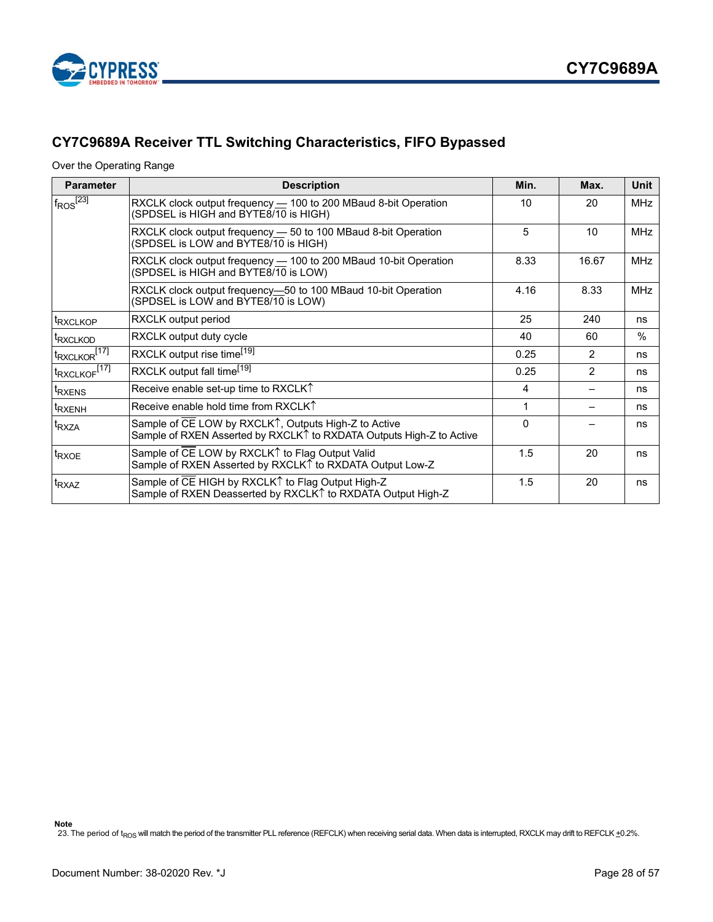



# <span id="page-27-0"></span>**CY7C9689A Receiver TTL Switching Characteristics, FIFO Bypassed**

Over the Operating Range

| <b>Parameter</b>                     | <b>Description</b>                                                                                                           | Min. | Max.          | Unit       |
|--------------------------------------|------------------------------------------------------------------------------------------------------------------------------|------|---------------|------------|
| $f_{\text{ROS}}^{[2\overline{3}]}$   | RXCLK clock output frequency - 100 to 200 MBaud 8-bit Operation<br>(SPDSEL is HIGH and BYTE8/10 is HIGH)                     | 10   | 20            | <b>MHz</b> |
|                                      | RXCLK clock output frequency — 50 to 100 MBaud 8-bit Operation<br>(SPDSEL is LOW and BYTE8/10 is HIGH)                       | 5    | 10            | <b>MHz</b> |
|                                      | RXCLK clock output frequency - 100 to 200 MBaud 10-bit Operation<br>(SPDSEL is HIGH and BYTE8/10 is LOW)                     | 8.33 | 16.67         | <b>MHz</b> |
|                                      | RXCLK clock output frequency—50 to 100 MBaud 10-bit Operation<br>(SPDSEL is LOW and BYTE8/10 is LOW)                         | 4.16 | 8.33          | <b>MHz</b> |
| <sup>t</sup> RXCLKOP                 | RXCLK output period                                                                                                          | 25   | 240           | ns         |
| <sup>t</sup> RXCLKOD                 | RXCLK output duty cycle                                                                                                      | 40   | 60            | $\%$       |
| t <sub>RXCLKOR</sub> <sup>[17]</sup> | RXCLK output rise time <sup>[19]</sup>                                                                                       | 0.25 | $\mathcal{P}$ | ns         |
| t <sub>RXCLKOF</sub> <sup>[17]</sup> | RXCLK output fall time <sup>[19]</sup>                                                                                       | 0.25 | 2             | ns         |
| <sup>t</sup> RXENS                   | Receive enable set-up time to RXCLKT                                                                                         | 4    |               | ns         |
| <sup>t</sup> RXENH                   | Receive enable hold time from RXCLKT                                                                                         | 1    |               | ns         |
| <sup>t</sup> RXZA                    | Sample of CE LOW by RXCLK↑, Outputs High-Z to Active<br>Sample of RXEN Asserted by RXCLK↑ to RXDATA Outputs High-Z to Active |      |               | ns         |
| <sup>t</sup> RXOE                    | Sample of CE LOW by RXCLK↑ to Flag Output Valid<br>Sample of RXEN Asserted by RXCLKT to RXDATA Output Low-Z                  | 1.5  | 20            | ns         |
| <sup>t</sup> RXAZ                    | Sample of CE HIGH by RXCLK↑ to Flag Output High-Z<br>Sample of RXEN Deasserted by RXCLK↑ to RXDATA Output High-Z             | 1.5  | 20            | ns         |

<span id="page-27-1"></span>23. The period of t<sub>ROS</sub> will match the period of the transmitter PLL reference (REFCLK) when receiving serial data. When data is interrupted, RXCLK may drift to REFCLK +0.2%.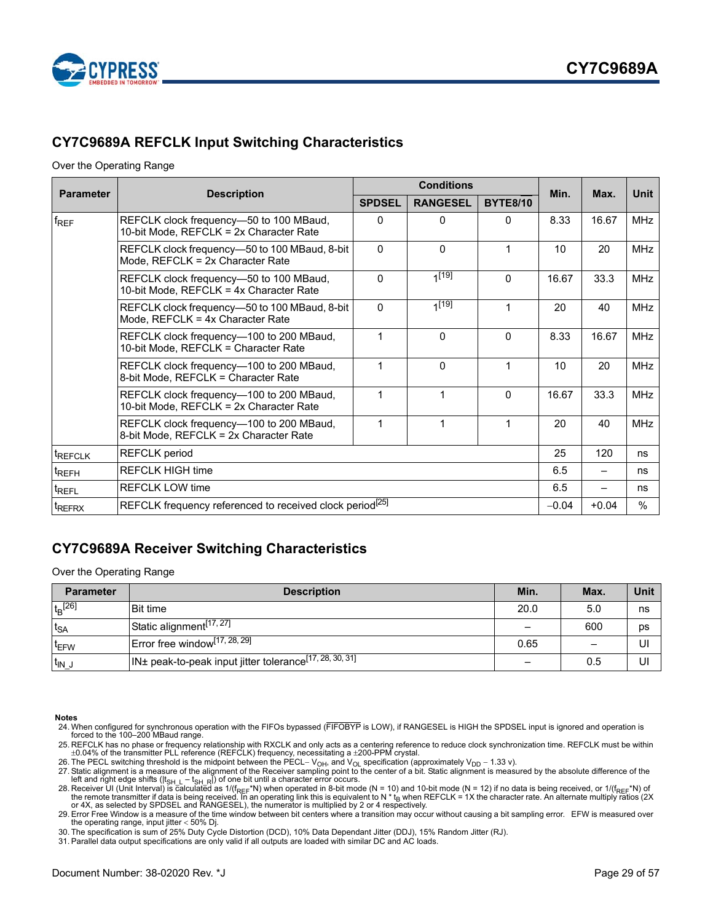

# <span id="page-28-0"></span>**CY7C9689A REFCLK Input Switching Characteristics**

#### Over the Operating Range

| <b>Parameter</b>    |                                                                                                             |               | <b>Conditions</b> | Min.            | Max.    | Unit                     |            |
|---------------------|-------------------------------------------------------------------------------------------------------------|---------------|-------------------|-----------------|---------|--------------------------|------------|
|                     | <b>Description</b>                                                                                          | <b>SPDSEL</b> | <b>RANGESEL</b>   | <b>BYTE8/10</b> |         |                          |            |
| $f_{REF}$           | REFCLK clock frequency-50 to 100 MBaud,<br>10-bit Mode, REFCLK = 2x Character Rate                          | $\Omega$      | 0                 | 0               | 8.33    | 16.67                    | <b>MHz</b> |
|                     | REFCLK clock frequency-50 to 100 MBaud, 8-bit<br>Mode, REFCLK = 2x Character Rate                           | $\mathbf{0}$  | 0                 | 1               | 10      | 20                       | <b>MHz</b> |
|                     | REFCLK clock frequency-50 to 100 MBaud,<br>10-bit Mode, REFCLK = 4x Character Rate                          | $\Omega$      | $1^{[19]}$        | $\Omega$        | 16.67   | 33.3                     | <b>MHz</b> |
|                     | REFCLK clock frequency-50 to 100 MBaud, 8-bit<br>Mode, REFCLK = 4x Character Rate                           | $\Omega$      | $1^{[19]}$        | 1               | 20      | 40                       | <b>MHz</b> |
|                     | REFCLK clock frequency-100 to 200 MBaud,<br>10-bit Mode, REFCLK = Character Rate                            | $\mathbf{1}$  | 0                 | $\Omega$        | 8.33    | 16.67                    | <b>MHz</b> |
|                     | REFCLK clock frequency-100 to 200 MBaud,<br>8-bit Mode, REFCLK = Character Rate                             | $\mathbf 1$   | 0                 | 1               | 10      | 20                       | <b>MHz</b> |
|                     | REFCLK clock frequency-100 to 200 MBaud,<br>10-bit Mode, REFCLK = 2x Character Rate                         |               | $\mathbf{1}$      | $\Omega$        | 16.67   | 33.3                     | <b>MHz</b> |
|                     | $\mathbf 1$<br>1<br>1<br>REFCLK clock frequency-100 to 200 MBaud,<br>8-bit Mode, REFCLK = 2x Character Rate |               |                   |                 | 20      | 40                       | <b>MHz</b> |
| <sup>t</sup> REFCLK | <b>REFCLK</b> period                                                                                        |               |                   |                 | 25      | 120                      | ns         |
| <sup>t</sup> REFH   | <b>REFCLK HIGH time</b>                                                                                     |               |                   |                 |         | $\overline{\phantom{0}}$ | ns         |
| t <sub>REFL</sub>   | <b>REFCLK LOW time</b>                                                                                      |               | 6.5               |                 | ns      |                          |            |
| <sup>t</sup> REFRX  | REFCLK frequency referenced to received clock period <sup>[25]</sup>                                        |               |                   |                 | $-0.04$ | $+0.04$                  | $\%$       |

### <span id="page-28-1"></span>**CY7C9689A Receiver Switching Characteristics**

Over the Operating Range

| <b>Parameter</b>      | <b>Description</b>                                                            | Min. | Max.                     | Unit |
|-----------------------|-------------------------------------------------------------------------------|------|--------------------------|------|
| $t_B$ <sup>[26]</sup> | <b>Bit time</b>                                                               | 20.0 | 5.0                      | ns   |
| $t_{SA}$              | Static alignment <sup>[17,27]</sup>                                           |      | 600                      | ps   |
| t <sub>EFW</sub>      | $\textsf{Error}$ free window <sup>[17, 28, 29]</sup>                          | 0.65 | $\overline{\phantom{0}}$ | UI   |
| $t_{IN}$ .            | $1\text{N}$ ± peak-to-peak input jitter tolerance <sup>[17, 28, 30, 31]</sup> |      | 0.5                      | UI   |

#### **Notes**

- 24. When configured for synchronous operation with the FIFOs bypassed (FIFOBYP is LOW), if RANGESEL is HIGH the SPDSEL input is ignored and operation is forced to the 100–200 MBaud range.
- <span id="page-28-2"></span>25. REFCLK has no phase or frequency relationship with RXCLK and only acts as a centering reference to reduce clock synchronization time. REFCLK must be within<br>±0.04% of the transmitter PLL reference (REFCLK) frequency, ne
- <span id="page-28-3"></span>26. The PECL switching threshold is the midpoint between the PECL- V<sub>OH</sub>, and V<sub>OL</sub> specification (approximately V<sub>DD</sub> - 1.33 v).

<span id="page-28-6"></span>29. Error Free Window is a measure of the time window between bit centers where a transition may occur without causing a bit sampling error. EFW is measured over the operating range, input jitter  $<$  50% Dj.

<span id="page-28-7"></span>30. The specification is sum of 25% Duty Cycle Distortion (DCD), 10% Data Dependant Jitter (DDJ), 15% Random Jitter (RJ).

<span id="page-28-8"></span>31. Parallel data output specifications are only valid if all outputs are loaded with similar DC and AC loads.

<span id="page-28-4"></span><sup>27.</sup> Static alignment is a measure of the alignment of the Receiver sampling point to the center of a bit. Static alignment is measured by the absolute difference of the left and right edge shifts (|t<sub>SH\_L</sub> − t<sub>SH\_R</sub>|) of o

<span id="page-28-5"></span><sup>28.</sup> Receiver UI (Unit Interval) is calculated as 1/(f<sub>REF</sub>\*N) when operated in 8-bit mode (N = 10) and 10-bit mode (N = 12) if no data is being received, or 1/(f<sub>REF</sub>\*N) of<br>the remote transmitter if data is being received.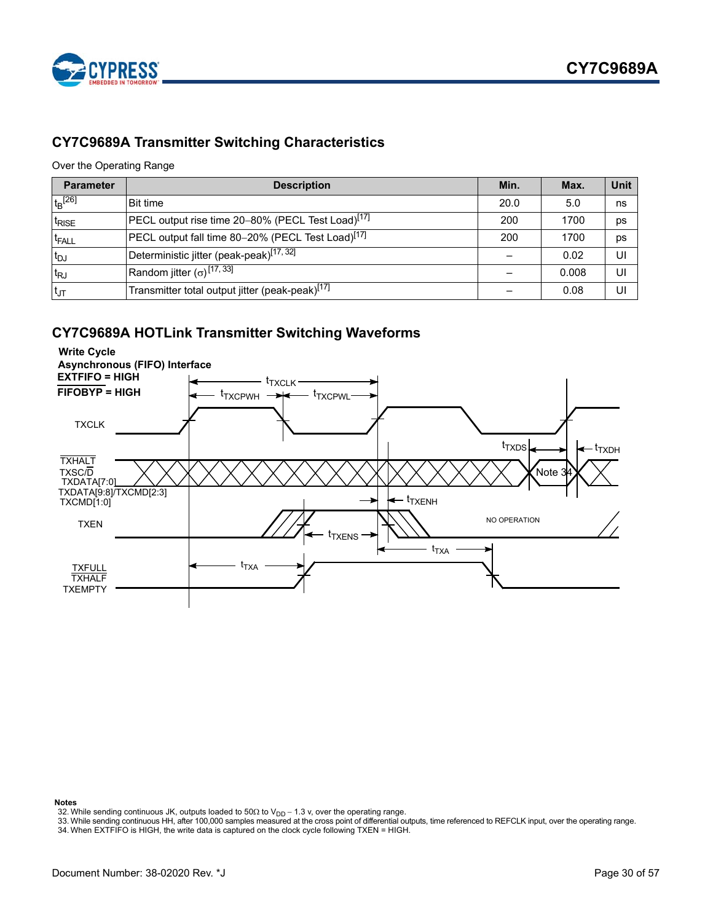

# <span id="page-29-0"></span>**CY7C9689A Transmitter Switching Characteristics**

### Over the Operating Range

| <b>Parameter</b>   | <b>Description</b>                                            | Min. | Max.  | Unit |
|--------------------|---------------------------------------------------------------|------|-------|------|
| $t_{\rm B}^{[26]}$ | <b>Bit time</b>                                               | 20.0 | 5.0   | ns   |
| <sup>T</sup> RISE  | PECL output rise time 20-80% (PECL Test Load) <sup>[17]</sup> | 200  | 1700  | DS   |
| <sup>t</sup> FALL  | PECL output fall time 80-20% (PECL Test Load) <sup>[17]</sup> | 200  | 1700  | DS   |
| ∣t <sub>DJ</sub>   | Deterministic jitter (peak-peak) <sup>[17, 32]</sup>          |      | 0.02  |      |
| $t_{RJ}$           | Random jitter $(\sigma)$ <sup>[17, 33]</sup>                  |      | 0.008 |      |
| $t_{\text{JT}}$    | Transmitter total output jitter (peak-peak) <sup>[17]</sup>   |      | 0.08  |      |

### <span id="page-29-1"></span>**CY7C9689A HOTLink Transmitter Switching Waveforms**



#### **Notes**

<span id="page-29-3"></span>

<span id="page-29-4"></span><span id="page-29-2"></span>32. While sending continuous JK, outputs loaded to 50Ω to V<sub>DD</sub> – 1.3 v, over the operating range.<br>33. While sending continuous HH, after 100,000 samples measured at the cross point of differential outputs, time reference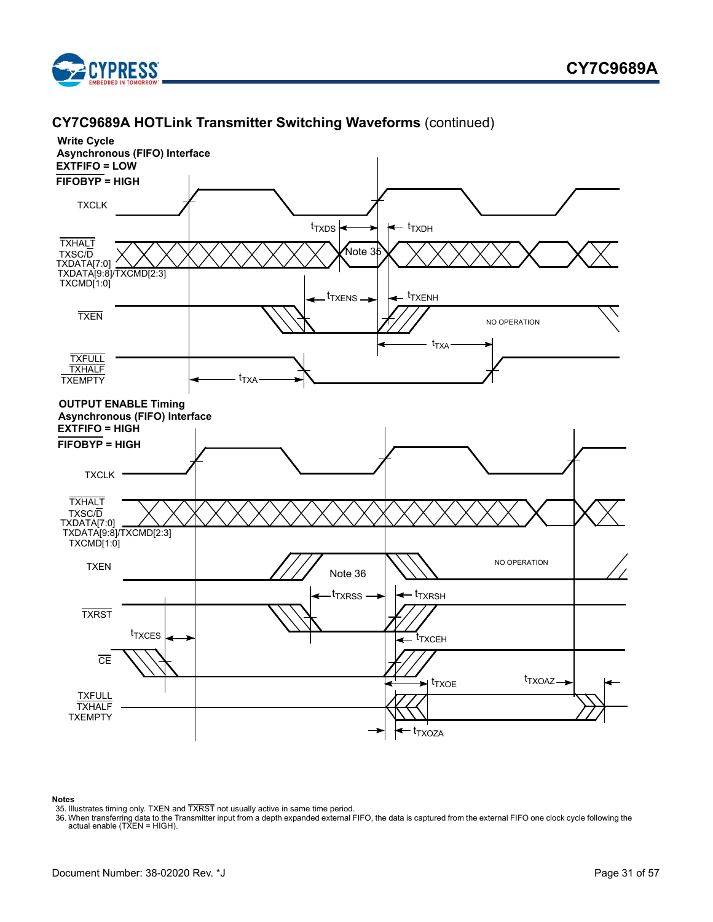





#### **Notes**

<span id="page-30-0"></span>

<span id="page-30-1"></span><sup>35.</sup> Illustrates timing only. TXEN and TXRST not usually active in same time period.<br>36. When transferring data to the Transmitter input from a depth expanded external FIFO, the data is captured from the external FIFO one c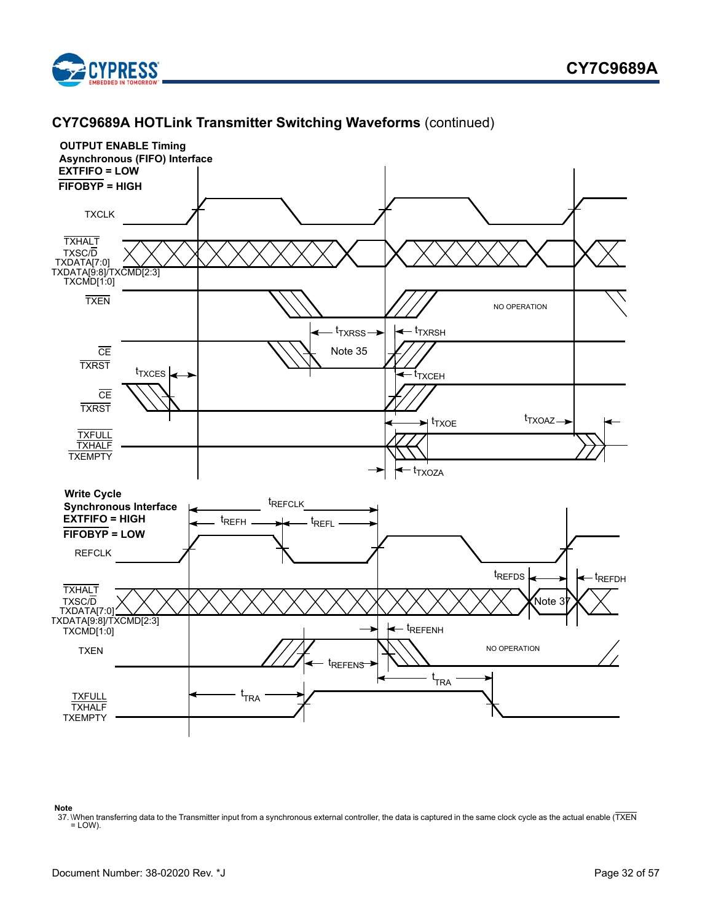



#### **Note**

<span id="page-31-0"></span>37. When transferring data to the Transmitter input from a synchronous external controller, the data is captured in the same clock cycle as the actual enable (TXEN  $=$  LOW).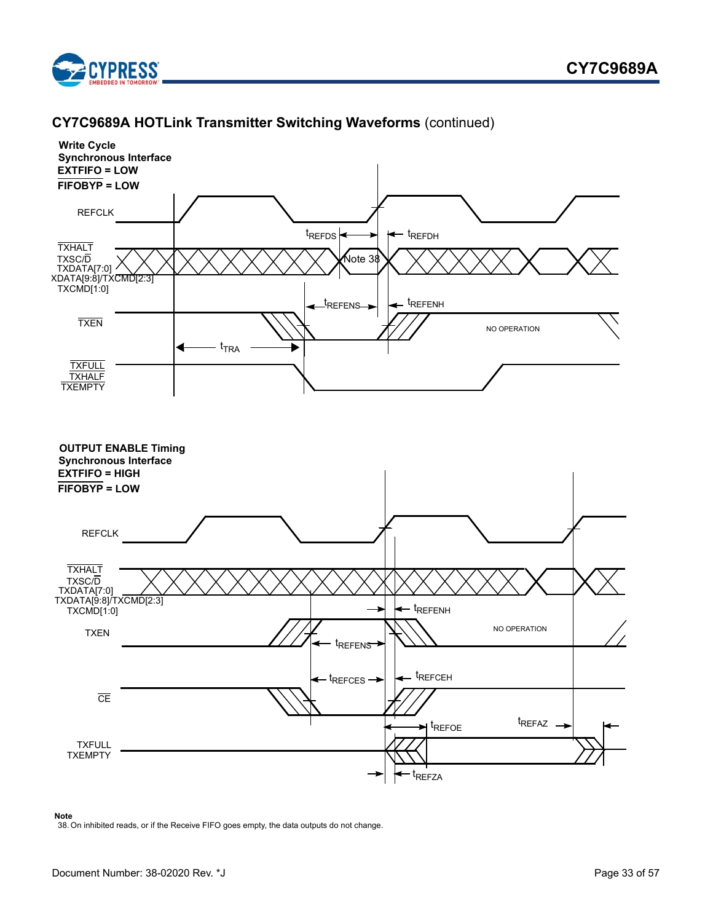





#### **Note**

<span id="page-32-0"></span>38. On inhibited reads, or if the Receive FIFO goes empty, the data outputs do not change.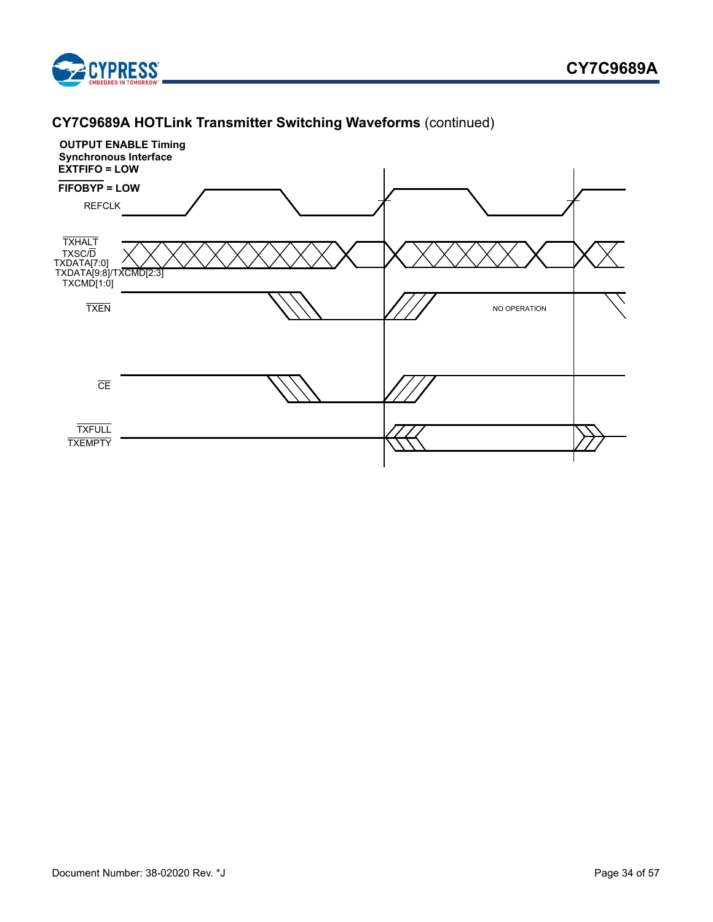



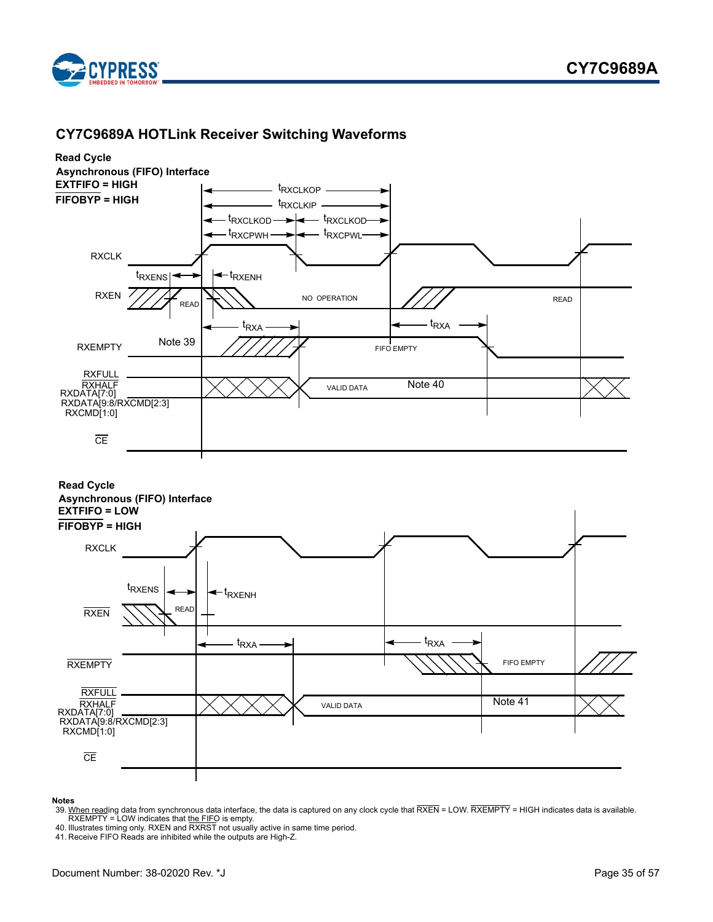

# <span id="page-34-0"></span> **CY7C9689A HOTLink Receiver Switching Waveforms**



#### **Notes**

- <span id="page-34-1"></span>39. <u>When read</u>ing data from synchronous data interface, the data is captured on any clock cycle that RXEN = LOW. RXEMPTY = HIGH indicates data is available.<br>- RXEMPTY = LOW indicates that <u>the FIF</u>O is empty.<br>40. Illustra
- <span id="page-34-2"></span>
- <span id="page-34-3"></span>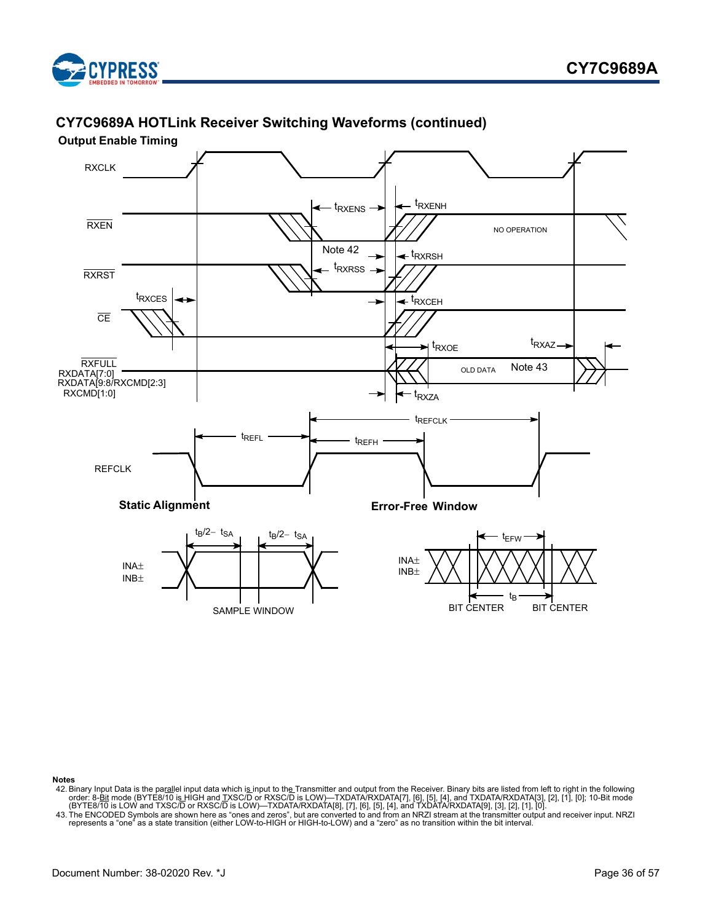

# **CY7C9689A HOTLink Receiver Switching Waveforms (continued)**

<span id="page-35-0"></span>

**Notes**

- <span id="page-35-2"></span>42. Binary Input Data is the parallel input data which is input to the Transmitter and output from the Receiver. Binary bits are listed from left to right in the following<br>order: 8-Bit mode (BYTE8/10 is HIGH and TXSC/D or
- <span id="page-35-1"></span>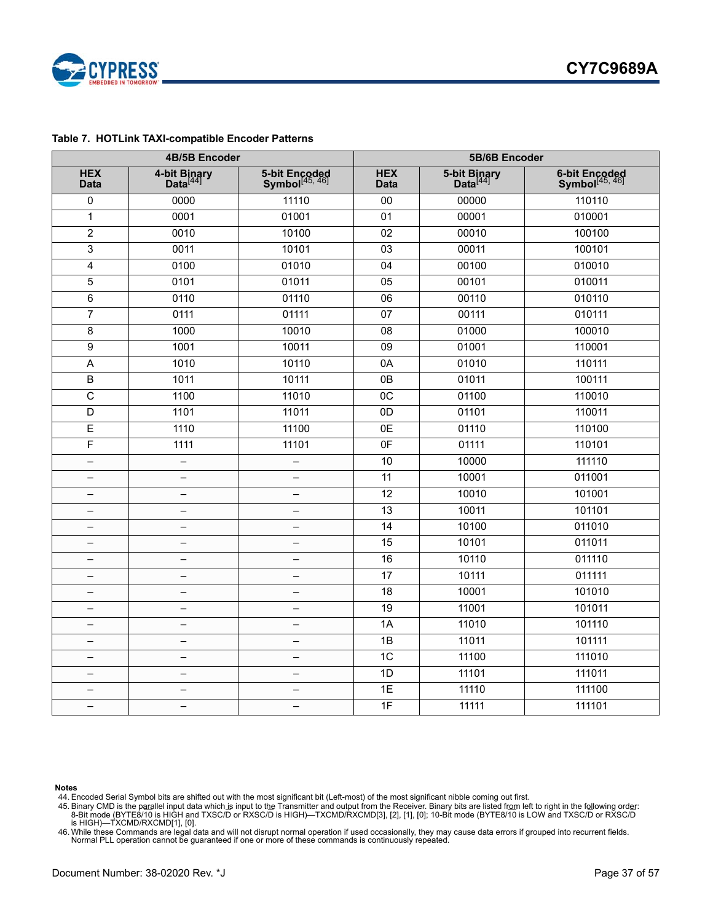

### <span id="page-36-0"></span>**Table 7. HOTLink TAXI-compatible Encoder Patterns**

| 4B/5B Encoder             |                                      |                                             | 5B/6B Encoder             |                                      |                                             |  |
|---------------------------|--------------------------------------|---------------------------------------------|---------------------------|--------------------------------------|---------------------------------------------|--|
| <b>HEX</b><br><b>Data</b> | 4-bit Binary<br>Data <sup>[44]</sup> | 5-bit Encoded<br>Symbol <sup>[45, 46]</sup> | <b>HEX</b><br><b>Data</b> | 5-bit Binary<br>Data <sup>[44]</sup> | 6-bit Encoded<br>Symbol <sup>[45, 46]</sup> |  |
| $\mathbf 0$               | 0000                                 | 11110                                       | 00                        | 00000                                | 110110                                      |  |
| $\mathbf{1}$              | 0001                                 | 01001                                       | 01                        | 00001                                | 010001                                      |  |
| $\overline{c}$            | 0010                                 | 10100                                       | $\overline{02}$           | 00010                                | 100100                                      |  |
| 3                         | 0011                                 | 10101                                       | $\overline{03}$           | 00011                                | 100101                                      |  |
| 4                         | 0100                                 | 01010                                       | $\overline{04}$           | 00100                                | 010010                                      |  |
| 5                         | 0101                                 | 01011                                       | $\overline{05}$           | 00101                                | 010011                                      |  |
| $\,6$                     | $\overline{0110}$                    | 01110                                       | $\overline{06}$           | 00110                                | 010110                                      |  |
| $\overline{7}$            | 0111                                 | 01111                                       | $\overline{07}$           | 00111                                | 010111                                      |  |
| 8                         | 1000                                 | 10010                                       | 08                        | 01000                                | 100010                                      |  |
| 9                         | 1001                                 | 10011                                       | 09                        | 01001                                | 110001                                      |  |
| A                         | 1010                                 | 10110                                       | 0A                        | 01010                                | 110111                                      |  |
| $\overline{B}$            | 1011                                 | 10111                                       | $\overline{OB}$           | 01011                                | 100111                                      |  |
| $\overline{\text{c}}$     | 1100                                 | 11010                                       | 0 <sup>C</sup>            | 01100                                | 110010                                      |  |
| D                         | 1101                                 | 11011                                       | $\overline{OD}$           | 01101                                | 110011                                      |  |
| E                         | 1110                                 | 11100                                       | $\overline{OE}$           | 01110                                | 110100                                      |  |
| F                         | 1111                                 | 11101                                       | 0 <sub>F</sub>            | 01111                                | 110101                                      |  |
| $\overline{\phantom{0}}$  | $\qquad \qquad -$                    | $\qquad \qquad -$                           | 10                        | 10000                                | 111110                                      |  |
|                           | $\overline{\phantom{0}}$             | —                                           | 11                        | 10001                                | 011001                                      |  |
| $\overline{\phantom{0}}$  | $\overline{\phantom{0}}$             | $\overline{\phantom{0}}$                    | 12                        | 10010                                | 101001                                      |  |
| $\overline{\phantom{0}}$  | $\qquad \qquad -$                    | $\qquad \qquad -$                           | $\overline{13}$           | 10011                                | 101101                                      |  |
|                           | —                                    | —                                           | 14                        | 10100                                | 011010                                      |  |
|                           | $\equiv$                             | $\overline{\phantom{0}}$                    | 15                        | 10101                                | 011011                                      |  |
|                           | $\equiv$                             | $\overline{\phantom{0}}$                    | 16                        | 10110                                | 011110                                      |  |
|                           | $\overline{\phantom{0}}$             | —                                           | 17                        | 10111                                | 011111                                      |  |
| —                         | -                                    | —                                           | 18                        | 10001                                | 101010                                      |  |
| $\qquad \qquad -$         | $\overline{\phantom{0}}$             | $\overline{\phantom{0}}$                    | 19                        | 11001                                | 101011                                      |  |
|                           | $\qquad \qquad -$                    | $\overline{\phantom{0}}$                    | $\overline{1A}$           | 11010                                | 101110                                      |  |
|                           | $\overline{\phantom{0}}$             | $\overline{\phantom{0}}$                    | $\overline{1B}$           | 11011                                | 101111                                      |  |
|                           | -                                    | —                                           | 1C                        | 11100                                | 111010                                      |  |
| $\equiv$                  | $\overline{\phantom{0}}$             | $\equiv$                                    | 1D                        | 11101                                | 111011                                      |  |
|                           | $\overline{\phantom{0}}$             | $\overline{\phantom{0}}$                    | $\overline{1E}$           | 11110                                | 111100                                      |  |
| $\overline{\phantom{0}}$  | $\qquad \qquad -$                    | $\overline{\phantom{0}}$                    | 1F                        | 11111                                | 111101                                      |  |

<span id="page-36-1"></span>

**Notes** 44. Encoded Serial Symbol bits are shifted out with the most significant bit (Left-most) of the most significant nibble coming out first.

<span id="page-36-2"></span>45. Binary CMD is the p<u>ara</u>llel input data which is input to the Transmitter and output from the Receiver. Binary bits are listed f<u>rom</u> left to right in the following ord<u>er</u>:<br>8-Bit mode (BYTE8/10 is HIGH and TXSC/D or R

<span id="page-36-3"></span>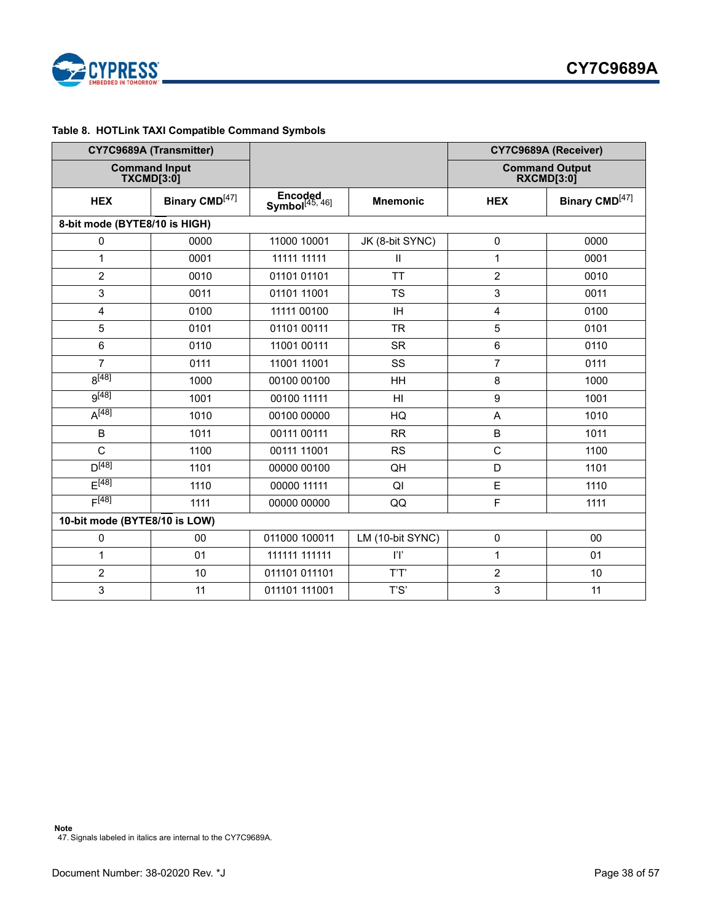

### <span id="page-37-0"></span>**Table 8. HOTLink TAXI Compatible Command Symbols**

<span id="page-37-1"></span>

|                                          | CY7C9689A (Transmitter)                   |                                       |                            | CY7C9689A (Receiver) |                                     |  |
|------------------------------------------|-------------------------------------------|---------------------------------------|----------------------------|----------------------|-------------------------------------|--|
|                                          | <b>Command Input</b><br><b>TXCMD[3:0]</b> |                                       |                            |                      | <b>Command Output</b><br>RXCMD[3:0] |  |
| Binary CMD <sup>[47]</sup><br><b>HEX</b> |                                           | Encoded<br>Symbol <sup>[45, 46]</sup> | <b>Mnemonic</b>            | <b>HEX</b>           | Binary CMD <sup>[47]</sup>          |  |
| 8-bit mode (BYTE8/10 is HIGH)            |                                           |                                       |                            |                      |                                     |  |
| 0                                        | 0000                                      | 11000 10001                           | JK (8-bit SYNC)            | 0                    | 0000                                |  |
| 1                                        | 0001                                      | 11111 11111                           | $\mathop{\rm II}\nolimits$ | $\mathbf{1}$         | 0001                                |  |
| $\overline{c}$                           | 0010                                      | 01101 01101                           | <b>TT</b>                  | $\overline{2}$       | 0010                                |  |
| 3                                        | 0011                                      | 01101 11001                           | <b>TS</b>                  | 3                    | 0011                                |  |
| $\overline{\mathbf{4}}$                  | 0100                                      | 11111 00100                           | IH                         | $\overline{4}$       | 0100                                |  |
| 5                                        | 0101                                      | 01101 00111                           | <b>TR</b>                  | 5                    | 0101                                |  |
| 6                                        | 0110                                      | 11001 00111                           | <b>SR</b>                  | 6                    | 0110                                |  |
| $\overline{7}$                           | 0111                                      | 11001 11001                           | SS                         | $\overline{7}$       | 0111                                |  |
| $8^{[48]}$                               | 1000                                      | 00100 00100                           | HH                         | 8                    | 1000                                |  |
| $9^{[48]}$                               | 1001                                      | 00100 11111                           | HI                         | 9                    | 1001                                |  |
| $A^{[48]}$                               | 1010                                      | 00100 00000                           | HQ                         | A                    | 1010                                |  |
| $\sf B$                                  | 1011                                      | 00111 00111                           | <b>RR</b>                  | $\sf B$              | 1011                                |  |
| $\mathsf{C}$                             | 1100                                      | 00111 11001                           | <b>RS</b>                  | $\mathsf C$          | 1100                                |  |
| $D^{[48]}$                               | 1101                                      | 00000 00100                           | QH                         | D                    | 1101                                |  |
| F[48]                                    | 1110                                      | 00000 11111                           | QI                         | E                    | 1110                                |  |
| F[48]                                    | 1111                                      | 00000 00000                           | QQ                         | F                    | 1111                                |  |
| 10-bit mode (BYTE8/10 is LOW)            |                                           |                                       |                            |                      |                                     |  |
| 0                                        | $00\,$                                    | 011000 100011                         | LM (10-bit SYNC)           | $\pmb{0}$            | $00\,$                              |  |
| 1                                        | 01                                        | 111111 111111                         | ľľ                         | $\mathbf{1}$         | 01                                  |  |
| $\overline{c}$                           | 10                                        | 011101 011101                         | T'T'                       | $\overline{2}$       | 10                                  |  |
| 3                                        | 11                                        | 011101 111001                         | T'S'                       | 3                    | 11                                  |  |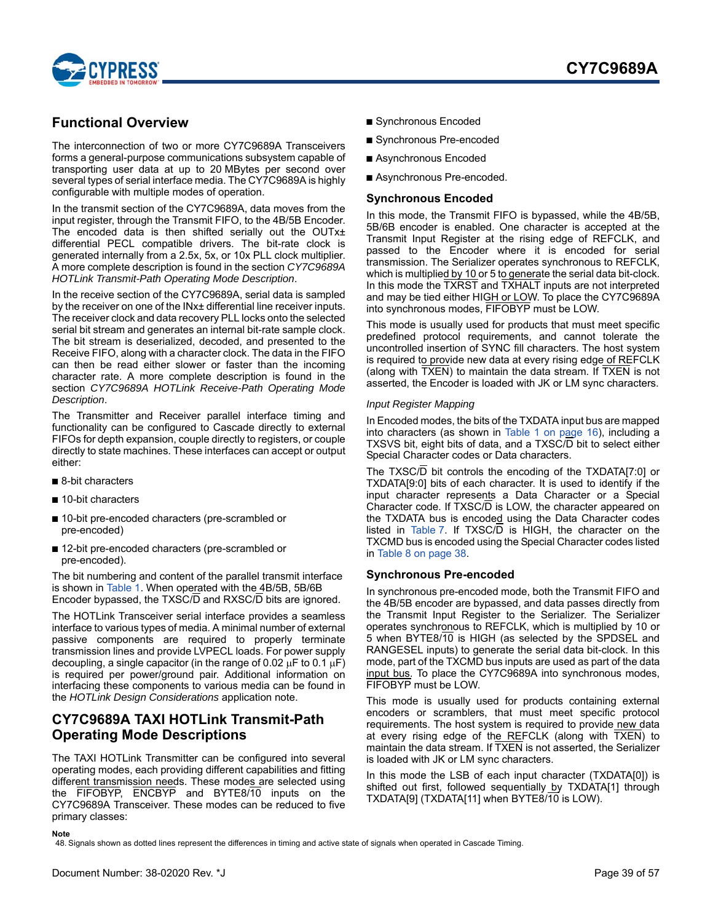

# <span id="page-38-0"></span>**Functional Overview**

The interconnection of two or more CY7C9689A Transceivers forms a general-purpose communications subsystem capable of transporting user data at up to 20 MBytes per second over several types of serial interface media. The CY7C9689A is highly configurable with multiple modes of operation.

In the transmit section of the CY7C9689A, data moves from the input register, through the Transmit FIFO, to the 4B/5B Encoder. The encoded data is then shifted serially out the OUTx± differential PECL compatible drivers. The bit-rate clock is generated internally from a 2.5x, 5x, or 10x PLL clock multiplier. A more complete description is found in the section *CY7C9689A HOTLink Transmit-Path Operating Mode Description*.

In the receive section of the CY7C9689A, serial data is sampled by the receiver on one of the INx± differential line receiver inputs. The receiver clock and data recovery PLL locks onto the selected serial bit stream and generates an internal bit-rate sample clock. The bit stream is deserialized, decoded, and presented to the Receive FIFO, along with a character clock. The data in the FIFO can then be read either slower or faster than the incoming character rate. A more complete description is found in the section *CY7C9689A HOTLink Receive-Path Operating Mode Description*.

The Transmitter and Receiver parallel interface timing and functionality can be configured to Cascade directly to external FIFOs for depth expansion, couple directly to registers, or couple directly to state machines. These interfaces can accept or output either:

- 8-bit characters
- 10-bit characters
- 10-bit pre-encoded characters (pre-scrambled or pre-encoded)
- 12-bit pre-encoded characters (pre-scrambled or pre-encoded).

The bit numbering and content of the parallel transmit interface is shown in [Table 1.](#page-15-7) When operated with the 4B/5B, 5B/6B Encoder bypassed, the TXSC/D and RXSC/D bits are ignored.

The HOTLink Transceiver serial interface provides a seamless interface to various types of media. A minimal number of external passive components are required to properly terminate transmission lines and provide LVPECL loads. For power supply decoupling, a single capacitor (in the range of 0.02  $\mu$ F to 0.1  $\mu$ F) is required per power/ground pair. Additional information on interfacing these components to various media can be found in the *HOTLink Design Considerations* application note.

### <span id="page-38-1"></span>**CY7C9689A TAXI HOTLink Transmit-Path Operating Mode Descriptions**

The TAXI HOTLink Transmitter can be configured into several operating modes, each providing different capabilities and fitting different transmission needs. These modes are selected using the FIFOBYP, ENCBYP and BYTE8/10 inputs on the CY7C9689A Transceiver. These modes can be reduced to five primary classes:

- Synchronous Encoded
- Synchronous Pre-encoded
- Asynchronous Encoded
- Asynchronous Pre-encoded.

### <span id="page-38-2"></span>**Synchronous Encoded**

In this mode, the Transmit FIFO is bypassed, while the 4B/5B, 5B/6B encoder is enabled. One character is accepted at the Transmit Input Register at the rising edge of REFCLK, and passed to the Encoder where it is encoded for serial transmission. The Serializer operates synchronous to REFCLK, which is multiplied by 10 or 5 to generate the serial data bit-clock. In this mode the TXRST and TXHALT inputs are not interpreted and may be tied either HIGH or LOW. To place the CY7C9689A into synchronous modes, FIFOBYP must be LOW.

This mode is usually used for products that must meet specific predefined protocol requirements, and cannot tolerate the uncontrolled insertion of SYNC fill characters. The host system is required to provide new data at every rising edge of REFCLK (along with TXEN) to maintain the data stream. If TXEN is not asserted, the Encoder is loaded with JK or LM sync characters.

#### *Input Register Mapping*

In Encoded modes, the bits of the TXDATA input bus are mapped into characters (as shown in [Table 1 on page 16\)](#page-15-7), including a TXSVS bit, eight bits of data, and a TXSC/D bit to select either Special Character codes or Data characters.

The TXSC/D bit controls the encoding of the TXDATA[7:0] or TXDATA[9:0] bits of each character. It is used to identify if the input character represents a Data Character or a Special Character code. If TXSC/D is LOW, the character appeared on the TXDATA bus is encoded using the Data Character codes listed in [Table 7.](#page-36-0) If  $TXSC/D$  is HIGH, the character on the TXCMD bus is encoded using the Special Character codes listed in [Table 8 on page 38.](#page-37-0)

### <span id="page-38-3"></span>**Synchronous Pre-encoded**

In synchronous pre-encoded mode, both the Transmit FIFO and the 4B/5B encoder are bypassed, and data passes directly from the Transmit Input Register to the Serializer. The Serializer operates synchronous to REFCLK, which is multiplied by 10 or 5 when BYTE8/10 is HIGH (as selected by the SPDSEL and RANGESEL inputs) to generate the serial data bit-clock. In this mode, part of the TXCMD bus inputs are used as part of the data input bus. To place the CY7C9689A into synchronous modes, FIFOBYP must be LOW.

This mode is usually used for products containing external encoders or scramblers, that must meet specific protocol requirements. The host system is required to provide new data at every rising edge of the REFCLK (along with TXEN) to maintain the data stream. If TXEN is not asserted, the Serializer is loaded with JK or LM sync characters.

In this mode the LSB of each input character (TXDATA[0]) is shifted out first, followed sequentially by TXDATA[1] through TXDATA[9] (TXDATA[11] when BYTE8/10 is LOW).

#### **Note**

<span id="page-38-4"></span>48. Signals shown as dotted lines represent the differences in timing and active state of signals when operated in Cascade Timing.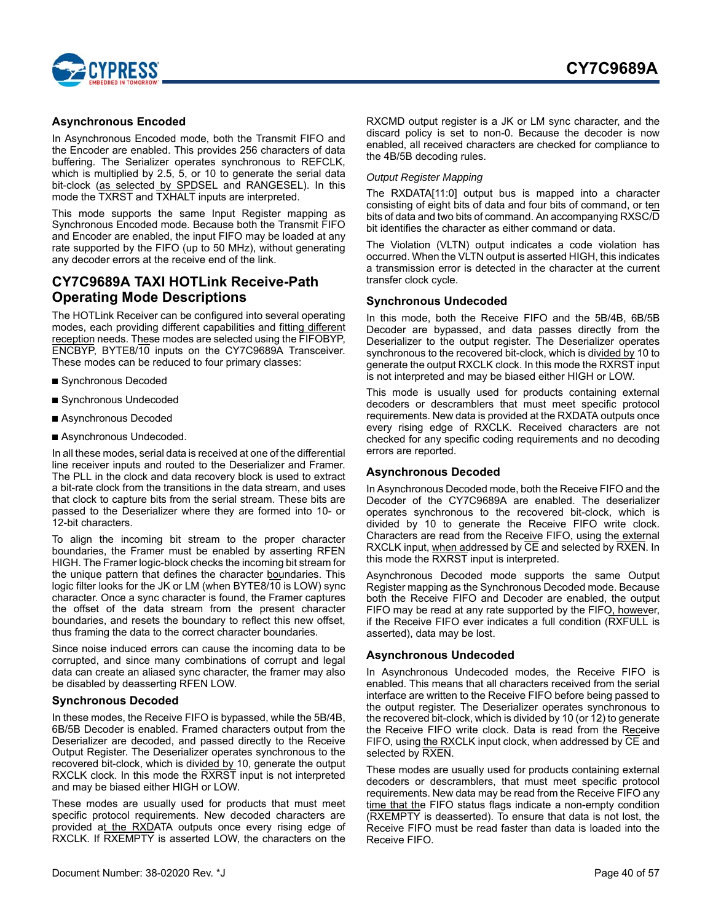

### <span id="page-39-0"></span>**Asynchronous Encoded**

In Asynchronous Encoded mode, both the Transmit FIFO and the Encoder are enabled. This provides 256 characters of data buffering. The Serializer operates synchronous to REFCLK, which is multiplied by 2.5, 5, or 10 to generate the serial data bit-clock (as selected by SPDSEL and RANGESEL). In this mode the TXRST and TXHALT inputs are interpreted.

This mode supports the same Input Register mapping as Synchronous Encoded mode. Because both the Transmit FIFO and Encoder are enabled, the input FIFO may be loaded at any rate supported by the FIFO (up to 50 MHz), without generating any decoder errors at the receive end of the link.

### <span id="page-39-1"></span>**CY7C9689A TAXI HOTLink Receive-Path Operating Mode Descriptions**

The HOTLink Receiver can be configured into several operating modes, each providing different capabilities and fitting different reception needs. These modes are selected using the FIFOBYP, ENCBYP, BYTE8/10 inputs on the CY7C9689A Transceiver. These modes can be reduced to four primary classes:

- Synchronous Decoded
- Synchronous Undecoded
- Asynchronous Decoded
- Asynchronous Undecoded.

In all these modes, serial data is received at one of the differential line receiver inputs and routed to the Deserializer and Framer. The PLL in the clock and data recovery block is used to extract a bit-rate clock from the transitions in the data stream, and uses that clock to capture bits from the serial stream. These bits are passed to the Deserializer where they are formed into 10- or 12-bit characters.

To align the incoming bit stream to the proper character boundaries, the Framer must be enabled by asserting RFEN HIGH. The Framer logic-block checks the incoming bit stream for the unique pattern that defines the character boundaries. This logic filter looks for the JK or LM (when BYTE8/10 is LOW) sync character. Once a sync character is found, the Framer captures the offset of the data stream from the present character boundaries, and resets the boundary to reflect this new offset, thus framing the data to the correct character boundaries.

Since noise induced errors can cause the incoming data to be corrupted, and since many combinations of corrupt and legal data can create an aliased sync character, the framer may also be disabled by deasserting RFEN LOW.

### <span id="page-39-2"></span>**Synchronous Decoded**

In these modes, the Receive FIFO is bypassed, while the 5B/4B, 6B/5B Decoder is enabled. Framed characters output from the Deserializer are decoded, and passed directly to the Receive Output Register. The Deserializer operates synchronous to the recovered bit-clock, which is divided by 10, generate the output RXCLK clock. In this mode the RXRST input is not interpreted and may be biased either HIGH or LOW.

These modes are usually used for products that must meet specific protocol requirements. New decoded characters are provided at the RXDATA outputs once every rising edge of RXCLK. If RXEMPTY is asserted LOW, the characters on the

RXCMD output register is a JK or LM sync character, and the discard policy is set to non-0. Because the decoder is now enabled, all received characters are checked for compliance to the 4B/5B decoding rules.

### *Output Register Mapping*

The RXDATA[11:0] output bus is mapped into a character consisting of eight bits of data and four bits of command, or ten bits of data and two bits of command. An accompanying RXSC/D bit identifies the character as either command or data.

The Violation (VLTN) output indicates a code violation has occurred. When the VLTN output is asserted HIGH, this indicates a transmission error is detected in the character at the current transfer clock cycle.

### <span id="page-39-3"></span>**Synchronous Undecoded**

In this mode, both the Receive FIFO and the 5B/4B, 6B/5B Decoder are bypassed, and data passes directly from the Deserializer to the output register. The Deserializer operates synchronous to the recovered bit-clock, which is divided by 10 to generate the output RXCLK clock. In this mode the RXRST input is not interpreted and may be biased either HIGH or LOW.

This mode is usually used for products containing external decoders or descramblers that must meet specific protocol requirements. New data is provided at the RXDATA outputs once every rising edge of RXCLK. Received characters are not checked for any specific coding requirements and no decoding errors are reported.

### <span id="page-39-4"></span>**Asynchronous Decoded**

In Asynchronous Decoded mode, both the Receive FIFO and the Decoder of the CY7C9689A are enabled. The deserializer operates synchronous to the recovered bit-clock, which is divided by 10 to generate the Receive FIFO write clock. Characters are read from the Receive FIFO, using the external RXCLK input, when addressed by CE and selected by RXEN. In this mode the RXRST input is interpreted.

Asynchronous Decoded mode supports the same Output Register mapping as the Synchronous Decoded mode. Because both the Receive FIFO and Decoder are enabled, the output FIFO may be read at any rate supported by the FIFO, however, if the Receive FIFO ever indicates a full condition (RXFULL is asserted), data may be lost.

### <span id="page-39-5"></span>**Asynchronous Undecoded**

In Asynchronous Undecoded modes, the Receive FIFO is enabled. This means that all characters received from the serial interface are written to the Receive FIFO before being passed to the output register. The Deserializer operates synchronous to the recovered bit-clock, which is divided by 10 (or 12) to generate the Receive FIFO write clock. Data is read from the Receive FIFO, using the RXCLK input clock, when addressed by CE and selected by RXEN.

These modes are usually used for products containing external decoders or descramblers, that must meet specific protocol requirements. New data may be read from the Receive FIFO any time that the FIFO status flags indicate a non-empty condition (RXEMPTY is deasserted). To ensure that data is not lost, the Receive FIFO must be read faster than data is loaded into the Receive FIFO.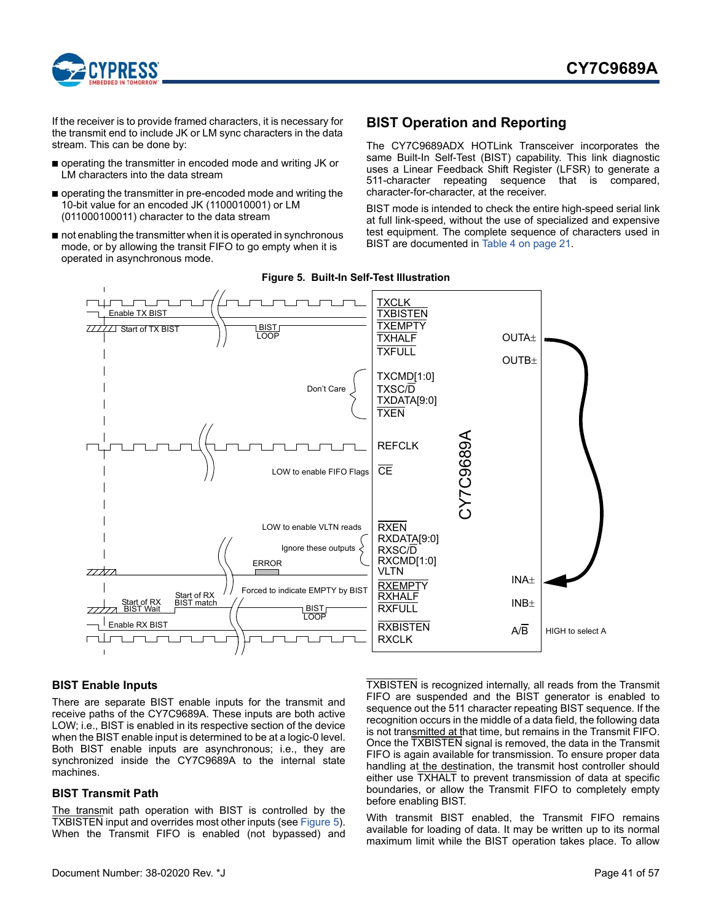

If the receiver is to provide framed characters, it is necessary for the transmit end to include JK or LM sync characters in the data stream. This can be done by:

- operating the transmitter in encoded mode and writing JK or LM characters into the data stream
- operating the transmitter in pre-encoded mode and writing the 10-bit value for an encoded JK (1100010001) or LM (011000100011) character to the data stream
- not enabling the transmitter when it is operated in synchronous mode, or by allowing the transit FIFO to go empty when it is operated in asynchronous mode.

# <span id="page-40-0"></span>**BIST Operation and Reporting**

The CY7C9689ADX HOTLink Transceiver incorporates the same Built-In Self-Test (BIST) capability. This link diagnostic uses a Linear Feedback Shift Register (LFSR) to generate a 511-character repeating sequence that is compared, character-for-character, at the receiver.

BIST mode is intended to check the entire high-speed serial link at full link-speed, without the use of specialized and expensive test equipment. The complete sequence of characters used in BIST are documented in [Table 4 on page 21](#page-20-0).

<span id="page-40-3"></span>

### **Figure 5. Built-In Self-Test Illustration**

### <span id="page-40-1"></span>**BIST Enable Inputs**

There are separate BIST enable inputs for the transmit and receive paths of the CY7C9689A. These inputs are both active LOW; i.e., BIST is enabled in its respective section of the device when the BIST enable input is determined to be at a logic-0 level. Both BIST enable inputs are asynchronous; i.e., they are synchronized inside the CY7C9689A to the internal state machines.

### <span id="page-40-2"></span>**BIST Transmit Path**

The transmit path operation with BIST is controlled by the TXBISTEN input and overrides most other inputs (see [Figure 5](#page-40-3)). When the Transmit FIFO is enabled (not bypassed) and TXBISTEN is recognized internally, all reads from the Transmit FIFO are suspended and the BIST generator is enabled to sequence out the 511 character repeating BIST sequence. If the recognition occurs in the middle of a data field, the following data is not transmitted at that time, but remains in the Transmit FIFO. Once the TXBISTEN signal is removed, the data in the Transmit FIFO is again available for transmission. To ensure proper data handling at the destination, the transmit host controller should either use TXHALT to prevent transmission of data at specific boundaries, or allow the Transmit FIFO to completely empty before enabling BIST.

With transmit BIST enabled, the Transmit FIFO remains available for loading of data. It may be written up to its normal maximum limit while the BIST operation takes place. To allow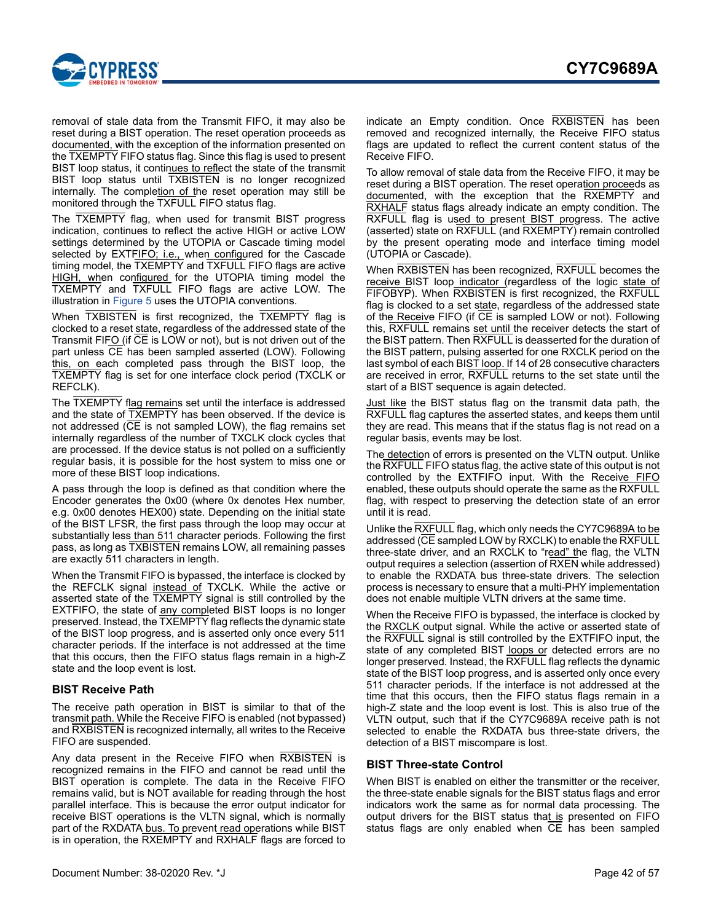

removal of stale data from the Transmit FIFO, it may also be reset during a BIST operation. The reset operation proceeds as documented, with the exception of the information presented on the TXEMPTY FIFO status flag. Since this flag is used to present BIST loop status, it continues to reflect the state of the transmit BIST loop status until TXBISTEN is no longer recognized internally. The completion of the reset operation may still be monitored through the TXFULL FIFO status flag.

The TXEMPTY flag, when used for transmit BIST progress indication, continues to reflect the active HIGH or active LOW settings determined by the UTOPIA or Cascade timing model selected by EXTFIFO; i.e., when configured for the Cascade timing model, the TXEMPTY and TXFULL FIFO flags are active HIGH, when configured for the UTOPIA timing model the TXEMPTY and TXFULL FIFO flags are active LOW. The illustration in [Figure 5](#page-40-3) uses the UTOPIA conventions.

When TXBISTEN is first recognized, the TXEMPTY flag is clocked to a reset state, regardless of the addressed state of the Transmit FIFO (if CE is LOW or not), but is not driven out of the part unless CE has been sampled asserted (LOW). Following this, on each completed pass through the BIST loop, the TXEMPTY flag is set for one interface clock period (TXCLK or REFCLK).

The TXEMPTY flag remains set until the interface is addressed and the state of TXEMPTY has been observed. If the device is not addressed (CE is not sampled LOW), the flag remains set internally regardless of the number of TXCLK clock cycles that are processed. If the device status is not polled on a sufficiently regular basis, it is possible for the host system to miss one or more of these BIST loop indications.

A pass through the loop is defined as that condition where the Encoder generates the 0x00 (where 0x denotes Hex number, e.g. 0x00 denotes HEX00) state. Depending on the initial state of the BIST LFSR, the first pass through the loop may occur at substantially less than 511 character periods. Following the first pass, as long as TXBISTEN remains LOW, all remaining passes are exactly 511 characters in length.

When the Transmit FIFO is bypassed, the interface is clocked by the REFCLK signal instead of TXCLK. While the active or asserted state of the TXEMPTY signal is still controlled by the EXTFIFO, the state of any completed BIST loops is no longer preserved. Instead, the TXEMPTY flag reflects the dynamic state of the BIST loop progress, and is asserted only once every 511 character periods. If the interface is not addressed at the time that this occurs, then the FIFO status flags remain in a high-Z state and the loop event is lost.

### <span id="page-41-0"></span>**BIST Receive Path**

The receive path operation in BIST is similar to that of the transmit path. While the Receive FIFO is enabled (not bypassed) and RXBISTEN is recognized internally, all writes to the Receive FIFO are suspended.

Any data present in the Receive FIFO when RXBISTEN is recognized remains in the FIFO and cannot be read until the BIST operation is complete. The data in the Receive FIFO remains valid, but is NOT available for reading through the host parallel interface. This is because the error output indicator for receive BIST operations is the VLTN signal, which is normally part of the RXDATA bus. To prevent read operations while BIST is in operation, the RXEMPTY and RXHALF flags are forced to

indicate an Empty condition. Once RXBISTEN has been removed and recognized internally, the Receive FIFO status flags are updated to reflect the current content status of the Receive FIFO.

To allow removal of stale data from the Receive FIFO, it may be reset during a BIST operation. The reset operation proceeds as documented, with the exception that the RXEMPTY and RXHALF status flags already indicate an empty condition. The RXFULL flag is used to present BIST progress. The active (asserted) state on RXFULL (and RXEMPTY) remain controlled by the present operating mode and interface timing model (UTOPIA or Cascade).

When RXBISTEN has been recognized, RXFULL becomes the receive BIST loop indicator (regardless of the logic state of FIFOBYP). When RXBISTEN is first recognized, the RXFULL flag is clocked to a set state, regardless of the addressed state of the Receive FIFO (if CE is sampled LOW or not). Following this, RXFULL remains set until the receiver detects the start of the BIST pattern. Then RXFULL is deasserted for the duration of the BIST pattern, pulsing asserted for one RXCLK period on the last symbol of each BIST loop. If 14 of 28 consecutive characters are received in error, RXFULL returns to the set state until the start of a BIST sequence is again detected.

Just like the BIST status flag on the transmit data path, the RXFULL flag captures the asserted states, and keeps them until they are read. This means that if the status flag is not read on a regular basis, events may be lost.

The detection of errors is presented on the VLTN output. Unlike the RXFULL FIFO status flag, the active state of this output is not controlled by the EXTFIFO input. With the Receive FIFO enabled, these outputs should operate the same as the RXFULL flag, with respect to preserving the detection state of an error until it is read.

Unlike the RXFULL flag, which only needs the CY7C9689A to be addressed (CE sampled LOW by RXCLK) to enable the RXFULL three-state driver, and an RXCLK to "read" the flag, the VLTN output requires a selection (assertion of RXEN while addressed) to enable the RXDATA bus three-state drivers. The selection process is necessary to ensure that a multi-PHY implementation does not enable multiple VLTN drivers at the same time.

When the Receive FIFO is bypassed, the interface is clocked by the RXCLK output signal. While the active or asserted state of the RXFULL signal is still controlled by the EXTFIFO input, the state of any completed BIST loops or detected errors are no longer preserved. Instead, the RXFULL flag reflects the dynamic state of the BIST loop progress, and is asserted only once every 511 character periods. If the interface is not addressed at the time that this occurs, then the FIFO status flags remain in a high-Z state and the loop event is lost. This is also true of the VLTN output, such that if the CY7C9689A receive path is not selected to enable the RXDATA bus three-state drivers, the detection of a BIST miscompare is lost.

### <span id="page-41-1"></span>**BIST Three-state Control**

When BIST is enabled on either the transmitter or the receiver, the three-state enable signals for the BIST status flags and error indicators work the same as for normal data processing. The output drivers for the BIST status that is presented on FIFO status flags are only enabled when CE has been sampled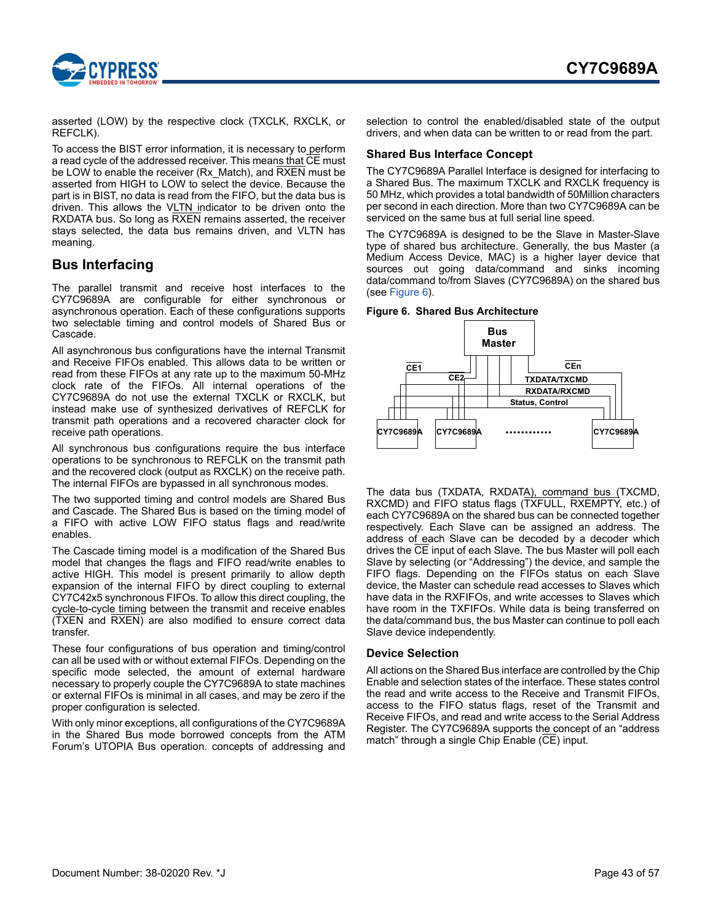

asserted (LOW) by the respective clock (TXCLK, RXCLK, or REFCLK).

To access the BIST error information, it is necessary to perform a read cycle of the addressed receiver. This means that CE must be LOW to enable the receiver (Rx\_Match), and RXEN must be asserted from HIGH to LOW to select the device. Because the part is in BIST, no data is read from the FIFO, but the data bus is driven. This allows the VLTN indicator to be driven onto the RXDATA bus. So long as RXEN remains asserted, the receiver stays selected, the data bus remains driven, and VLTN has meaning.

### <span id="page-42-0"></span>**Bus Interfacing**

The parallel transmit and receive host interfaces to the CY7C9689A are configurable for either synchronous or asynchronous operation. Each of these configurations supports two selectable timing and control models of Shared Bus or Cascade.

All asynchronous bus configurations have the internal Transmit and Receive FIFOs enabled. This allows data to be written or read from these FIFOs at any rate up to the maximum 50-MHz clock rate of the FIFOs. All internal operations of the CY7C9689A do not use the external TXCLK or RXCLK, but instead make use of synthesized derivatives of REFCLK for transmit path operations and a recovered character clock for receive path operations.

All synchronous bus configurations require the bus interface operations to be synchronous to REFCLK on the transmit path and the recovered clock (output as RXCLK) on the receive path. The internal FIFOs are bypassed in all synchronous modes.

The two supported timing and control models are Shared Bus and Cascade. The Shared Bus is based on the timing model of a FIFO with active LOW FIFO status flags and read/write enables.

The Cascade timing model is a modification of the Shared Bus model that changes the flags and FIFO read/write enables to active HIGH. This model is present primarily to allow depth expansion of the internal FIFO by direct coupling to external CY7C42x5 synchronous FIFOs. To allow this direct coupling, the cycle-to-cycle timing between the transmit and receive enables (TXEN and RXEN) are also modified to ensure correct data transfer.

These four configurations of bus operation and timing/control can all be used with or without external FIFOs. Depending on the specific mode selected, the amount of external hardware necessary to properly couple the CY7C9689A to state machines or external FIFOs is minimal in all cases, and may be zero if the proper configuration is selected.

With only minor exceptions, all configurations of the CY7C9689A in the Shared Bus mode borrowed concepts from the ATM Forum's UTOPIA Bus operation. concepts of addressing and selection to control the enabled/disabled state of the output drivers, and when data can be written to or read from the part.

### <span id="page-42-1"></span>**Shared Bus Interface Concept**

The CY7C9689A Parallel Interface is designed for interfacing to a Shared Bus. The maximum TXCLK and RXCLK frequency is 50 MHz, which provides a total bandwidth of 50Million characters per second in each direction. More than two CY7C9689A can be serviced on the same bus at full serial line speed.

The CY7C9689A is designed to be the Slave in Master-Slave type of shared bus architecture. Generally, the bus Master (a Medium Access Device, MAC) is a higher layer device that sources out going data/command and sinks incoming data/command to/from Slaves (CY7C9689A) on the shared bus (see [Figure 6\)](#page-42-3).

#### <span id="page-42-3"></span>**Figure 6. Shared Bus Architecture**



The data bus (TXDATA, RXDATA), command bus (TXCMD, RXCMD) and FIFO status flags (TXFULL, RXEMPTY, etc.) of each CY7C9689A on the shared bus can be connected together respectively. Each Slave can be assigned an address. The address of each Slave can be decoded by a decoder which drives the CE input of each Slave. The bus Master will poll each Slave by selecting (or "Addressing") the device, and sample the FIFO flags. Depending on the FIFOs status on each Slave device, the Master can schedule read accesses to Slaves which have data in the RXFIFOs, and write accesses to Slaves which have room in the TXFIFOs. While data is being transferred on the data/command bus, the bus Master can continue to poll each Slave device independently.

### <span id="page-42-2"></span>**Device Selection**

All actions on the Shared Bus interface are controlled by the Chip Enable and selection states of the interface. These states control the read and write access to the Receive and Transmit FIFOs, access to the FIFO status flags, reset of the Transmit and Receive FIFOs, and read and write access to the Serial Address Register. The CY7C9689A supports the concept of an "address match" through a single Chip Enable (CE) input.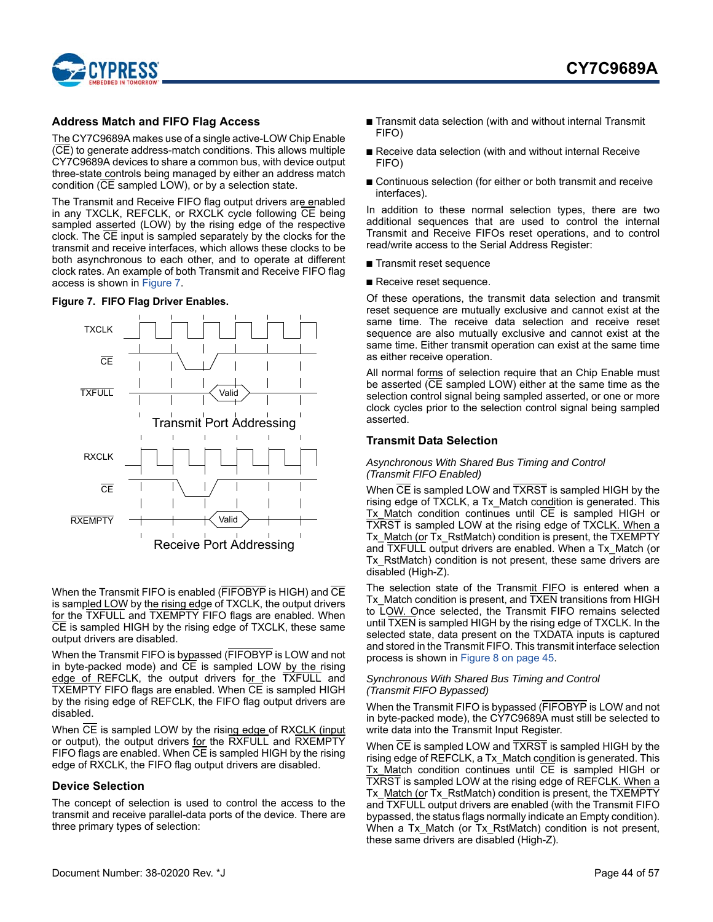

### <span id="page-43-0"></span>**Address Match and FIFO Flag Access**

The CY7C9689A makes use of a single active-LOW Chip Enable (CE) to generate address-match conditions. This allows multiple CY7C9689A devices to share a common bus, with device output three-state controls being managed by either an address match condition (CE sampled LOW), or by a selection state.

The Transmit and Receive FIFO flag output drivers are enabled in any TXCLK, REFCLK, or RXCLK cycle following CE being sampled asserted (LOW) by the rising edge of the respective clock. The CE input is sampled separately by the clocks for the transmit and receive interfaces, which allows these clocks to be both asynchronous to each other, and to operate at different clock rates. An example of both Transmit and Receive FIFO flag access is shown in [Figure 7](#page-43-3).

### <span id="page-43-3"></span>**Figure 7. FIFO Flag Driver Enables.**



When the Transmit FIFO is enabled (FIFOBYP is HIGH) and CE is sampled LOW by the rising edge of TXCLK, the output drivers for the TXFULL and TXEMPTY FIFO flags are enabled. When CE is sampled HIGH by the rising edge of TXCLK, these same output drivers are disabled.

When the Transmit FIFO is bypassed (FIFOBYP is LOW and not in byte-packed mode) and CE is sampled LOW by the rising edge of REFCLK, the output drivers for the TXFULL and TXEMPTY FIFO flags are enabled. When CE is sampled HIGH by the rising edge of REFCLK, the FIFO flag output drivers are disabled.

When CE is sampled LOW by the rising edge of RXCLK (input or output), the output drivers for the RXFULL and RXEMPTY FIFO flags are enabled. When  $\overline{CE}$  is sampled HIGH by the rising edge of RXCLK, the FIFO flag output drivers are disabled.

### <span id="page-43-1"></span>**Device Selection**

The concept of selection is used to control the access to the transmit and receive parallel-data ports of the device. There are three primary types of selection:

- Transmit data selection (with and without internal Transmit FIFO)
- Receive data selection (with and without internal Receive FIFO)
- Continuous selection (for either or both transmit and receive interfaces).

In addition to these normal selection types, there are two additional sequences that are used to control the internal Transmit and Receive FIFOs reset operations, and to control read/write access to the Serial Address Register:

- Transmit reset sequence
- Receive reset sequence.

Of these operations, the transmit data selection and transmit reset sequence are mutually exclusive and cannot exist at the same time. The receive data selection and receive reset sequence are also mutually exclusive and cannot exist at the same time. Either transmit operation can exist at the same time as either receive operation.

All normal forms of selection require that an Chip Enable must be asserted (CE sampled LOW) either at the same time as the selection control signal being sampled asserted, or one or more clock cycles prior to the selection control signal being sampled asserted.

### <span id="page-43-2"></span>**Transmit Data Selection**

#### *Asynchronous With Shared Bus Timing and Control (Transmit FIFO Enabled)*

When CE is sampled LOW and TXRST is sampled HIGH by the rising edge of TXCLK, a Tx\_Match condition is generated. This  $Tx$  Match condition continues until  $\overline{CE}$  is sampled HIGH or TXRST is sampled LOW at the rising edge of TXCLK. When a Tx\_Match (or Tx\_RstMatch) condition is present, the TXEMPTY and TXFULL output drivers are enabled. When a Tx\_Match (or Tx\_RstMatch) condition is not present, these same drivers are disabled (High-Z).

The selection state of the Transmit FIFO is entered when a Tx\_Match condition is present, and TXEN transitions from HIGH to LOW. Once selected, the Transmit FIFO remains selected until TXEN is sampled HIGH by the rising edge of TXCLK. In the selected state, data present on the TXDATA inputs is captured and stored in the Transmit FIFO. This transmit interface selection process is shown in [Figure 8 on page 45.](#page-44-1)

#### *Synchronous With Shared Bus Timing and Control (Transmit FIFO Bypassed)*

When the Transmit FIFO is bypassed (FIFOBYP is LOW and not in byte-packed mode), the CY7C9689A must still be selected to write data into the Transmit Input Register.

When CE is sampled LOW and TXRST is sampled HIGH by the rising edge of REFCLK, a Tx\_Match condition is generated. This Tx Match condition continues until CE is sampled HIGH or TXRST is sampled LOW at the rising edge of REFCLK. When a Tx\_Match (or Tx\_RstMatch) condition is present, the TXEMPTY and TXFULL output drivers are enabled (with the Transmit FIFO bypassed, the status flags normally indicate an Empty condition). When a Tx Match (or Tx RstMatch) condition is not present, these same drivers are disabled (High-Z).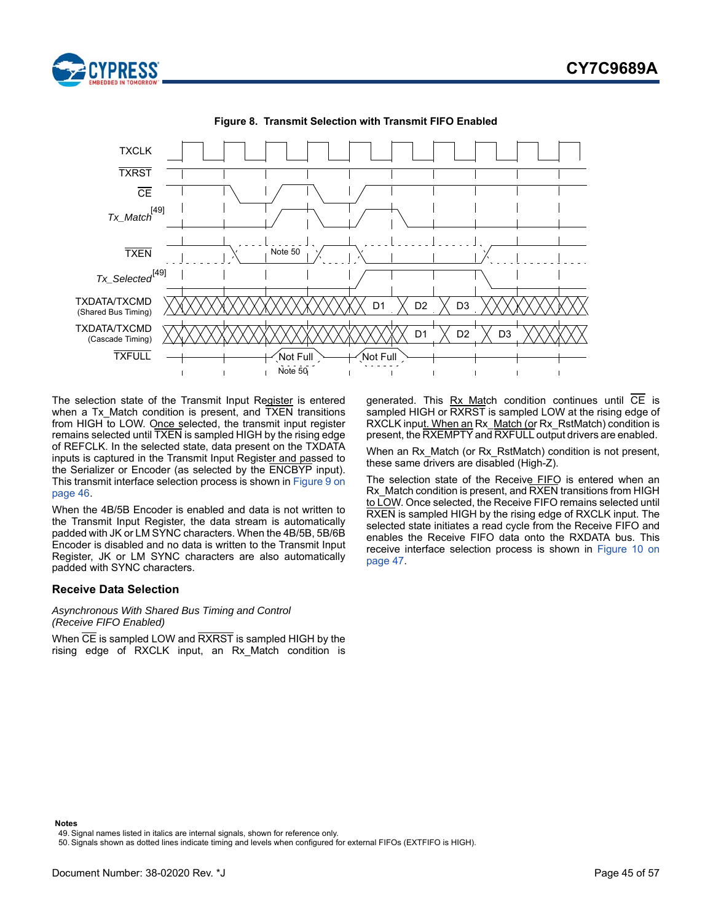

<span id="page-44-1"></span>

**Figure 8. Transmit Selection with Transmit FIFO Enabled**

The selection state of the Transmit Input Register is entered when a Tx\_Match condition is present, and TXEN transitions from HIGH to LOW. Once selected, the transmit input register remains selected until TXEN is sampled HIGH by the rising edge of REFCLK. In the selected state, data present on the TXDATA inputs is captured in the Transmit Input Register and passed to the Serializer or Encoder (as selected by the ENCBYP input). This transmit interface selection process is shown in [Figure 9 on](#page-45-0) [page 46](#page-45-0).

When the 4B/5B Encoder is enabled and data is not written to the Transmit Input Register, the data stream is automatically padded with JK or LM SYNC characters. When the 4B/5B, 5B/6B Encoder is disabled and no data is written to the Transmit Input Register, JK or LM SYNC characters are also automatically padded with SYNC characters.

### <span id="page-44-0"></span>**Receive Data Selection**

#### *Asynchronous With Shared Bus Timing and Control (Receive FIFO Enabled)*

When CE is sampled LOW and RXRST is sampled HIGH by the rising edge of RXCLK input, an Rx\_Match condition is generated. This  $Rx$  Match condition continues until  $\overline{CE}$  is sampled HIGH or RXRST is sampled LOW at the rising edge of RXCLK input. When an Rx\_Match (or Rx\_RstMatch) condition is present, the RXEMPTY and RXFULL output drivers are enabled.

When an Rx Match (or Rx RstMatch) condition is not present, these same drivers are disabled (High-Z).

The selection state of the Receive FIFO is entered when an Rx\_Match condition is present, and RXEN transitions from HIGH to LOW. Once selected, the Receive FIFO remains selected until RXEN is sampled HIGH by the rising edge of RXCLK input. The selected state initiates a read cycle from the Receive FIFO and enables the Receive FIFO data onto the RXDATA bus. This receive interface selection process is shown in [Figure 10 on](#page-46-1) [page 47](#page-46-1).

#### **Notes**

<span id="page-44-2"></span><sup>49.</sup> Signal names listed in italics are internal signals, shown for reference only.

<span id="page-44-3"></span><sup>50.</sup> Signals shown as dotted lines indicate timing and levels when configured for external FIFOs (EXTFIFO is HIGH).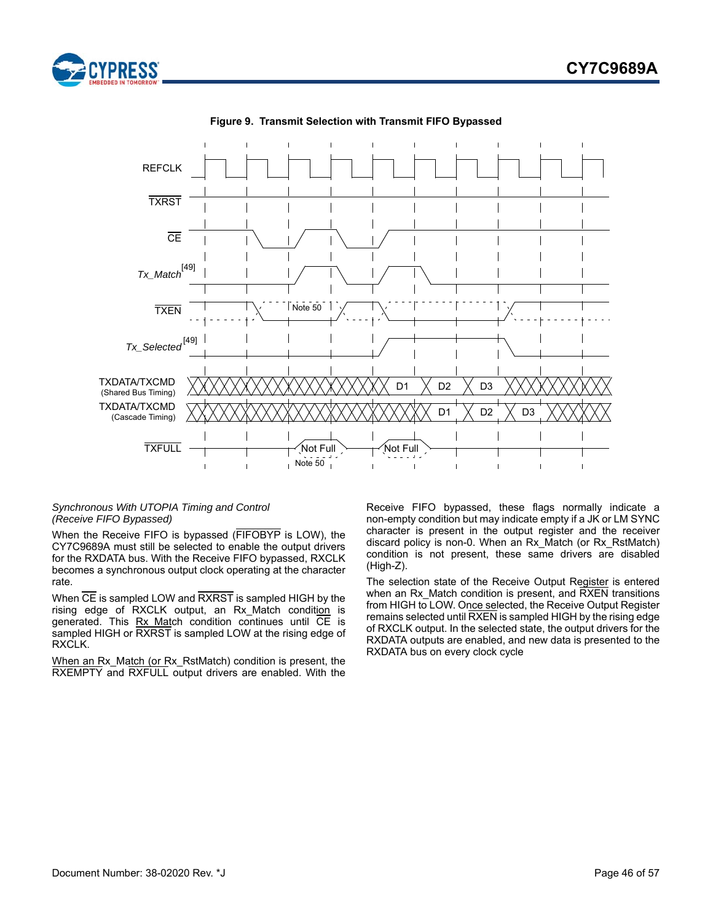

<span id="page-45-0"></span>

**Figure 9. Transmit Selection with Transmit FIFO Bypassed**

### *Synchronous With UTOPIA Timing and Control (Receive FIFO Bypassed)*

When the Receive FIFO is bypassed (FIFOBYP is LOW), the CY7C9689A must still be selected to enable the output drivers for the RXDATA bus. With the Receive FIFO bypassed, RXCLK becomes a synchronous output clock operating at the character rate.

When CE is sampled LOW and RXRST is sampled HIGH by the rising edge of RXCLK output, an Rx\_Match condition is generated. This Rx Match condition continues until CE is sampled HIGH or RXRST is sampled LOW at the rising edge of RXCLK.

When an Rx Match (or Rx RstMatch) condition is present, the RXEMPTY and RXFULL output drivers are enabled. With the Receive FIFO bypassed, these flags normally indicate a non-empty condition but may indicate empty if a JK or LM SYNC character is present in the output register and the receiver discard policy is non-0. When an Rx\_Match (or Rx\_RstMatch) condition is not present, these same drivers are disabled (High-Z).

The selection state of the Receive Output Register is entered when an Rx\_Match condition is present, and RXEN transitions from HIGH to LOW. Once selected, the Receive Output Register remains selected until RXEN is sampled HIGH by the rising edge of RXCLK output. In the selected state, the output drivers for the RXDATA outputs are enabled, and new data is presented to the RXDATA bus on every clock cycle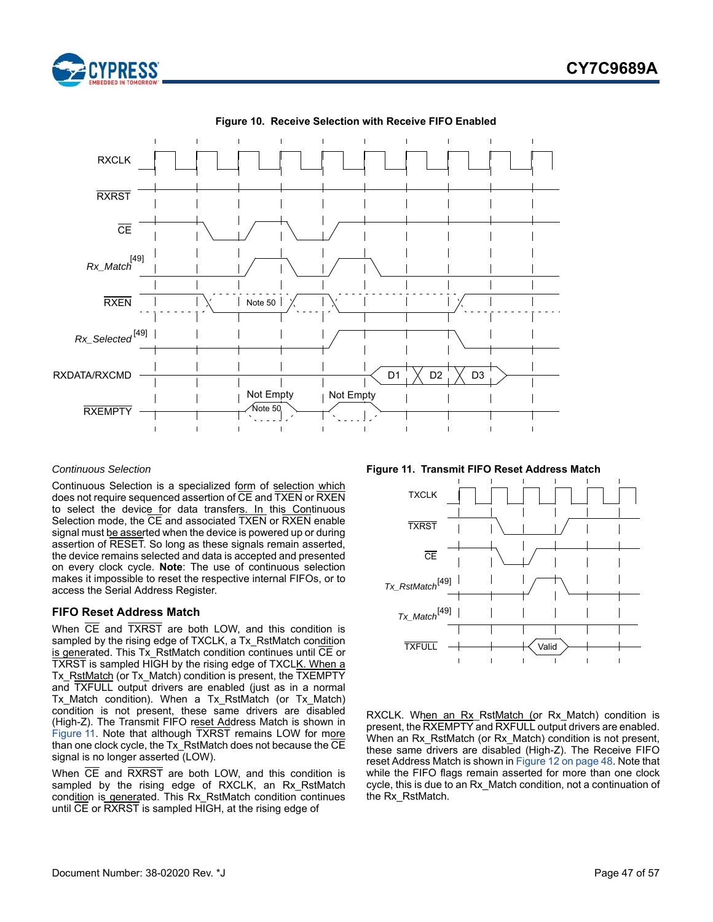



<span id="page-46-1"></span>

#### **Figure 10. Receive Selection with Receive FIFO Enabled**

#### *Continuous Selection*

Continuous Selection is a specialized form of selection which does not require sequenced assertion of CE and TXEN or RXEN to select the device for data transfers. In this Continuous Selection mode, the CE and associated TXEN or RXEN enable signal must be asserted when the device is powered up or during assertion of RESET. So long as these signals remain asserted, the device remains selected and data is accepted and presented on every clock cycle. **Note**: The use of continuous selection makes it impossible to reset the respective internal FIFOs, or to access the Serial Address Register.

#### <span id="page-46-0"></span>**FIFO Reset Address Match**

When CE and TXRST are both LOW, and this condition is sampled by the rising edge of TXCLK, a Tx\_RstMatch condition is generated. This Tx\_RstMatch condition continues until CE or TXRST is sampled HIGH by the rising edge of TXCLK. When a Tx RstMatch (or Tx Match) condition is present, the TXEMPTY and TXFULL output drivers are enabled (just as in a normal Tx Match condition). When a Tx RstMatch (or Tx Match) condition is not present, these same drivers are disabled (High-Z). The Transmit FIFO reset Address Match is shown in [Figure 11](#page-46-2). Note that although TXRST remains LOW for more than one clock cycle, the Tx\_RstMatch does not because the CE signal is no longer asserted (LOW).

When CE and RXRST are both LOW, and this condition is sampled by the rising edge of RXCLK, an Rx RstMatch condition is generated. This Rx\_RstMatch condition continues until CE or RXRST is sampled HIGH, at the rising edge of

<span id="page-46-2"></span>**Figure 11. Transmit FIFO Reset Address Match**



RXCLK. When an Rx\_RstMatch (or Rx\_Match) condition is present, the RXEMPTY and RXFULL output drivers are enabled. When an Rx\_RstMatch (or Rx\_Match) condition is not present, these same drivers are disabled (High-Z). The Receive FIFO reset Address Match is shown in [Figure 12 on page 48](#page-47-2). Note that while the FIFO flags remain asserted for more than one clock cycle, this is due to an Rx\_Match condition, not a continuation of the Rx\_RstMatch.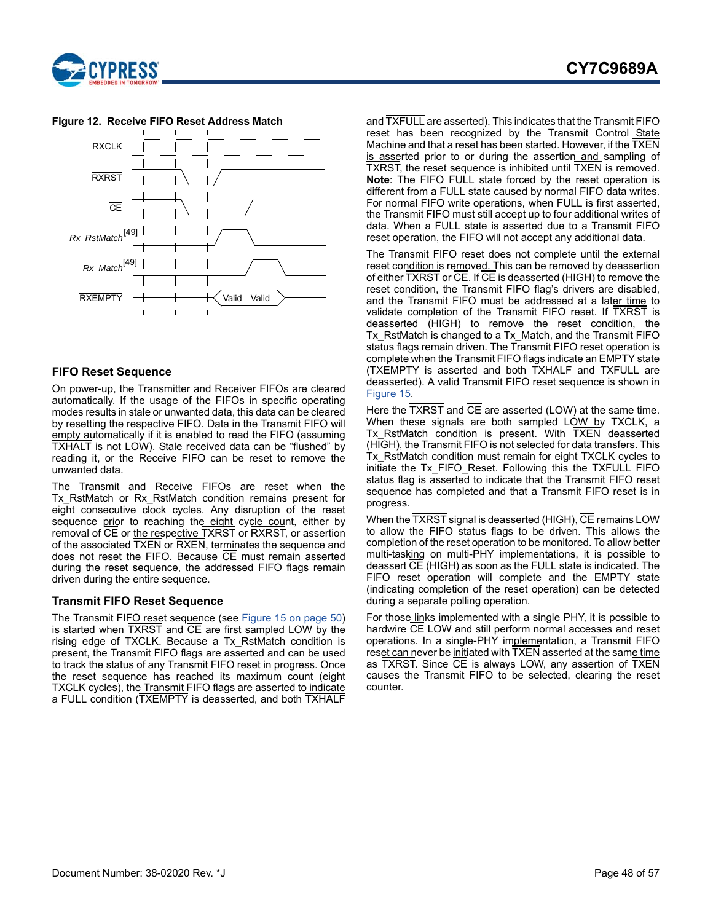



### <span id="page-47-2"></span>**Figure 12. Receive FIFO Reset Address Match**

### <span id="page-47-0"></span>**FIFO Reset Sequence**

On power-up, the Transmitter and Receiver FIFOs are cleared automatically. If the usage of the FIFOs in specific operating modes results in stale or unwanted data, this data can be cleared by resetting the respective FIFO. Data in the Transmit FIFO will empty automatically if it is enabled to read the FIFO (assuming TXHALT is not LOW). Stale received data can be "flushed" by reading it, or the Receive FIFO can be reset to remove the unwanted data.

The Transmit and Receive FIFOs are reset when the Tx RstMatch or Rx RstMatch condition remains present for eight consecutive clock cycles. Any disruption of the reset sequence prior to reaching the eight cycle count, either by removal of CE or the respective TXRST or RXRST, or assertion of the associated TXEN or RXEN, terminates the sequence and does not reset the FIFO. Because CE must remain asserted during the reset sequence, the addressed FIFO flags remain driven during the entire sequence.

### <span id="page-47-1"></span>**Transmit FIFO Reset Sequence**

The Transmit FIFO reset sequence (see [Figure 15 on page 50\)](#page-49-0) is started when TXRST and CE are first sampled LOW by the rising edge of TXCLK. Because a Tx\_RstMatch condition is present, the Transmit FIFO flags are asserted and can be used to track the status of any Transmit FIFO reset in progress. Once the reset sequence has reached its maximum count (eight TXCLK cycles), the Transmit FIFO flags are asserted to indicate a FULL condition (TXEMPTY is deasserted, and both TXHALF

and TXFULL are asserted). This indicates that the Transmit FIFO reset has been recognized by the Transmit Control State Machine and that a reset has been started. However, if the TXEN is asserted prior to or during the assertion and sampling of TXRST, the reset sequence is inhibited until TXEN is removed. **Note**: The FIFO FULL state forced by the reset operation is different from a FULL state caused by normal FIFO data writes. For normal FIFO write operations, when FULL is first asserted, the Transmit FIFO must still accept up to four additional writes of data. When a FULL state is asserted due to a Transmit FIFO reset operation, the FIFO will not accept any additional data.

The Transmit FIFO reset does not complete until the external reset condition is removed. This can be removed by deassertion of either TXRST or CE. If CE is deasserted (HIGH) to remove the reset condition, the Transmit FIFO flag's drivers are disabled, and the Transmit FIFO must be addressed at a later time to validate completion of the Transmit FIFO reset. If TXRST is deasserted (HIGH) to remove the reset condition, the Tx RstMatch is changed to a Tx Match, and the Transmit FIFO status flags remain driven. The Transmit FIFO reset operation is complete when the Transmit FIFO flags indicate an **EMPTY** state (TXEMPTY is asserted and both TXHALF and TXFULL are deasserted). A valid Transmit FIFO reset sequence is shown in [Figure 15.](#page-49-0)

Here the  $\overline{\text{TXRST}}$  and  $\overline{\text{CE}}$  are asserted (LOW) at the same time. When these signals are both sampled LOW by TXCLK, a Tx RstMatch condition is present. With TXEN deasserted (HIGH), the Transmit FIFO is not selected for data transfers. This Tx RstMatch condition must remain for eight TXCLK cycles to initiate the Tx\_FIFO\_Reset. Following this the TXFULL FIFO status flag is asserted to indicate that the Transmit FIFO reset sequence has completed and that a Transmit FIFO reset is in progress.

When the TXRST signal is deasserted (HIGH), CE remains LOW to allow the FIFO status flags to be driven. This allows the completion of the reset operation to be monitored. To allow better multi-tasking on multi-PHY implementations, it is possible to deassert CE (HIGH) as soon as the FULL state is indicated. The FIFO reset operation will complete and the EMPTY state (indicating completion of the reset operation) can be detected during a separate polling operation.

For those links implemented with a single PHY, it is possible to hardwire CE LOW and still perform normal accesses and reset operations. In a single-PHY implementation, a Transmit FIFO reset can never be initiated with TXEN asserted at the same time as TXRST. Since CE is always LOW, any assertion of TXEN causes the Transmit FIFO to be selected, clearing the reset counter.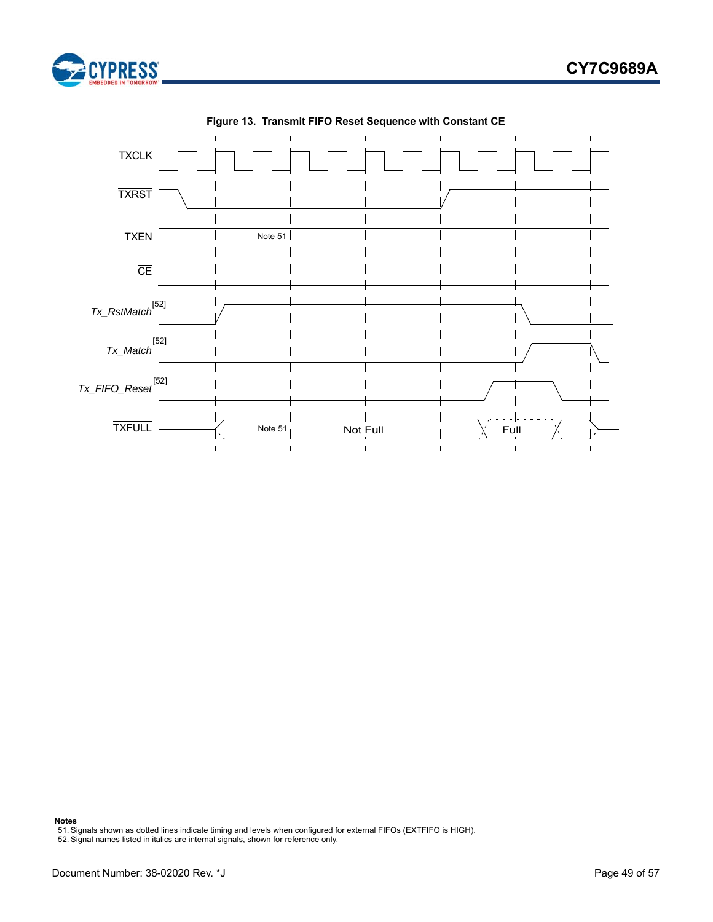



**Figure 13. Transmit FIFO Reset Sequence with Constant CE**

**Notes**

<span id="page-48-1"></span>51. Signals shown as dotted lines indicate timing and levels when configured for external FIFOs (EXTFIFO is HIGH). 52. Signal names listed in italics are internal signals, shown for reference only.

<span id="page-48-0"></span>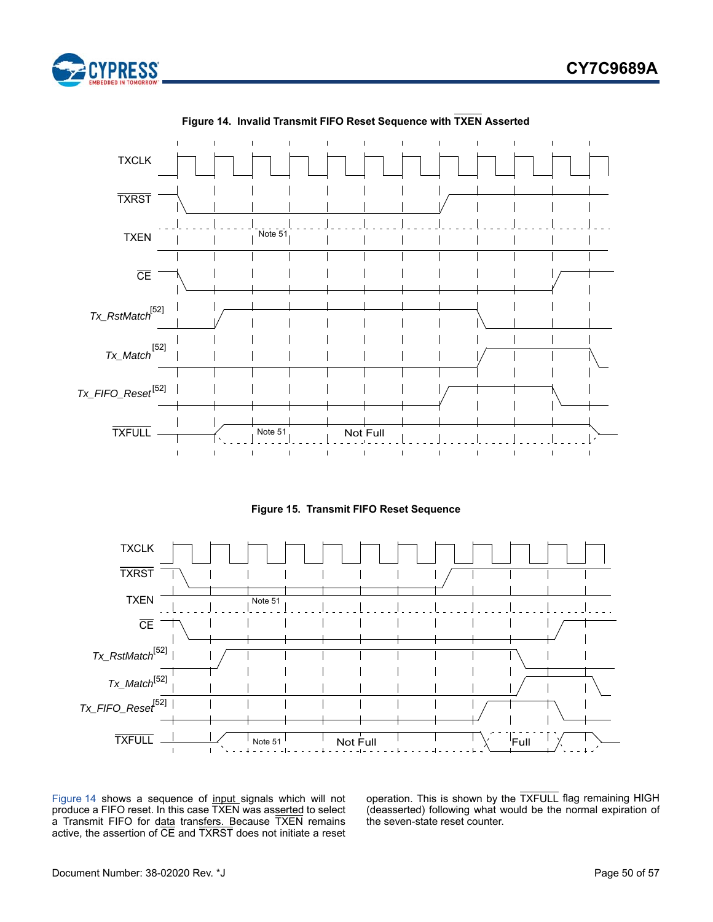

<span id="page-49-1"></span>

**Figure 14. Invalid Transmit FIFO Reset Sequence with TXEN Asserted**



<span id="page-49-0"></span>

[Figure 14](#page-49-1) shows a sequence of input signals which will not produce a FIFO reset. In this case TXEN was asserted to select a Transmit FIFO for data transfers. Because TXEN remains active, the assertion of  $\overline{\text{CE}}$  and  $\overline{\text{TXRST}}$  does not initiate a reset

operation. This is shown by the TXFULL flag remaining HIGH (deasserted) following what would be the normal expiration of the seven-state reset counter.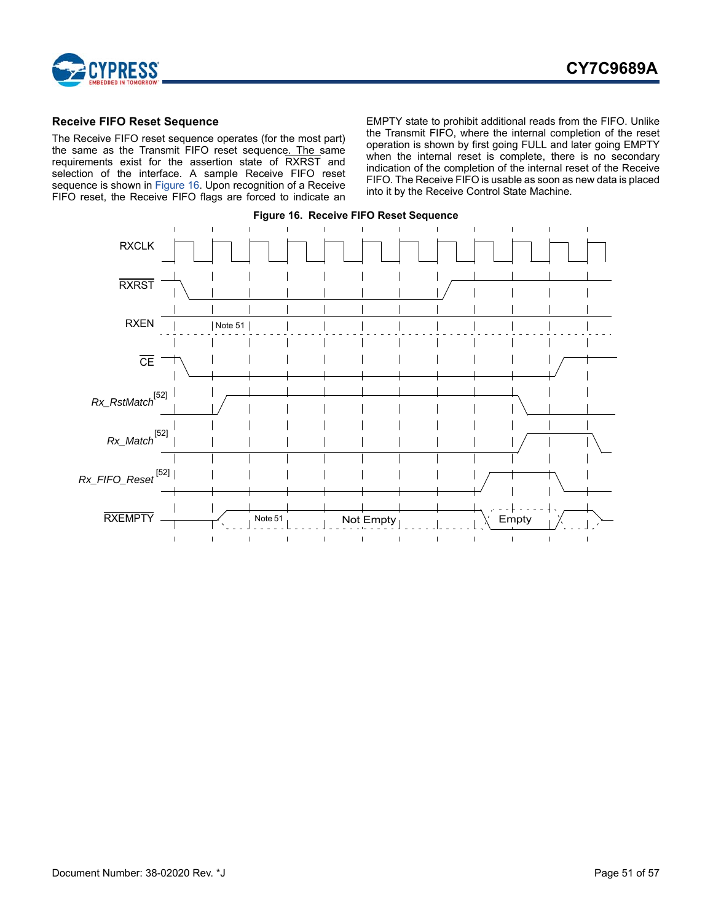

### <span id="page-50-0"></span>**Receive FIFO Reset Sequence**

The Receive FIFO reset sequence operates (for the most part) the same as the Transmit FIFO reset sequence. The same requirements exist for the assertion state of RXRST and selection of the interface. A sample Receive FIFO reset sequence is shown in [Figure 16](#page-50-1). Upon recognition of a Receive FIFO reset, the Receive FIFO flags are forced to indicate an EMPTY state to prohibit additional reads from the FIFO. Unlike the Transmit FIFO, where the internal completion of the reset operation is shown by first going FULL and later going EMPTY when the internal reset is complete, there is no secondary indication of the completion of the internal reset of the Receive FIFO. The Receive FIFO is usable as soon as new data is placed into it by the Receive Control State Machine.

<span id="page-50-1"></span>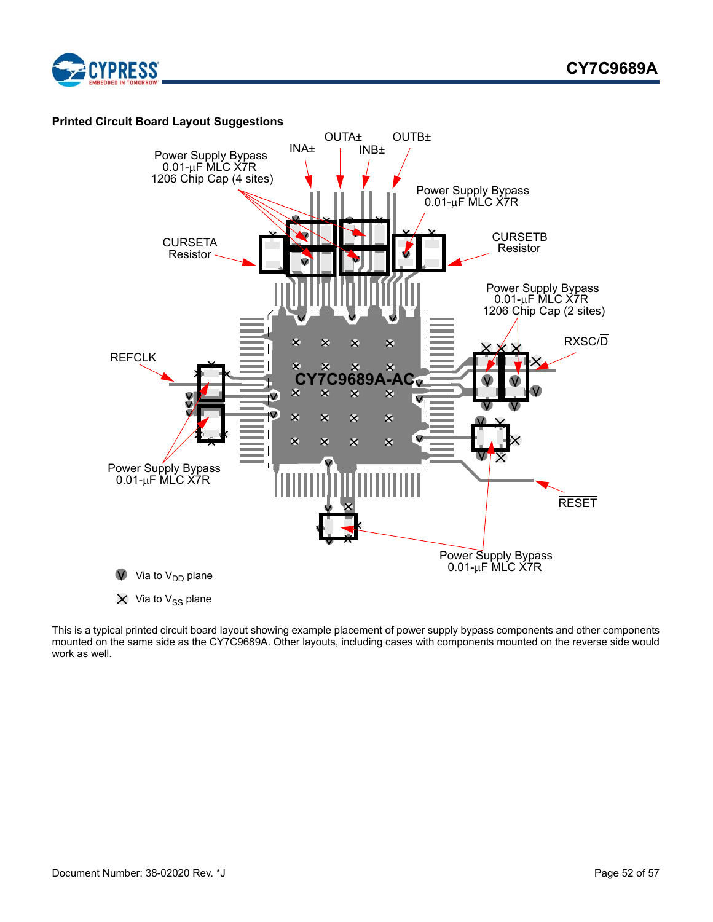

<span id="page-51-0"></span>

This is a typical printed circuit board layout showing example placement of power supply bypass components and other components mounted on the same side as the CY7C9689A. Other layouts, including cases with components mounted on the reverse side would work as well.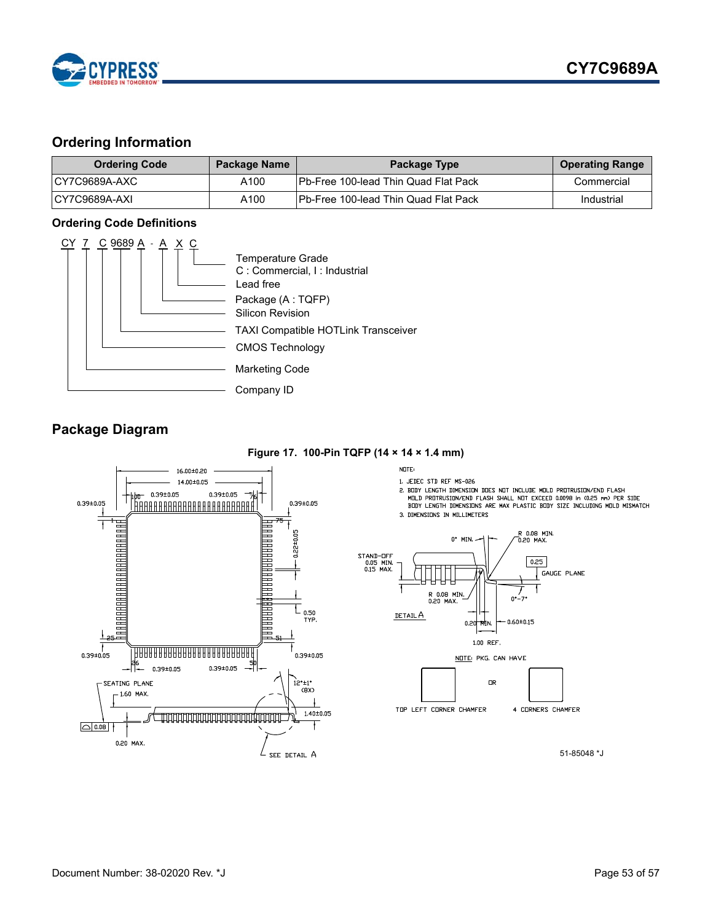

# <span id="page-52-0"></span>**Ordering Information**

| <b>Ordering Code</b> | <b>Package Name</b> | Package Type                                 | <b>Operating Range</b> |
|----------------------|---------------------|----------------------------------------------|------------------------|
| ICY7C9689A-AXC       | A100                | <b>Pb-Free 100-lead Thin Quad Flat Pack</b>  | Commercial             |
| ICY7C9689A-AXI       | A100                | <b>IPb-Free 100-lead Thin Quad Flat Pack</b> | Industrial             |

### <span id="page-52-1"></span>**Ordering Code Definitions**



### <span id="page-52-2"></span>**Package Diagram**

**Figure 17. 100-Pin TQFP (14 × 14 × 1.4 mm)**

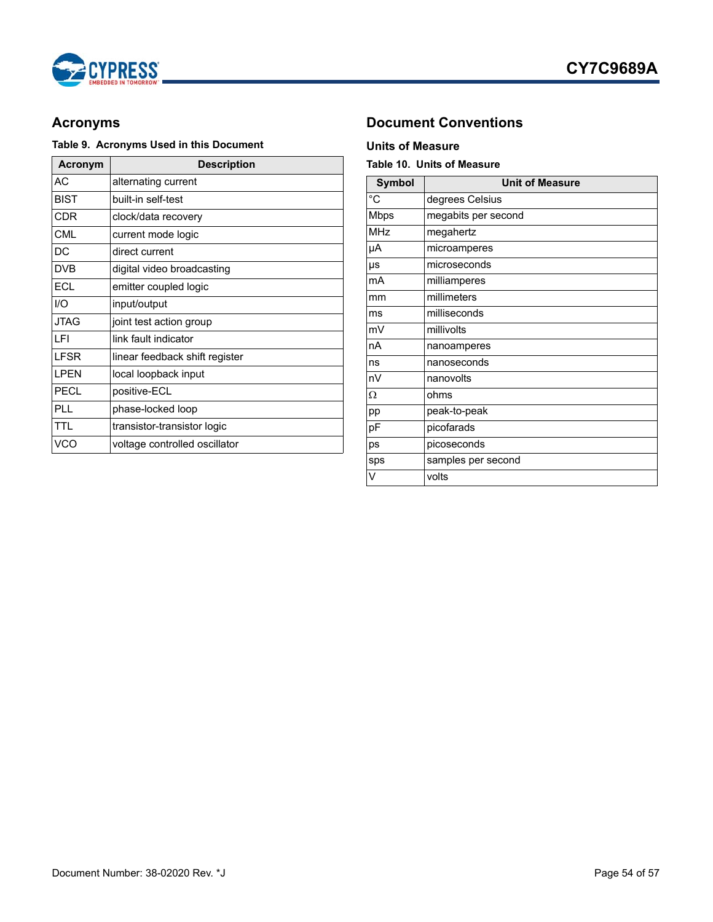



# **Table 9. Acronyms Used in this Document Units of Measure**

| Acronym     | <b>Description</b>             |  |  |  |
|-------------|--------------------------------|--|--|--|
| АC          | alternating current            |  |  |  |
| <b>BIST</b> | built-in self-test             |  |  |  |
| CDR         | clock/data recovery            |  |  |  |
| <b>CML</b>  | current mode logic             |  |  |  |
| DC          | direct current                 |  |  |  |
| <b>DVB</b>  | digital video broadcasting     |  |  |  |
| <b>ECL</b>  | emitter coupled logic          |  |  |  |
| 1/O         | input/output                   |  |  |  |
| <b>JTAG</b> | joint test action group        |  |  |  |
| I FI        | link fault indicator           |  |  |  |
| <b>LFSR</b> | linear feedback shift register |  |  |  |
| I PFN       | local loopback input           |  |  |  |
| PECL        | positive-ECL                   |  |  |  |
| PL L        | phase-locked loop              |  |  |  |
| TTI         | transistor-transistor logic    |  |  |  |
| VCO         | voltage controlled oscillator  |  |  |  |

# <span id="page-53-0"></span>**Acronyms Document Conventions**

### <span id="page-53-2"></span><span id="page-53-1"></span>**Table 10. Units of Measure**

| <b>Symbol</b> | <b>Unit of Measure</b> |  |  |  |
|---------------|------------------------|--|--|--|
| °C            | degrees Celsius        |  |  |  |
| <b>Mbps</b>   | megabits per second    |  |  |  |
| <b>MHz</b>    | megahertz              |  |  |  |
| μA            | microamperes           |  |  |  |
| μs            | microseconds           |  |  |  |
| mA            | milliamperes           |  |  |  |
| mm            | millimeters            |  |  |  |
| ms            | milliseconds           |  |  |  |
| mV            | millivolts             |  |  |  |
| nA            | nanoamperes            |  |  |  |
| ns            | nanoseconds            |  |  |  |
| nV            | nanovolts              |  |  |  |
| Ω             | ohms                   |  |  |  |
| pp            | peak-to-peak           |  |  |  |
| pF            | picofarads             |  |  |  |
| ps            | picoseconds            |  |  |  |
| sps           | samples per second     |  |  |  |
| V             | volts                  |  |  |  |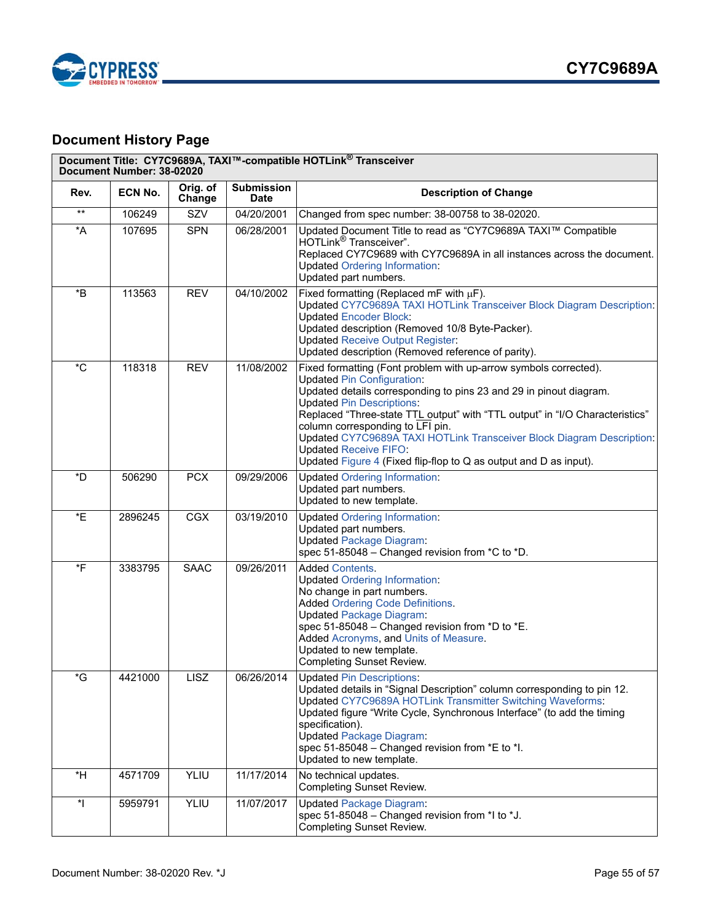



# <span id="page-54-0"></span>**Document History Page**

|                       | Document Number: 38-02020 |                    |                                  | Document Title: CY7C9689A, TAXI™-compatible HOTLink® Transceiver                                                                                                                                                                                                                                                                                                                                                                                                                                                  |
|-----------------------|---------------------------|--------------------|----------------------------------|-------------------------------------------------------------------------------------------------------------------------------------------------------------------------------------------------------------------------------------------------------------------------------------------------------------------------------------------------------------------------------------------------------------------------------------------------------------------------------------------------------------------|
| Rev.                  | ECN No.                   | Orig. of<br>Change | <b>Submission</b><br><b>Date</b> | <b>Description of Change</b>                                                                                                                                                                                                                                                                                                                                                                                                                                                                                      |
| $^{\star\star}$       | 106249                    | SZV                | 04/20/2001                       | Changed from spec number: 38-00758 to 38-02020.                                                                                                                                                                                                                                                                                                                                                                                                                                                                   |
| $^{\star}$ A          | 107695                    | <b>SPN</b>         | 06/28/2001                       | Updated Document Title to read as "CY7C9689A TAXI™ Compatible<br>HOTLink <sup>®</sup> Transceiver".<br>Replaced CY7C9689 with CY7C9689A in all instances across the document.<br><b>Updated Ordering Information:</b><br>Updated part numbers.                                                                                                                                                                                                                                                                    |
| $*_{\mathsf{B}}$      | 113563                    | <b>REV</b>         | 04/10/2002                       | Fixed formatting (Replaced mF with $\mu$ F).<br>Updated CY7C9689A TAXI HOTLink Transceiver Block Diagram Description:<br><b>Updated Encoder Block:</b><br>Updated description (Removed 10/8 Byte-Packer).<br><b>Updated Receive Output Register:</b><br>Updated description (Removed reference of parity).                                                                                                                                                                                                        |
| $^{\ast}$ C           | 118318                    | <b>REV</b>         | 11/08/2002                       | Fixed formatting (Font problem with up-arrow symbols corrected).<br><b>Updated Pin Configuration:</b><br>Updated details corresponding to pins 23 and 29 in pinout diagram.<br><b>Updated Pin Descriptions:</b><br>Replaced "Three-state TTL output" with "TTL output" in "I/O Characteristics"<br>column corresponding to LFI pin.<br>Updated CY7C9689A TAXI HOTLink Transceiver Block Diagram Description:<br><b>Updated Receive FIFO:</b><br>Updated Figure 4 (Fixed flip-flop to Q as output and D as input). |
| *D                    | 506290                    | <b>PCX</b>         | 09/29/2006                       | <b>Updated Ordering Information:</b><br>Updated part numbers.<br>Updated to new template.                                                                                                                                                                                                                                                                                                                                                                                                                         |
| *E                    | 2896245                   | <b>CGX</b>         | 03/19/2010                       | <b>Updated Ordering Information:</b><br>Updated part numbers.<br><b>Updated Package Diagram:</b><br>spec 51-85048 - Changed revision from *C to *D.                                                                                                                                                                                                                                                                                                                                                               |
| *F                    | 3383795                   | <b>SAAC</b>        | 09/26/2011                       | <b>Added Contents.</b><br><b>Updated Ordering Information:</b><br>No change in part numbers.<br><b>Added Ordering Code Definitions.</b><br><b>Updated Package Diagram:</b><br>spec 51-85048 - Changed revision from *D to *E.<br>Added Acronyms, and Units of Measure.<br>Updated to new template.<br><b>Completing Sunset Review.</b>                                                                                                                                                                            |
| $\,{}^{\star}{\rm G}$ | 4421000                   | <b>LISZ</b>        | 06/26/2014                       | <b>Updated Pin Descriptions:</b><br>Updated details in "Signal Description" column corresponding to pin 12.<br>Updated CY7C9689A HOTLink Transmitter Switching Waveforms:<br>Updated figure "Write Cycle, Synchronous Interface" (to add the timing<br>specification).<br><b>Updated Package Diagram:</b><br>spec 51-85048 - Changed revision from *E to *I.<br>Updated to new template.                                                                                                                          |
| *H                    | 4571709                   | YLIU               | 11/17/2014                       | No technical updates.<br><b>Completing Sunset Review.</b>                                                                                                                                                                                                                                                                                                                                                                                                                                                         |
| $\mathbf{r}$          | 5959791                   | YLIU               | 11/07/2017                       | <b>Updated Package Diagram:</b><br>spec 51-85048 - Changed revision from *I to *J.<br>Completing Sunset Review.                                                                                                                                                                                                                                                                                                                                                                                                   |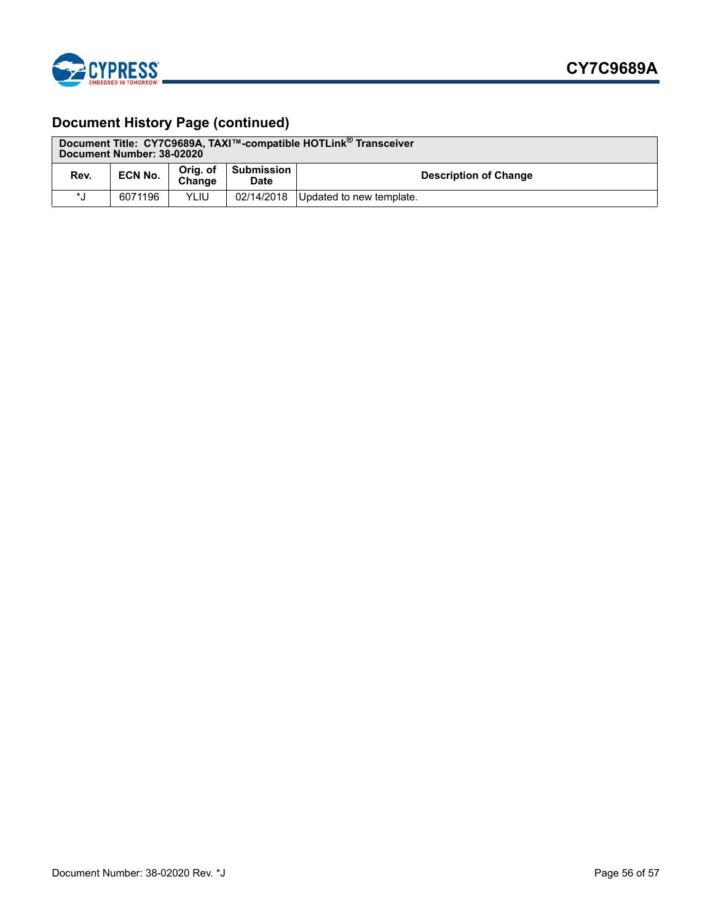

# **Document History Page (continued)**

| Document Title: CY7C9689A, TAXI™-compatible HOTLink <sup>®</sup> Transceiver<br>Document Number: 38-02020 |                |                    |                                  |                              |
|-----------------------------------------------------------------------------------------------------------|----------------|--------------------|----------------------------------|------------------------------|
| Rev.                                                                                                      | <b>ECN No.</b> | Orig. of<br>Change | <b>Submission</b><br><b>Date</b> | <b>Description of Change</b> |
| $\star$ 1                                                                                                 | 6071196        | YLIU               | 02/14/2018                       | Updated to new template.     |